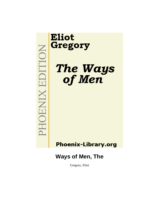# MOHOENIX EDITION

# **Eliot** Gregory

The Ways<br>of Men

# **Phoenix-Library.org**

# **Ways of Men, The**

Gregory, Eliot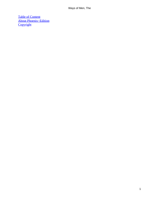[Table of Content](#page-148-0) [About Phoenix−Edition](#page-150-0) **[Copyright](#page-151-0)**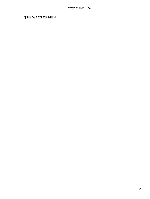# *T*HE **WAYS OF MEN**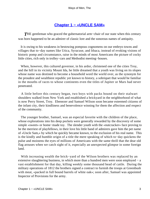## **[Chapter 1 − «UNCLE SAM»](#page-148-0)**

*T*HE gentleman who graced the gubernatorial arm−chair of our state when this century was born happened to be an admirer of classic lore and the sonorous names of antiquity.

 It is owing to his weakness in bestowing pompous cognomens on our embryo towns and villages that to−day names like Utica, Syracuse, and Ithaca, instead of evoking visions of historic pomp and circumstance, raise in the minds of most Americans the picture of cocky little cities, rich only in trolley−cars and Methodist meeting−houses.

 When, however, this cultured governor, in his ardor, christened one of the cities Troy, and the hill in its vicinity Mount Ida, he little dreamed that a youth was living on its slopes whose name was destined to become a household word the world over, as the synonym for the proudest and wealthiest republic yet known to history, a sobriquet that would be familiar in the mouths of races to whose continents even the titles of Jupiter or Mars had never penetrated.

 A little before this century began, two boys with packs bound on their stalwart shoulders walked from New York and established a brickyard in the neighborhood of what is now Perry Street, Troy. Ebenezer and Samuel Wilson soon became esteemed citizens of the infant city, their kindliness and benevolence winning for them the affection and respect of the community.

 The younger brother, Samuel, was an especial favorite with the children of the place, whose explorations into his deep pockets were generally rewarded by the discovery of some simple «sweet» or home−made toy. The slender youth with the «nutcracker» face proving to be the merriest of playfellows, in their love his little band of admirers gave him the pet name of «Uncle Sam,» by which he quickly became known, to the exclusion of his real name. This is the kindly and humble origin of a title the mere speaking of which to−day quickens the pulse and moistens the eyes of millions of Americans with the same thrill that the dear old flag arouses when we catch sight of it, especially an unexpected glimpse in some foreign land.

 With increasing wealth the brick−yard of the Wilson brothers was replaced by an extensive slaughtering business, in which more than a hundred men were soon employed − a vast establishment for that day, killing weekly some thousand head of cattle. During the military operations of 1812 the brothers signed a contract to furnish the troops at Greenbush with meat, «packed in full bound barrels of white oak»; soon after, Samuel was appointed Inspector of Provisions for the army.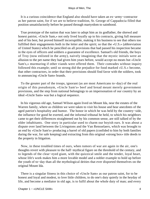It is a curious coincidence that England also should have taken an ex−army−contractor as her patron saint, for if we are to believe tradition, St. George of Cappadocia filled that position unsatisfactorily before he passed through martyrdom to sainthood.

 True prototype of the nation that was later to adopt him as its godfather, the shrewd and honest patriot, «Uncle Sam,» not only lived loyally up to his contracts, giving full measure and of his best, but proved himself incorruptible, making it his business to see that others too fulfilled their engagements both in the letter and the spirit; so that the «U.S.» (abbreviation of United States) which he pencilled on all provisions that had passed his inspection became in the eyes of officers and soldiers a guarantee of excellence. Samuel's old friends, the boys of Troy (now enlisted in the army), naively imagining that the mystic initials were an allusion to the pet name they had given him years before, would accept no meats but «Uncle Sam's,» murmuring if other viands were offered them. Their comrades without inquiry followed this example; until so strong did the prejudice for food marked «U.S.» become, that other contractors, in order that their provisions should find favor with the soldiers, took to announcing «Uncle Sam» brands.

 To the greater part of the troops, ignorant (as are most Americans to−day) of the real origin of this pseudonym, «Uncle Sam's» beef and bread meant merely government provisions, and the step from national belongings to an impersonation of our country by an ideal «Uncle Sam» was but a logical sequence.

 In his vigorous old age, Samuel Wilson again lived on Mount Ida, near the estates of the Warren family, where as children we were taken to visit his house and hear anecdotes of the aged patriot's hospitality and humor. The honor in which he was held by the country−side, the influence for good he exerted, and the informal tribunal he held, to which his neighbors came to get their differences straightened out by his common sense, are still talked of by the older inhabitants. One story in particular used to charm our boyish ears. It was about a dispute over land between the Livingstons and the Van Rensselaers, which was brought to an end by «Uncle Sam's» producing a barrel of old papers (confided to him by both families during the war, for safe keeping) and extracting from this original «strong box» title deeds to the property in litigation.

 Now, in these troubled times of ours, when rumors of war are again in the air, one's thoughts revert with pleasure to the half−mythical figure on the threshold of the century, and to legends of the clear−eyed giant, with the quizzical smile and the tender, loyal heart, whose life's work makes him a more lovable model and a nobler example to hold up before the youth of to−day than all the mythological deities that ever disported themselves on the original Mount Ida.

 There is a singular fitness in this choice of «Uncle Sam» as our patron saint, for to be honest and loyal and modest, to love little children, to do one's duty quietly in the heyday of life, and become a mediator in old age, is to fulfil about the whole duty of man; and every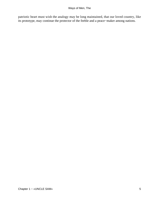patriotic heart must wish the analogy may be long maintained, that our loved country, like its prototype, may continue the protector of the feeble and a peace−maker among nations.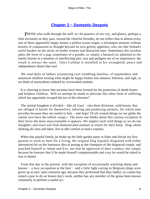# **[Chapter 2 − Domestic Despots](#page-148-0)**

*T*HOSE who walk through the well−to−do quarters of our city, and glance, perhaps a little enviously as they pass, toward the cheerful firesides, do not reflect that in almost every one of these apparently happy homes a pitiless tyrant reigns, a misshapen monster without bowels of compassion or thought beyond its own greedy appetites, who sits like Sinbad's awful burden on the necks of tender women and distracted men. Sometimes this incubus takes the form of a pug, sometimes of a poodle, or simply a bastard cur admitted to the family bosom in a moment of unreflecting pity; size and pedigree are of no importance; the result is always the same. Once Caliban is installed in his stronghold, peace and independence desert that roof.

 We read daily of fathers tyrannizing over trembling families, of stepmothers and unnatural children turning what might be happy homes into amateur Infernos, and sigh, as we think of martyrdoms endured by overworked animals.

 It is cheering to know that societies have been formed for the protection of dumb brutes and helpless children. Will no attempt be made to alleviate this other form of suffering, which has apparently escaped the eye of the reformer?

The animal kingdom is divided – like all Gaul – into three divisions: wild beasts, that are obliged to hustle for themselves; laboring and producing animals, for which man provides because they are useful to him − and dogs! Of all created things on our globe the canine race have the softest «snap.» The more one thinks about this curious exception in their favor the more unaccountable it appears. We neglect such wild things as we do not slaughter, and exact toil from domesticated animals in return for their keep. Dogs alone, shirking all cares and labor, live in idle comfort at man's expense.

 When that painful family jar broke up the little garden party in Eden and forced our first parents to work or hunt for a living, the original Dog (equally disgusted with either alternative) hit on the luminous idea of posing as the champion of the disgraced couple, and attached himself to Adam and Eve; not that he approved of their conduct, but simply because he foresaw that if he made himself companionable and cosy he would be asked to stay to dinner.

 From that day to the present, with the exception of occasionally watching sheep and houses − a lazy occupation at the best − and a little light carting in Belgium (dogs were given up as turn−spits centuries ago, because they performed that duty badly), no canine has raised a paw to do an honest day's work, neither has any member of the genus been known voluntarily to perform a useful act.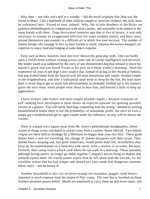How then – one asks one's self in a wonder – did the myth originate that Dog was the friend of Man? Like a multitude of other fallacies taught to innocent children, this folly must be unlearned later. Friend of man, indeed! Why, the «Little Brothers of the Rich» are guileless philanthropists in comparison with most canines, and unworthy to be named in the same breath with them. Dogs discovered centuries ago that to live in luxury, it was only necessary to assume an exaggerated affection for some wealthy mortal, and have since proved themselves past masters in a difficult art in which few men succeed. The number of human beings who manage to live on their friends is small, whereas the veriest mongrel cur contrives to enjoy food and lodging at some dupe's expense.

 Facts such as these, however, have not over−thrown the great dog myth. One can hardly open a child's book without coming across some tale of canine intelligence and devotion. My tender youth was saddened by the story of one disinterested dog that refused to leave his master's grave and was found frozen at his post on a bleak winter's morning. With the experience of years in pet dogs I now suspect that, instead of acting in this theatrical fashion, that pup trotted home from the funeral with the most prosperous and simple−minded couple in the neighborhood, and after a substantial meal went to sleep by the fire. He must have been a clever dog to get so much free advertisement, so probably strolled out to his master's grave the next noon, when people were about to hear him, and howled a little to keep up appearances.

 I have written «the richest and most simple minded couple,» because centuries of self−seeking have developed in these beasts an especial aptitude for spotting possible victims at a glance. You will rarely find dogs coquetting with the strong− minded or wasting blandishments where there is not the probability of immediate profit; but once let even a puppy get a tenderhearted girl or aged couple under his influence, no pity will be shown the victims.

 There is a house not a square away from Mr. Gerry's philanthropic headquarters, where a state of things exists calculated to extract tears from a custom−house official. Two elderly virgins are there held in bondage by a Minotaur no bigger than your two fists. These good dames have a taste for travelling, but change of climate disagrees with their tyrant. They dislike house−keeping and, like good Americans, would prefer hotel life, nevertheless they keep up an establishment in a cheerless side street, with a retinue of servants, because, forsooth, their satrap exacts a back yard where he can walk of a morning. These spinsters, although loving sisters, no longer go about together, Caligula's nerves being so shaken that solitude upsets them. He would sooner expire than be left alone with the servant, for the excellent reason that his bad temper and absurd airs have made him dangerous enemies below stairs − and he knows it!

 Another household in this city revolves around two brainless, goggle−eyed beasts, imported at much expense from the slopes of Fuji−yama. The care that is lavished on those heathen monsters passes belief. Maids are employed to carry them up and down stairs, and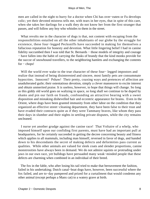men are called in the night to hurry for a doctor when Chi has over−eaten or Fu develops colic; yet their devoted mistress tells me, with tears in her eyes, that in spite of this care, when she takes her darlings for a walk they do not know her from the first stranger that passes, and will follow any boy who whistles to them in the street.

 What revolts me in the character of dogs is that, not content with escaping from the responsibilities entailed on all the other inhabitants of our globe by the struggle for existence, these four−legged Pecksniffs have succeeded in making for themselves a fallacious reputation for honesty and devotion. What little lingering belief I had in canine fidelity succumbed then I was told that St. Bernards − those models of integrity and courage − have fallen into the habit of carrying the flasks of brandy that the kind monks provide for the succor of snowbound travellers, to the neighboring hamlets and exchanging the contents  $for - **chops**!$ 

 Will the world ever wake to the true character of these four− legged impostors and realize that instead of being disinterested and sincere, most family pets are consummate hypocrites. Innocent? Pshaw! Their pretty, coaxing ways and pretences of affection are unadulterated guile; their ostentatious devotion, simply a clever manoeuvre to excite interest and obtain unmerited praise. It is useless, however, to hope that things will change. So long as this giddy old world goes on waltzing in space, so long shall we continue to be duped by shams and pin our faith on frauds, confounding an attractive bearing with a sweet disposition and mistaking dishevelled hair and eccentric appearance for brains. Even in the Orient, where dogs have been granted immunity from other labor on the condition that they organized an effective street−cleaning department, they have been false to their trust and have evaded their contracts quite as if they were Tammany braves, like whom they pass their days in slumber and their nights in settling private disputes, while the city remains uncleaned.

 I nurse yet another grudge against the canine race! That Voltaire of a whelp, who imposed himself upon our confiding first parents, must have had an important pull at headquarters, for he certainly succeeded in getting the decree concerning beauty and fitness which applies to all mammals, including man himself, reversed in favor of dogs, and handed down to his descendants the secret of making defects and deformities pass current as qualities. While other animals are valued for sleek coats and slender proportions, canine monstrosities have always been in demand. We do not admire squints or protruding under jaws in our own race, yet bulldogs have persuaded many weak−minded people that these defects are charming when combined in an individual of their breed.

 The fox in the fable, who after losing his tail tried to make that bereavement the fashion, failed in his undertaking; Dutch canal−boat dogs have, however, been successful where the fox failed, and are to−day pampered and prized for a curtailment that would condemn any other animal (except perhaps a Manx cat) to a watery grave at birth.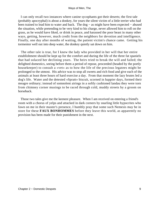I can only recall two instances where canine sycophants got their deserts; the first tale (probably apocryphal) is about a donkey, for years the silent victim of a little terrier who had been trained to lead him to water and back. The dog − as might have been expected − abused the situation, while pretending to be very kind to his charge, never allowed him to roll on the grass, as he would have liked, or drink in peace, and harassed the poor beast in many other ways, getting, however, much credit from the neighbors for devotion and intelligence. Finally, one day after months of waiting, the patient victim's chance came. Getting his tormentor well out into deep water, the donkey quietly sat down on him.

 The other tale is true, for I knew the lady who provided in her will that her entire establishment should be kept up for the comfort and during the life of the three fat spaniels that had solaced her declining years. The heirs tried to break the will and failed; the delighted domestics, seeing before them a period of repose, proceeded (headed by the portly housekeeper) to consult a «vet» as to how the life of the precious legatees might be prolonged to the utmost. His advice was to stop all sweets and rich food and give each of the animals at least three hours of hard exercise a day. From that moment the lazy brutes led a dog's life. Water and the detested «Spratt» biscuit, scorned in happier days, formed their meagre ordinary; instead of somnolent airings in a softly cushioned landau they were torn from chimney corner musings to be raced through cold, muddy streets by a groom on horseback.

 Those two tales give me the keenest pleasure. When I am received on entering a friend's room with a chorus of yelps and attacked in dark corners by snarling little hypocrites who fawn on me in their master's presence, I humbly pray that some such Nemesis may be in store for these **FAUX BONHOMMES** before they leave this world, as apparently no provision has been made for their punishment in the next.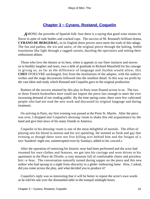# **[Chapter 3 − Cyrano, Rostand, Coquelin](#page-148-0)**

*A*MONG the proverbs of Spanish folk−lore there is a saying that good wine retains its flavor in spite of rude bottles and cracked cups. The success of M. Rostand's brilliant drama, **CYRANO DE BERGERAC,** in its English dress proves once more the truth of this adage. The fun and pathos, the wit and satire, of the original pierce through the halting, feeble translation like light through a ragged curtain, dazzling the spectators and setting their enthusiasm ablaze.

 Those who love the theatre at its best, when it appeals to our finer instincts and moves us to healthy laughter and tears, owe a debt of gratitude to Richard Mansfield for his courage in giving us, as far as the difference of language and rhythm would allow, this **CHEF** D'OEUVRE unchanged, free from the mutilations of the adapter, with the author's wishes and the stage decorations followed into the smallest detail. In this way we profit by the vast labor and study which Rostand and Coquelin gave to the original production.

 Rumors of the success attained by this play in Paris soon floated across to us. The two or three French booksellers here could not import the piece fast enough to meet the ever increasing demand of our reading public. By the time spring came, there were few cultivated people who had not read the new work and discussed its original language and daring treatment.

 On arriving in Paris, my first evening was passed at the Porte St. Martin. After the piece was over, I dropped into Coquelin's dressing−room to shake this old acquaintance by the hand and give him news of his many friends in America.

 Coquelin in his dressing−room is one of the most delightful of mortals. The effort of playing sets his blood in motion and his wit sparkling. He seemed as fresh and gay that evening as though there were not five killing acts behind him and the fatigue of a two−hundred−night run, uninterrupted even by Sundays, added to his «record.»

 After the operation of removing his historic nose had been performed and the actor had resumed his own clothes and features, we got into his carriage and were driven to his apartment in the Place de l'Etoile, a cosy museum full of comfortable chairs and priceless bric−a−brac. The conversation naturally turned during supper on the piece and this new author who had sprung in a night from obscurity to a globe−embracing fame. How, I asked, did you come across the play, and what decided you to produce it?

 Coquelin's reply was so interesting that it will be better to repeat the actor's own words as he told his tale over the dismantled table in the tranquil midnight hours.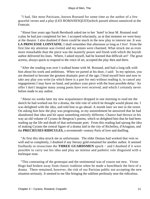"I had, like most Parisians, known Rostand for some time as the author of a few graceful verses and a play (LES ROMANESQUES)which passed almost unnoticed at the Francais.

 "About four years ago Sarah Bernhardt asked me to her `hotel' to hear M. Rostand read a play he had just completed for her. I accepted reluctantly, as at that moment we were busy at the theatre. I also doubted if there could be much in the new play to interest me. It was **LA PRINCESSE LOINTAINE.** I shall remember that afternoon as long as I live! From the first line my attention was riveted and my senses were charmed. What struck me as even more remarkable than the piece was the masterly power and finish with which the boyish author delivered his lines. Where, I asked myself, had he learned that difficult art? The great actress, always quick to respond to the voice of art, accepted the play then and there.

 "After the reading was over I walked home with M. Rostand, and had a long talk with him about his work and ambitions. When we parted at his door, I said: `In my opinion, you are destined to become the greatest dramatic poet of the age; I bind myself here and now to take any play you write (in which there is a part for me) without reading it, to cancel any engagements I may have on hand, and produce your piece with the least possible delay.' An offer I don't imagine many young poets have ever received, and which I certainly never before made to any author.

 "About six weeks later my new acquaintance dropped in one morning to read me the sketch he had worked out for a drama, the title role of which he thought would please me. I was delighted with the idea, and told him to go ahead. A month later we met in the street. On asking him how the play was progressing, to my astonishment he answered that he had abandoned that idea and hit upon something entirely different. Chance had thrown in his way an old volume of Cyrano de Bergerac's poems, which so delighted him that he had been reading up the life and death of that unfortunate poet. From this reading had sprung the idea of making Cyrano the central figure of a drama laid in the city of Richelieu, d'Artagnan, and the **PRECIEUSES RIDICULES,** a seventeenth−century Paris of love and duelling.

 "At first this idea struck me as unfortunate. The elder Dumas had worked that vein so well and so completely, I doubted if any literary gold remained for another author. It seemed foolhardy to resuscitate the **THREE GUARDSMEN** epoch − and I doubted if it were possible to carry out his idea and play an intense and pathetic role disguised with a burlesque nose.

 "This contrasting of the grotesque and the sentimental was of course not new. Victor Hugo had broken away from classic tradition when he made a hunchback the hero of a drama. There remained, however, the risk of our Parisian public not accepting the new situation seriously. It seemed to me like bringing the sublime perilously near the ridiculous.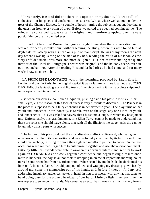"Fortunately, Rostand did not share this opinion or my doubts. He was full of enthusiasm for his piece and confident of its success. We sat where we had met, under the trees of the Champs Elysees, for a couple of hours, turning the subject about and looking at the question from every point of view. Before we parted the poet had convinced me. The role, as he conceived it, was certainly original, and therefore tempting, opening vast possibilities before my dazzled eyes.

 "I found out later that Rostand had gone straight home after that conversation and worked for nearly twenty hours without leaving the study, where his wife found him at daybreak, fast asleep with his head on a pile of manuscript. He was at my rooms the next day before I was up, sitting on the side of my bed, reading the result of his labor. As the story unfolded itself I was more and more delighted. His idea of resuscitating the quaint interior of the Hotel de Bourgogne Theatre was original, and the balcony scene, even in outline, enchanting. After the reading Rostand dashed off as he had come, and for many weeks I saw no more of him.

 "LA **PRINCESSE LOINTAINE** was, in the meantime, produced by Sarah, first in London and then in Paris. In the English capital it was a failure; with us it gained a SUCCES D'ESTIME, the fantastic grace and lightness of the piece saving it from absolute shipwreck in the eyes of the literary public.

 «Between ourselves,» continued Coquelin, pushing aside his plate, a twinkle in his small eyes, «is the reason of this lack of success very difficult to discover? The Princess in the piece is supposed to be a fairy enchantress in her sixteenth year. The play turns on her youth and innocence. Now, honestly, is Sarah, even on the stage, any one's ideal of youth and innocence?» This was asked so naively that I burst into a laugh, in which my host joined me. Unfortunately, this grandmamma, like Ellen Terry, cannot be made to understand that there are roles she should leave alone, that with all the illusions the stage lends she can no longer play girlish parts with success.

 "The failure of his play produced the most disastrous effect on Rostand, who had given up a year of his life to its composition and was profoundly chagrined by its fall. He sank into a mild melancholy, refusing for more than eighteen months to put pen to paper. On the rare occasions when we met I urged him to pull himself together and rise above disappointment. Little by little, his friends were able to awaken his dormant interest and get him to work again on **CYRANO.** As he slowly regained confidence and began taking pleasure once more in his work, the boyish author took to dropping in on me at impossible morning hours to read some scene hot from his ardent brain. When seated by my bedside, he declaimed his lines until, lit at his flame, I would jump out of bed, and wrapping my dressing−gown hastily around me, seize the manuscript out of his hands, and, before I knew it, find my self addressing imaginary audiences, poker in hand, in lieu of a sword, with any hat that came to hand doing duty for the plumed headgear of our hero. Little by little, line upon line, the masterpiece grew under his hands. My career as an actor has thrown me in with many forms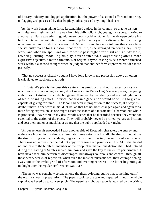of literary industry and dogged application, but the power of sustained effort and untiring, unflagging zeal possessed by that fragile youth surpassed anything I had seen.

 "As the work began taking form, Rostand hired a place in the country, so that no visitors or invitations might tempt him away from his daily toil. Rich, young, handsome, married to a woman all Paris was admiring, with every door, social or Bohemian, wide open before his birth and talent, he voluntarily shut himself up for over a year in a dismal suburb, allowing no amusement to disturb his incessant toil. Mme. Rostand has since told me that at one time she seriously feared for his reason if not for his life, as he averaged ten hours a day steady work, and when the spell was on him would pass night after night at his study table, rewriting, cutting, modelling his play, never contented, always striving after a more expressive adjective, a more harmonious or original rhyme, casting aside a month's finished work without a second thought when he judged that another form expressed his idea more perfectly.

 "That no success is cheaply bought I have long known; my profession above all others is calculated to teach one that truth.

 "If Rostand's play is the best this century has produced, and our greatest critics are unanimous in pronouncing it equal, if not superior, to Victor Hugo's masterpieces, the young author has not stolen his laurels, but gained them leaf by leaf during endless midnight hours of brain−wringing effort − a price that few in a generation would be willing to give or capable of giving for fame. The labor had been in proportion to the success; it always is! I doubt if there is one word in his `duel' ballad that has not been changed again and again for a more fitting expression, as one might assort the shades of a mosaic until a harmonious whole is produced. I have there in my desk whole scenes that he discarded because they were not essential to the action of the piece. They will probably never be printed, yet are as brilliant and cost their author as much labor as any that the public applauded to− night.

 "As our rehearsals proceeded I saw another side of Rostand's character; the energy and endurance hidden in his almost effeminate frame astonished us all. He almost lived at the theatre, drilling each actor, designing each costume, ordering the setting of each scene. There was not a dress that he did not copy from some old print, or a PASSADE that he did not indicate to the humblest member of the troop. The marvellous diction that I had noticed during the reading at Sarah's served him now and gave the key to the entire performance. I have never seen him peevish or discouraged, but always courteous and cheerful through all those weary weeks of repetition, when even the most enthusiastic feel their courage oozing away under the awful grind of afternoon and evening rehearsal, the latter beginning at midnight after the regular performance was over.

 «The news was somehow spread among the theatre−loving public that something out if the ordinary was in preparation. The papers took up the tale and repeated it until the whole capital was keyed up to concert pitch. The opening night was eagerly awaited by the critics,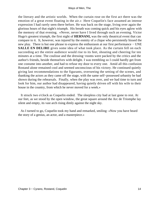the literary and the artistic worlds. When the curtain rose on the first act there was the emotion of a great event floating in the air.» Here Coquelin's face assumed an intense expression I had rarely seen there before. He was back on the stage, living over again the glorious hours of that night's triumph. His breath was coming quick and his eyes aglow with the memory of that evening. «Never, never have I lived through such an evening. Victor Hugo's greatest triumph, the first night of **HERNANI,** was the only theatrical event that can compare to it. It, however, was injured by the enmity of a clique who persistently hissed the new play. There is but one phrase to express the enthusiasm at our first performance – UNE **SALLE EN DELIRE** gives some idea of what took place. As the curtain fell on each succeeding act the entire audience would rise to its feet, shouting and cheering for ten minutes at a time. The coulisse and the dressing−rooms were packed by the critics and the author's friends, beside themselves with delight. I was trembling so I could hardly get from one costume into another, and had to refuse my door to every one. Amid all this confusion Rostand alone remained cool and seemed unconscious of his victory. He continued quietly giving last recommendations to the figurants, overseeing the setting of the scenes, and thanking the actors as they came off the stage, with the same self−possessed urbanity he had shown during the rehearsals. Finally, when the play was over, and we had time to turn and look for him, our author had disappeared, having quietly driven off with his wife to their house in the country, from which he never moved for a week.»

 It struck two o'clock as Coquelin ended. The sleepless city had at last gone to rest. At our feet, as we stood by the open window, the great square around the Arc de Triomphe lay silent and empty, its vast arch rising dimly against the night sky.

 As I turned to go, Coquelin took my hand and remarked, smiling: «Now you have heard the story of a genius, an actor, and a masterpiece.»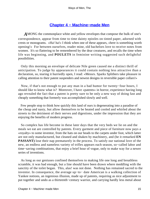## **[Chapter 4 − Machine−made Men](#page-148-0)**

*A*MONG the commonplace white and yellow envelopes that compose the bulk of one's correspondence, appear from time to time dainty epistles on tinted paper, adorned with crests or monograms. «Ha! ha!» I think when one of these appears, «here is something worth opening!» For between ourselves, reader mine, old bachelors love to receive notes from women. It's so flattering to be remembered by the dear creatures, and recalls the time when life was beginning, and **POULETS** in feminine writing suggested such delightful possibilities.

 Only this morning an envelope of delicate Nile green caused me a distinct thrill of anticipation. To judge by appearances it could contain nothing less attractive than a declaration, so, tearing it hurriedly open, I read: «Messrs. Sparks Splithers take pleasure in calling attention to their patent suspenders and newest designs in reversible paper collars!»

 Now, if that's not enough to put any man in a bad humor for twenty−four hours, I should like to know what is? Moreover, I have «patents» in horror, experience having long ago revealed the fact that a patent is pretty sure to be only a new way of doing fast and cheaply something that formerly was accomplished slowly and well.

 Few people stop to think how quickly this land of ours is degenerating into a paradise of the cheap and nasty, but allow themselves to be heated and cooled and whirled about the streets to the detriment of their nerves and digestions, under the impression that they are enjoying the benefits of modern progress.

 So complex has life become in these later days that the very beds we lie on and the meals we eat are controlled by patents. Every garment and piece of furniture now pays a «royalty» to some inventor, from the hats on our heads to the carpets under foot, which latter are not only manufactured, but cleaned and shaken by machinery, and (be it remarked **EN PASSANT**) lose their nap prematurely in the process. To satisfy our national love of the new, an endless and nameless variety of trifles appears each season, so−called labor and time−saving combinations, that enjoy a brief hour of vogue, only to make way for a newer series of inventions.

 As long as our geniuses confined themselves to making life one long and breathless scramble, it was bad enough, but a line should have been drawn where meddling with the sanctity of the toilet began. This, alas! was not done. Nothing has remained sacred to the inventor. In consequence, the average up−to− date American is a walking collection of Yankee notions, an ingenious illusion, made up of patents, requiring as nice adjustment to put together and undo as a thirteenth−century warrior, and carrying hardly less metal about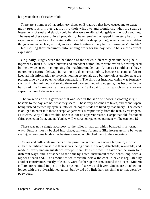his person than a Crusader of old.

 There are a number of haberdashery shops on Broadway that have caused me to waste many precious minutes gazing into their windows and wondering what the strange instruments of steel and elastic could be, that were exhibited alongside of the socks and ties. The uses of these would, in all probability, have remained wrapped in mystery but for the experience of one fateful morning (after a night in a sleeping−car), when countless hidden things were made clear, as I sat, an awe− struck witness to my fellow−passengers' − toilets? − No! Getting their machinery into running order for the day, would be a more correct expression.

 Originally, «tags» were the backbone of the toilet, different garments being held together by their aid. Later, buttons and attendant button−holes were evolved, now replaced by the devices used in composing the machine−made man. As far as I could see (I have overcome a natural delicacy in making my discoveries public, because it seems unfair to keep all this information to myself), nothing so archaic as a button−hole is employed at the present time by our patent−ridden compatriots. The shirt, for instance, which was formerly such a simple− minded and straightforward garment, knowing no guile, has become, in the hands of the inventors, a mere pretence, a frail scaffold, on which an elaborate superstructure of shams is erected.

 The varieties of this garment that one sees in the shop windows, exposing virgin bosoms to the day, are not what they seem! Those very bosoms are fakes, and cannot open, being instead pierced by eyelets, into which bogus studs are fixed by machinery. The owner is obliged to enter into those deceptive garments surreptitiously from the rear, by stratagem, as it were. Why all this trouble, one asks, for no apparent reason, except that old−fashioned shirts opened in front, and no Yankee will wear a non−patented garment − if he can help it?

 There was not a single accessory to the toilet in that car which behaved in a normal way. Buttons mostly backed into place, tail−end foremost (like horses getting between shafts), where some hidden mechanism screwed or clinched them to their moorings.

 Collars and cuffs (integral parts of the primitive garment) are now a labyrinth, in which all but the initiated must lose themselves, being double−decked, detachable, reversible, and made of every known substance except linen. The cuff most in favor can be worn four different ways, and is attached to the shirt by a steel instrument three inches long, with a nipper at each end. The amount of white visible below the coat− sleeve is regulated by another contrivance, mostly of elastic, worn further up the arm, around the biceps. Modern collars are retained in position by a system of screws and levers. Socks are attached no longer with the old−fashioned garter, but by aid of a little harness similar to that worn by pug− dogs.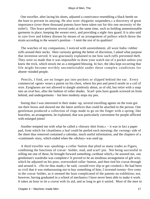One traveller, after lacing his shoes, adjusted a contrivance resembling a black beetle on the knot to prevent its untying. He also wore «hygienic suspenders,» a discovery of great importance (over three thousand patents have been taken out for this one necessity of the toilet!). This brace performs several tasks at the same time, such as holding unmentionable garments in place, keeping the wearer erect, and providing a night−key guard. It is also said to cure liver and kidney disease by means of an arrangement of pulleys which throw the strain according to the wearer's position − I omit the rest of its qualities!

 The watches of my companions, I noticed with astonishment, all wore India−rubber ruffs around their necks. Here curiosity getting the better of discretion, I asked what purpose that invention served. It was graciously explained to me how such ruffs prevented theft. They were so made that it was impossible to draw your watch out of a pocket unless you knew the trick, which struck me as a mitigated blessing. In fact, the idea kept occurring that life might become terribly uncomfortable under these complex conditions for absent−minded people.

 Pencils, I find, are no longer put into pockets or slipped behind the ear. Every commercial «gent» wears a patent on his chest, where his pen and pencil nestle in a coil of wire. Eyeglasses are not allowed to dangle aimlessly about, as of old, but retire with a snap into an oval box, after the fashion of roller shades. Scarf−pins have guards screwed on from behind, and undergarments − but here modesty stops my pen.

 Seeing that I was interested in their make−up, several travelling agents on the train got out their boxes and showed me the latest artifices that could be attached to the person. One gentleman produced a collection of rings made to go on the finger with a spring, like bracelets, an arrangement, he explained, that was particularly convenient for people afflicted with enlarged joints!

 Another tempted me with what he called a «literary shirt front,» − it was in fact a paper pad, from which for cleanliness a leaf could be peeled each morning; the «wrong» side of the sheet thus removed contained a calendar, much useful information, and the chapters of a «continued» story, which ended when the «dickey» was used up.

 A third traveller was «pushing» a collar−button that plied as many trades as Figaro, combining the functions of cravat− holder, stud, and scarf−pin. Not being successful in selling me one of these, he brought forward something «without which,» he assured me, «no gentleman's wardrobe was complete»! It proved to be an insidious arrangement of gilt wire, which he adjusted on his poor, overworked collar−button, and then tied his cravat through and around it. «No tie thus made,» he said, «would ever slip or get crooked.» He had been so civil that it was embarrassing not to buy something of him; I invested twenty−five cents in the cravat−holder, as it seemed the least complicated of the patents on exhibition; not, however, having graduated in a school of mechanics I have never been able to make it work. It takes an hour to tie a cravat with its aid, and as long to get it untied. Most of the men in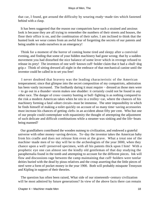that car, I found, got around the difficulty by wearing ready−made ties which fastened behind with a clasp.

 It has been suggested that the reason our compatriots have such a strained and anxious look is because they are all trying to remember the numbers of their streets and houses, the floor their office is on, and the combination of their safes. I am inclined to think that the hunted look we wear comes from an awful fear of forgetting the secrets of our patents and being unable to undo ourselves in an emergency!

 Think for a moment of the horror of coming home tired and sleepy after a convivial evening, and finding that some of your hidden machinery had gone wrong; that by a sudden movement you had disturbed the nice balance of some lever which in revenge refused to release its prey! The inventors of one well−known cuff−holder claim that it had a «bull−dog grip.» Think of sitting dressed all night in the embrace of that mechanical canine until the inventor could be called in to set you free!

 I never doubted that bravery was the leading characteristic of the American temperament; since that glimpse into the secret composition of my compatriots, admiration has been vastly increased. The foolhardy daring it must require − dressed as those men were − to go out in a thunder−storm makes one shudder: it certainly could not be found in any other race. The danger of cross−country hunting or bull−fighting is as nothing compared to the risk a modern American takes when he sits in a trolley−car, where the chances of his machinery forming a fatal «short circuit» must be immense. The utter impossibility in which he finds himself of making a toilet quickly on account of so many time−saving accessories must increase his chances of getting «left» in an accident about fifty per cent. Who but one of our people could contemplate with equanimity the thought of attempting the adjustment of such delicate and difficult combinations while a steamer was sinking and the life−boats being manned?

 Our grandfathers contributed the wooden nutmeg to civilization, and endowed a grateful universe with other money−saving devices. To−day the inventor takes the American baby from his cradle and does not release him even at the grave. What a treat one of the machine−made men of to−day will be to the archeologists of the year 3000, when they chance upon a well−preserved specimen, with all his patents thick upon I him! With a prophetic eye one can almost see the kindly old gentleman of that day studying the paraphernalia found in the tomb and attempting to account for the different pieces. Ink will flow and discussions rage between the camp maintaining that cuff−holders were tutelar deities buried with the dead by pious relatives and the croup asserting that the little pieces of steel were a form of pocket money in the year 1900. Both will probably misquote Tennyson and Kipling in support of their theories.

 The question has often been raised, What side of our nineteenth−century civilization will be most admired by future generations? In view of the above facts there can remain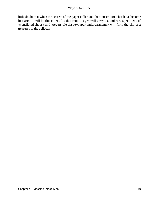little doubt that when the secrets of the paper collar and the trouser−stretcher have become lost arts, it will be those benefits that remote ages will envy us, and rare specimens of «ventilated shoes» and «reversible tissue−paper undergarments» will form the choicest treasures of the collector.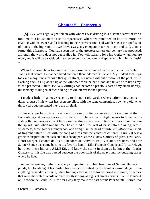### **[Chapter 5 − Parnassus](#page-148-0)**

*M*ANY years ago, a gentleman with whom I was driving in a distant quarter of Paris took me to a house on the rue Montparnasse, where we remained an hour or more, he chatting with its owner, and I listening to their conversation, and wondering at the confusion of books in the big room. As we drove away, my companion turned to me and said, «Don't forget this afternoon. You have seen one of the greatest writers our century has produced, although the world does not yet realize it. You will learn to love his works when you are older, and it will be a satisfaction to remember that you saw and spoke with him in the flesh! »

 When I returned later to Paris the little house had changed hands, and a marble tablet stating that Sainte−Beuve had lived and died there adorned its facade. My student footsteps took me many times through that quiet street, but never without a vision of the poet−critic flashing back, as I glanced up at the window where he had stood and talked with us; as my friend predicted, Sainte−Beuve's writings had become a precious part of my small library, the memory of his genial face adding a vivid interest to their perusal.

 I made a little Pilgrimage recently to the quiet old garden where, after many years' delay, a bust of this writer has been unveiled, with the same companion, now very old, who thirty years ago presented me to the original.

 There is, perhaps, in all Paris no more exquisite corner than the Garden of the Luxembourg. At every season it is beautiful. The winter sunlight seems to linger on its stately Italian terraces after it has ceased to shine elsewhere. The first lilacs bloom here in the spring, and when midsummer has turned all the rest of Paris into a blazing, white wilderness, these gardens remain cool and tranquil in the heart of turbulent «Bohemia,» a bit of fragrant nature filled with the song of birds and the voices of children. Surely it was a gracious inspiration that selected this shady park as the «Poets' Corner» of great, new Paris. Henri Murger, Leconte de Lisle, Theodore de Banville, Paul Verlaine, are here, and now Sainte−Beuve has come back to his favorite haunt. Like Francois Coppee and Victor Hugo, he loved these historic **ALLEES,** and knew the stone in them as he knew the «Latin Quater,» for his life was passed between the bookstalls of the quays and the outlying street where he lived.

 As we sat resting in the shade, my companion, who had been one of Sainte−Beuve's pupils, fell to talking of his master, his memory refreshed by the familiar surroundings. «Can anything be sadder,» he said, "than finding a face one has loved turned into stone, or names that were the watch−words of one's youth serving as signs at street corners − la rue Flaubert or Theodore de Banville? How far away they make the past seem! Poor Sainte−Beuve, that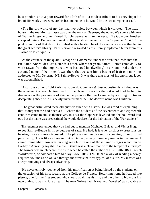bust yonder is but a poor reward for a life of toil, a modest tribute to his encyclopaedic brain! His works, however, are his best monument; he would be the last to repine or cavil.

 «The literary world of my day had two poles, between which it vibrated. The little house in the rue Montparnasse was one, the rock of Guernsey the other. We spoke with awe of `Father Hugo' and mentioned `Uncle Beuve' with tenderness. The Goncourt brothers accepted Sainte−Beuve's judgment on their work as the verdict of a `Supreme Court.' Not a poet or author of that day but climbed with a beating heart the narrow staircase that led to the great writer's library. Paul Verlaine regarded as his literary diploma a letter from this `Balzac de la critique.' »

 "At the entrance of the quaint Passage du Commerce, under the arch that leads into the rue Saint−Andre−des−Arts, stands a hotel, where for years Sainte−Beuve came daily to work (away from the importunate who besieged his dwelling) in a room hired under the assumed name of Delorme. It was there that we sent him a basket of fruit one morning addressed to Mr. Delorme, NE Sainte−Beuve. It was there that most of his enormous labor was accomplished.

 "A curious corner of old Paris that Cour du Commerce! Just opposite his window was the apartment where Danton lived. If one chose to seek for them it would not be hard to discover on the pavement of this same passage the marks made by a young doctor in decapitating sheep with his newly invented machine. The doctor's name was Guillotin.

 "The great critic loved these old quarters filled with history. He was fond of explaining that Montparnasse had been a hill where the students of the seventeenth and eighteenth centuries came to amuse themselves. In 1761 the slope was levelled and the boulevard laid out, but the name was predestined, he would declare, for the habitation of the `Parnassiens.'

 "His enemies pretended that you had but to mention Michelet, Balzac, and Victor Hugo to see Sainte−Beuve in three degrees of rage. He had, it is true, distinct expressions on hearing those authors discussed. The phrase then much used in speaking of an original personality, `He is like a character out of Balzac,' always threw my master into a temper. I cannot remember, however, having seen him in one of those famous rages which made Barbey d'Aurevilly say that `Sainte− Beuve was a clever man with the temper of a turkey!' The former was much nearer the truth when he called the author of **LES LUNDIS a** French Wordsworth, or compared him to a lay **BENEDICTIN.** He had a way of reading a newly acquired volume as he walked through the streets that was typical of his life. My master was always studying and always advancing.

 "He never entirely recovered from his mortification at being hissed by the students on the occasion of his first lecture at the College de France. Returning home he loaded two pistols, one for the first student who should again insult him, and the other to blow out his own brains. It was no idle threat. The man Guizot had nicknamed `Werther' was capable of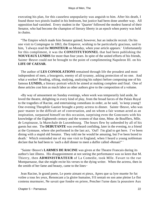executing his plan, for this causeless unpopularity was anguish to him. After his death, I found those two pistols loaded in his bedroom, but justice had been done another way. All opposition had vanished. Every student in the `Quarter' followed the modest funeral of their Senator, who had become the champion of literary liberty in an epoch when poetry was held in chains.

 "The Empire which made him Senator gained, however, but an indocile recruit. On his one visit to Compiegne in 1863, the Emperor, wishing to be particularly gracious, said to him, `I always read the **MONITEUR** on Monday, when your article appears.' Unfortunately for this compliment, it was the **CONSTITUTIONNEL** that had been publishing the **NOUVEAUX LUNDIS** for more than four years. In spite of the united efforts of his friends, Sainte−Beuve could not be brought to the point of complimenting Napoleon III. on his **LIFE OF CAESAR.**

 The author of **LES CONSOLATIONS** remained through life the proudest and most independent of men, a bourgeois, enemy of all tyranny, asking protection of no one. And what a worker! Reading, sifting, studying, analyzing his subject before composing one of his famous **LUNDIS,** a literary portrait which he aimed at making complete and final. One of these articles cost him as much labor as other authors give to the composition of a volume.

 «By way of amusement on Sunday evenings, when work was temporarily laid aside, he loved the theatre, delighting in every kind of play, from the broad farces of the Palais Royal to the tragedies of Racine, and entertaining comedians in order, as he said, `to keep young'! One evening Theophile Gautier brought a pretty actress to dinner. Sainte−Beuve, who was past−master in the difficult art of conversation, and on whom a fair woman acted as an inspiration, surpassed himself on this occasion, surprising even the Goncourts with his knowledge of the Eighteenth century and the women of that time, Mme. de Boufflers, Mlle. de Lespinasse, la Marechale de Luxembourg. The hours flew by unheeded by all of his guests but one. The **DEBUTANTE** was overheard confiding, later in the evening, to a friend at the Gymnase, where she performed in the last act, `Ouf! I'm glad to get here. I`ve been dining with a stupid old Senator. They told me he would be amusing, but I've been bored to death.' Which reminded me of my one visit to England, when I heard a young nobleman declare that he had been to `such a dull dinner to meet a duffer called »Renan!" '

 "Sainte−Beuve's **LARMES DE RACINE** was given at the Theatre Francais during its author's last illness. His disappointment at not seeing the performance was so keen that M. Thierry, then **ADMINISTRATEUR** of La Comedie, took Mlle. Favart to the rue Montparnasse, that she might recite his verses to the dying writer. When the actress, then in the zenith of her fame and beauty, came to the lines−

 Jean Racine, le grand poete, Le poete aimant et pieux, Apres que sa lyre muette Se fut voilee a tous les yeux, Renoncant a la gloire humaine, S'il sentait en son ame pleine Le flot contenu murmurer, Ne savait que fondre en priere, Pencher l'urne dans la poussiere Aux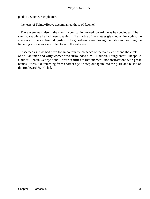pieds du Seigneur, et pleurer!

the tears of Sainte−Beuve accompanied those of Racine!"

 There were tears also in the eyes my companion turned toward me as he concluded. The sun had set while he had been speaking. The marble of the statues gleamed white against the shadows of the sombre old garden. The guardians were closing the gates and warning the lingering visitors as we strolled toward the entrance.

 It seemed as if we had been for an hour in the presence of the portly critic; and the circle of brilliant men and witty women who surrounded him − Flaubert, Tourgueneff, Theophile Gautier, Renan, George Sand − were realities at that moment, not abstractions with great names. It was like returning from another age, to step out again into the glare and bustle of the Boulevard St. Michel.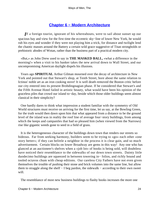## **[Chapter 6 − Modern Architecture](#page-148-0)**

*I*F a foreign tourist, ignorant of his whereabouts, were to sail about sunset up our spacious bay and view for the first time the eccentric sky−line of lower New York, he would rub his eyes and wonder if they were not playing him a trick, for distance and twilight lend the chaotic masses around the Battery a certain wild grace suggestive of Titan strongholds or prehistoric abodes of Wotan, rather than the business part of a practical modern city.

 «But,» as John Drew used to say in **THE MASKED BALL,** «what a difference in the morning!» when a visit to his banker takes the new arrival down to Wall Street, and our uncompromising American daylight dispels his illusions.

 Years ago **SPIRITUAL** Arthur Gilman mourned over the decay of architecture in New York and pointed out that Stewart's shop, at Tenth Street, bore about the same relation to Ictinus' noble art as an iron cooking stove! It is well death removed the Boston critic before our city entered into its present Brobdingnagian phase. If he considered that Stewart's and the Fifth Avenue Hotel failed in artistic beauty, what would have been his opinion of the graceless piles that crowd our island to−day, beside which those older buildings seem almost classical in their simplicity?

 One hardly dares to think what impression a student familiar with the symmetry of Old World structures must receive on arriving for the first time, let us say, at the Bowling Green, for the truth would then dawn upon him that what appeared from a distance to be the ground level of the island was in reality the roof line of average four−story buildings, from among which the keeps and campaniles that had so pleased him (when viewed from the Narrows) rise like gigantic weeds gone to seed in a field of grass.

 It is the heterogeneous character of the buildings down town that renders our streets so hideous. Far from seeking harmony, builders seem to be trying to «go» each other «one story better»; if they can belittle a neighbor in the process it is clear gain, and so much advertisement. Certain blocks on lower Broadway are gems in this way! Any one who has glanced at an auctioneer's shelves when a «job lot» of books is being sold, will doubtless have noticed their resemblance to the sidewalks of our down town streets. Dainty little duodecimo buildings are squeezed in between towering in− folios, and richly bound and tooled octavos chum with cheap editions. Our careless City Fathers have not even given themselves the trouble of pushing their stone and brick volumes into the same line, but allow them to straggle along the shelf − I beg pardon, the sidewalk − according to their own sweet will.

The resemblance of most new business buildings to flashy books increases the more one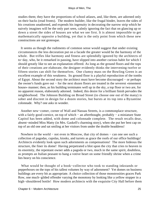studies them; they have the proportions of school atlases, and, like them, are adorned only on their backs (read fronts). The modern builder, like the frugal binder, leaves the sides of his creations unadorned, and expends his ingenuity in decorating the narrow strip which he naively imagines will be the only part seen, calmly ignoring the fact that on glancing up or down a street the sides of houses are what we see first. It is almost impossible to get mathematically opposite a building, yet that is the only point from which these new constructions are not grotesque.

 It seems as though the rudiments of common sense would suggest that under existing circumstances the less decoration put on a facade the greater would be the harmony of the whole. But trifles like harmony and fitness are splendidly ignored by the architects of to−day, who, be it remarked in passing, have slipped into another curious habit for which I should greatly like to see an explanation offered. As long as the ground floors and the tops of their creations are elaborate, the designer evidently thinks the intervening twelve or fifteen stories can shift for themselves. One clumsy mass on the Bowling Green is an excellent example of this weakness. Its ground floor is a playful reproduction of the tombs of Egypt. About the second story the architect must have become discouraged − or perhaps the owner's funds gave out − for the next dozen floors are treated in the severest «tenement house» manner; then, as his building terminates well up in the sky, a top floor or two are, for no apparent reason, elaborately adorned. Indeed, this desire for a brilliant finish pervades the neighborhood. The Johnson Building on Broad Street (to choose one out of the many) is sober and discreet in design for a dozen stories, but bursts at its top into a Byzantine colonnade. Why? one asks in wonder.

 Another new−comer, corner of Wall and Nassau Streets, is a commonplace structure, with a fairly good cornice, on top of which – an afterthought, probably – a miniature State Capitol has been added, with dome and colonnade complete. The result recalls dear, absent−minded Miss Matty (in Mrs. Gaskell's charming story), when she put her best cap on top of an old one and sat smiling at her visitors from under the double headdress!

 Nowhere in the world − not even in Moscow, that city of domes − can one see such a collection of pagodas, cupolas, kiosks, and turrets as grace the roofs of our office buildings! Architects evidently look upon such adornments as compensations! The more hideous the structure, the finer its dome! Having perpetrated a blot upon the city that cries to heaven in its enormity, the repentant owner adds a pagoda or two, much in the same spirit, doubtless, as prompts an Italian peasant to hang a votive heart on some friendly shrine when a crime lies heavy on his conscience.

 What would be thought of a book−collector who took to standing inkstands or pepperboxes on the tops of his tallest volumes by way of adornment? Yet domes on business buildings are every bit as appropriate. A choice collection of those monstrosities graces Park Row, one much−gilded offender varying the monotony by looking like a yellow stopper in a high−shouldered bottle! How modern architects with the exquisite City Hall before them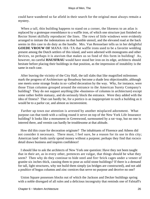could have wandered so far afield in their search for the original must always remain a mystery.

 When a tall, thin building happens to stand on a corner, the likeness to an atlas is replaced by a grotesque resemblance to a waffle iron, of which one structure just finished on Rector Street skilfully reproduces' the lines. The rows of little windows were evidently arranged to imitate the indentations on that humble utensil, and the elevated road at the back seems in this case to do duty as the handle. Mrs. Van Rensselaer tells us in her delightful **GOEDE VROUW OF** MANA−HA−TA that waffle irons used to be a favorite wedding present among the Dutch settlers of this island, and were adorned with monograms and other devices, so perhaps it is atavism that makes us so fond of this form in building! As, however, no careful **HAUSFRAU** would have stood her iron on its edge, architects should hesitate before placing their buildings in that position, as the impression of instability is the same in each case.

 After leaving the vicinity of the City Hall, the tall slabs that like magnified milestones mark the progress of Architecture up Broadway become a shade less objectionable, although one meets some strange freaks in so−called decoration by the way. Why, for instance, were those Titan columns grouped around the entrance to the American Surety Company's building? They do not support anything (the «business» of columns in architecture) except some rather feeble statuary, and do seriously block the entrance. Were they added with the idea of fitness? That can hardly be, for a portico is as inappropriate to such a building as it would be to a parlor car, and almost as inconvenient.

 Farther up town our attention is arrested by another misplaced adornment. What purpose can that tomb with a railing round it serve on top of the New York Life Insurance building? It looks like a monument in Greenwood, surmounted by a rat−trap, but no one is interred there, and vermin can hardly be troublesome at that altitude.

 How did this craze for decoration originate? The inhabitants of Florence and Athens did not consider it necessary. There must, I feel sure, be a reason for its use in this city; American land−lords rarely spend money without a purpose; perhaps they find that rococo detail draws business and inspires confidence!

 I should like to ask the architects of New York one question: Have they not been taught that in their art, as in every other, pretences are vulgar, that things should be what they seem? Then why do they continue to hide steel and fire−brick cages under a veneer of granite six inches thick, causing them to pose as solid stone buildings? If there is a demand for tall, light structures, why not build them simply (as bridges are constructed), and not add a poultice of bogus columns and zinc cornices that serve no purpose and deceive no one?

 Union Square possesses blocks out of which the Jackson and Decker buildings spring with a noble disregard of all rules and a delicious incongruity that reminds one of Falstaff's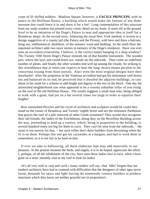corps of ill−drilled soldiers. Madison Square, however, is **FACILE PRINCEPS,** with its annex to the Hoffman House, a building which would make the fortune of any dime museum that could fence it in and show it for a fee! Long contemplation of this structure from my study window has printed every comic detail on my brain. It starts off at the ground level to be an imitation of the Doge's Palace (a neat and appropriate idea in itself for a Broadway shop). At the second story, following the usual New York method, it reverts to a design suggestive of a county jail (the Palace and the Prison), with here and there a balcony hung out, emblematical, doubtless, of the inmates' wash and bedding. At the ninth floor the repentant architect adds two more stories in memory of the Doge's residence. Have you ever seen an accordion (concertina, I believe, is the correct name) hanging in a shop window? The Twenty−fifth Street Doge's Palace reminds me of that humble instrument. The wooden part, where the keys and round holes are, stands on the sidewalk. Then come an indefinite number of pleats, and finally the other wooden end well up among the clouds. So striking is this resemblance that at times one expects to hear the long−drawn moans peculiar to the concertina issuing from those portals. Alas! even the most original designs have their drawbacks! After the proprietor of the Venetian accordion had got his instrument well drawn out and balanced on its end, he perceived that it dwarfed the adjacent buildings, so cast about in his mind for a scheme to add height and dignity to the rest of the block. One day the astonished neighborhood saw what appeared to be a «roomy suburban villa» of iron rising on the roof of the old Hoffman House. The results suggests a small man who, being obliged to walk with a giant, had put on a hat several times too large in order to equalize their heights!

 How astonished Pericles and his circle of architects and sculptors would be could they stand on the corner of Broadway and Twenty−eighth Street and see the miniature Parthenon that graces the roof of a pile innocent of other Greek ornament? They would also recognize their old friends, the ladies of the Erechtheum, doing duty on the Reveillon Building across the way, pretending to hold up a cornice, which, being in proportion to the building, is several hundred times too big for them to carry. They can't be seen from the sidewalk, – the street is too narrow for that, – but such trifles don't deter builders from decorating when the fit is on them. Perhaps this one got his caryatides at a bargain, and had to work them in somewhere; so it is not fair to be hard on him.

 If ever we take to ballooning, all these elaborate tops may add materially to our pleasure. At the present moment the birds, and angels, it is to be hoped, appreciate the effort. I, perhaps, of all the inhabitants of the city, have seen those ladies face to face, when I have gone on a semi−monthly visit to my roof to look for leaks!

 «It's all very well to carp and cavil,» many readers will say, «but `Idler' forgets that our modern architects have had to contend with difficulties that the designers of other ages never faced, demands for space and light forcing the nineteenth−century builders to produce structures which they know are neither graceful nor in proportion!»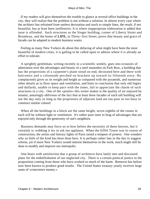If my readers will give themselves the trouble to glance at several office buildings in the city, they will realize that the problem is not without a solution. In almost every case where the architect has refrained from useless decoration and stuck to simple lines, the result, if not beautiful, has at least been inoffensive. It is where inappropriate elaboration is added that taste is offended. Such structures as the Singer building, corner of Liberty Street and Broadway, and the home of **LIFE,** in Thirty−first Street, prove that beauty and grace of facade can be adapted to modern business wants.

 Feeling as many New Yorkers do about this defacing of what might have been the most beautiful of modern cities, it is galling to be called upon to admire where it is already an effort to tolerate.

 A sprightly gentleman, writing recently in a scientific weekly, goes into ecstasies of admiration over the advantages and beauty of a steel mastodon on Park Row, a building that has the proportions of a carpenter's plane stood on end, decorated here and there with balconies and a colonnade perched on brackets up toward its fifteenth story. He complacently gives us its weight and height as compared with the pyramids, and numerous other details as to floor space and ventilation, and hints in conclusion that only old fogies and dullards, unable to keep pace with the times, fail to appreciate the charm of such structures in a city. One of the «points» this writer makes is the quality of air enjoyed by tenants, amusingly oblivious of the fact that at least three facades of each tall building will see the day only so long as the proprietors of adjacent land are too poor or too busy to construct similar colossi!

 When all the buildings in a block are the same height, seven eighths of the rooms in each will be without light or ventilation. It's rather poor taste to brag of advantages that are enjoyed only through the generosity of one's neighbors.

 Business demands may force us to bow before the necessity of these horrors, but it certainly is «rubbing it in» to ask our applause. When the Eiffel Tower was in course of construction, the artists and literary lights of Paris raised a tempest of protest. One wonders why so little of the kind has been done here. It is perhaps rather late in the day to suggest reform, yet if more New Yorkers would interest themselves in the work, much might still be done to modify and improve our metropolis.

 One hears with satisfaction that a group of architects have lately met and discussed plans for the embellishment of our neglected city. There is a certain poetical justice in the proposition coming from those who have worked so much of the harm. Remorse has before now been known to produce good results. The United States treasury yearly receives large sums of «conscience money.»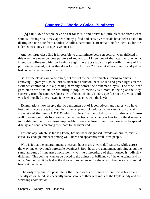# **[Chapter 7 − Worldly Color−Blindness](#page-148-0)**

*M*YRIADS of people have no ear for music and derive but little pleasure from sweet sounds. Strange as it may appear, many gifted and sensitive mortals have been unable to distinguish one note from another, Apollo's harmonious art remaining for them, as for the elder Dumas, only an «expensive noise.»

 Another large class find it impossible to discriminate between colors. Men afflicted in this way have even become painters of reputation. I knew one of the latter, who, when a friend complimented him on having caught the exact shade of a pink toilet in one of his portraits, answered, «Does that dress look pink to you? I thought it was green!» and yet he had copied what he saw correctly.

 Both these classes are to be pitied, but are not the cause of much suffering to others. It is annoying, I grant you, to be torn asunder in a collision, because red and green lights on the switches combined into a pleasing harmony before the brakeman's eyes. The tone−deaf gentleman who insists on whistling a popular melody is almost as trying as the lady suffering from the same weakness, who shouts, «Ninon, Ninon, que fais−tu de la vie!» until you feel impelled to cry, «Que faites−vous, madame, with the key?»

 Examinations now keep daltonic gentlemen out of locomotives, and ladies who have lost their «keys» are apt to find their friends' pianos closed. What we cannot guard against is a variety of the genus **HOMO** which suffers from «social color− blindness.» These well−meaning mortals form one of the hardest trials that society is heir to; for the disease is incurable, and as it is almost impossible to escape from them, they continue to spread dismay and confusion along their path to the bitter end.

 This malady, which, as far as I know, has not been diagnosed, invades all circles, and is, curiously enough, rampant among well−born and apparently well−bred people.

 Why is it that the entertainments at certain houses are always dull failures, while across the way one enjoys such agreeable evenings? Both hosts are gentlemen, enjoying about the same amount of «unearned increment,» yet the atmosphere of their houses is radically different. This contrast cannot be traced to the dulness or brilliancy of the entertainer and his wife. Neither can it be laid at the door of inexperience, for the worst offenders are often old hands at the game.

 The only explanation possible is that the owners of houses where one is bored are socially color−blind, as cheerfully unconscious of their weakness as the keyless lady and the whistling abomination.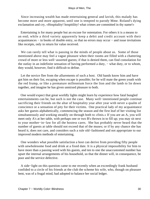Since increasing wealth has made entertaining general and lavish, this malady has become more and more apparent, until one is tempted to parody Mme. Roland's dying exclamation and cry, «Hospitality! hospitility! what crimes are committed in thy name!»

 Entertaining is for many people but an excuse for ostentation. For others it is a means to an end; while a third variety apparently keep a debit and credit account with their acquaintances − in books of double entry, so that no errors may occur − and issue invitations like receipts, only in return for value received.

We can rarely tell what is passing in the minds of people about us. Some of those mentioned above may feel a vague pleasure when their rooms are filled with a chattering crowd of more or less well−assorted guests; if that is denied them, can find consolation for the outlay in an indefinite sensation of having performed a duty, – what duty, or to whom, they would, however, find it difficult to define.

 Let the novice flee from the allurements of such a host. Old hands know him and have got him on their list, escaping when escape is possible; for he will mate the green youth with the red frump, or like a premature millennium force the lion and the lamb to lie down together, and imagine he has given unmixed pleasure to both.

 One would expect that great worldly lights might learn by experience how fatal bungled entertainments can be, but such is not the case. Many well−intentioned people continue sacrificing their friends on the altar of hospitality year after year with never a qualm of conscience or a sensation of pity for their victims. One practical lady of my acquaintance asks her guests alphabetically, commencing the season and the first leaf of her visiting list simultaneously and working steadily on through both to «finis.» If you are an A, you will meet only A's at her table, with perhaps one or two B's thrown in to fill up; you may sit next to your mother−in−law for all the hostess cares. She has probably never heard that the number of guests at table should not exceed that of the muses; or if by any chance she has heard it, does not care, and considers such a rule old−fashioned and not appropriate to our improved modern methods of entertaining.

 One wonders what possible satisfaction a host can derive from providing fifty people with unwholesome food and drink at a fixed date. It is a physical impossibility for him to have more than a passing word with his guests, and ten to one the unaccustomed number has upset the internal arrangements of his household, so that the dinner will, in consequence, be poor and the service defective.

 A side−light on this question came to me recently when an exceedingly frank husband confided to a circle of his friends at the club the scheme his wife, who, though on pleasure bent, was of a frugal mind, had adopted to balance her social ledger.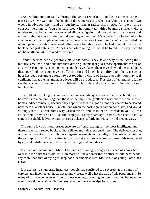«As we dine out constantly through the year,» remarked Benedict, «some return is necessary. So we wait until the height of the winter season, when everybody is engaged two weeks in advance, then send out our invitations at rather short notice for two or three consecutive dinners. You'd be surprised,» he remarked, with a beaming smile, «what a number refuse; last winter we cancelled all our obligations with two dinners, the flowers and entrees being as fresh on the second evening as the first! It's wonderful!» he remarked in conclusion, «how simple entertaining becomes when one knows how!» Which reminded me of an ingenious youth I once heard telling some friends how easy he had found it to write the book he had just published. After his departure we agreed that if he found it so easy it would not be worth our while to read his volume.

 Tender−hearted people generally make bad hosts. They have a way of collecting the morally lame, halt, and blind into their drawing−rooms that gives those apartments the air of a convalescent home. The moment a couple have placed themselves beyond the social pale, these purblind hosts conceive an affection for and lavish hospitality upon them. If such a host has been fortunate enough to get together a circle of healthy people, you may feel confident that at the last moment a leper will be introduced. This class of entertainers fail to see that society cannot he run on a philanthropic basis, and so insist on turning their salons into hospitals.

 It would take too long to enumerate the thousand idiosyncrasies of the color−blind; few, however, are more amusing than those of the impulsive gentlemen who invite people to their homes indiscriminately, because they happen to feel in a good humor or chance to be seated next them at another house, – invitations which the host regrets half an hour later, and would willingly recall. «I can't think why I asked the So−and−sos!» he will confide to you. « I can't abide them; they are as dull as the dropsy!» Many years ago in Paris, we used to call a certain hospitable lady's invitations «soup tickets,» so little individuality did they possess.

 The subtle laws of moral precedence are difficult reading for the most intelligent, and therefore remain sealed books to the afflicted mortals mentioned here. The delicate tact that, with no apparent effort, combines congenial elements into a delightful whole is lacking in their composition. The nice discrimination that presides over some households is replaced by a jovial indifference to other persons' feelings and prejudices.

 The idea of placing pretty Miss Debutante next young Strongboys instead of giving her over into the clutches of old Mr. Boremore will never enter these obtuse entertainers' heads, any more than that of trying to keep poor, defenceless Mrs. Mouse out of young Tom Cat's claws.

 It is useless to enumerate instances; people have suffered too severely at the hands of careless and incompetent hosts not to know pretty well what the title of this paper means. So many of us have come away from fruitless evenings, grinding our teeth, and vowing never to enter those doors again while life lasts, that the time seems ripe for a protest.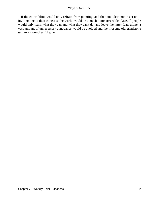If the color−blind would only refrain from painting, and the tone−deaf not insist on inviting one to their concerts, the world would be a much more agreeable place. If people would only learn what they can and what they can't do, and leave the latter feats alone, a vast amount of unnecessary annoyance would be avoided and the tiresome old grindstone turn to a more cheerful tune.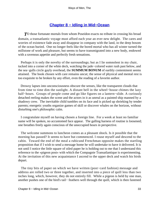# **[Chapter 8 − Idling in Mid−Ocean](#page-148-0)**

**TO** those fortunate mortals from whom Poseidon exacts no tribute in crossing his broad domain, a transatlantic voyage must afford each year an ever new delight. The cares and worries of existence fade away and disappear in company with the land, in the deep bosom of the ocean buried. One no longer feels like the bored mortal who has all winter turned the millstone of work and pleasure, but seems to have transmigrated into a new body, endowed with a ravenous appetite and perfectly fresh sensations.

 Perhaps it is only the novelty of the surroundings; but as I lie somnolent in my chair, tucked into a corner of the white deck, watching the jade−colored water rush past below, and the sea−gulls circle gayly overhead, the **SUMMUM BONUM** of earthly contentment seems attained. The book chosen with care remains uncut; the sense of physical and mental rest is too exquisite to be broken by any effort, even the reading of a favorite author.

 Drowsy lapses into unconsciousness obscure the senses, like the transparent clouds that from time to time dim the sunlight. A distant bell in the wheel−house chimes the lazy half−hours. Groups of people come and go like figures on a lantern−slide. A curiously detached reeling makes the scene and the actors in it as unreal as a painted ship manned by a shadowy crew. The inevitable child tumbles on its face and is picked up shrieking by tender parents; energetic youths organize games of skill or discover whales on the horizon, without disturbing one's philosophic calm.

 I congratulate myself on having chosen a foreign line. For a week at least no familiar name will be spoken, no accustomed face appear. The galling harness of routine is loosened; one breathes freely again conscious of the unoccupied hours in perspective.

 The welcome summons to luncheon comes as a pleasant shock. Is it possible that the morning has passed? It seems to have but commenced. I rouse myself and descend to the cabin. Toward the end of the meal a rubicund Frenchman opposite makes the startling proposition that if I wish to send a message home he will undertake to have it delivered. It is not until I notice the little square of oiled paper he is holding out to me that I understand this reference to the «pigeon post» with which the Compagnie Transatlantique is experimenting. At the invitation of this new acquaintance I ascend to the upper deck and watch his birds depart.

 The tiny bits of paper on which we have written (post−card fashion) message and address are rolled two or three together, and inserted into a piece of quill less than two inches long, which, however, they do not entirely fill. While a pigeon is held by one man, another pushes one of the bird's tail− feathers well through the quill, which is then fastened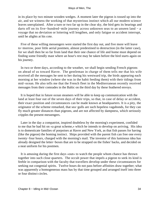in its place by two minute wooden wedges. A moment later the pigeon is tossed up into the air, and we witness the working of that mysterious instinct which all our modern science leaves unexplained. After a turn or two far up in the clear sky, the bird gets its bearings and darts off on its five−hundred−mile journey across unknown seas to an unseen land − a voyage that no deviation or loitering will lengthen, and only fatigue or accident interrupt, until he alights at his cote.

 Five of these willing messengers were started the first day out, and five more will leave to−morrow, poor little aerial postmen, almost predestined to destruction (in the latter case), for we shall then be so far from land that their one chance of life and home must depend on finding some friendly mast where an hour's rest may be taken before the bird starts again on his journey.

 In two or three days, according to the weather, we shall begin sending French pigeons on ahead of us toward Havre. The gentleman in charge of them tells me that his wife received all the messages he sent to her during his westward trip, the birds appearing each morning at her window (where she was in the habit feeding them) with their tidings from mid−ocean. He also tells me that the French fleet in the Mediterranean recently received messages from their comrades in the Baltic on the third day by these feathered envoys.

 It is hoped that in future ocean steamers will be able to keep up communication with the land at least four out of the seven days of their trips, so that, in case of delay or accident, their exact position and circumstances can be made known at headquarters. It is a pity, the originator of the scheme remarked, that sea−gulls are such hopeless vagabonds, for they can fly much greater distances than pigeons, and are not affected by dampness, which seriously cripples the present messengers.

 Later in the day a compatriot, inspired doubtless by the morning's experiment, confided to me that he had hit on «a great scheme,» which he intends to develop on arriving. His idea is to domesticate families of porpoises at Havre and New York, as that fish passes for having (like the pigeon) the homing instinct. Ships provided with the parent fish can free one every twenty−four hours, charged with the morning's mail. The inventor of this luminous idea has already designed the letter−boxes that are to be strapped on the fishes' backs, and decided on a neat uniform for his postmen.

 It is amusing during the first days «out» to watch the people whom chance has thrown together into such close quarters. The occult power that impels a pigeon to seek its kind is feeble in comparison with the faculty that travellers develop under these circumstances for seeking out congenial spirits. Twelve hours do not pass before affinities draw together; what was apparently a homogeneous mass has by that time grouped and arranged itself into three or four distinct circles.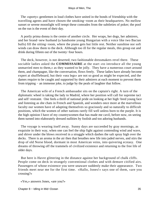The «sporty» gentlemen in loud clothes have united in the bonds of friendship with the travelling agents and have chosen the smoking−room as their headquarters. No mellow sunset or serene moonlight will tempt these comrades from the subtleties of poker; the pool on the run is the event of their day.

 A portly prima donna is the centre of another circle. Her wraps, her dogs, her admirers, and her brand−new husband (a handsome young Hungarian with a voice like two Bacian bulls) fill the sitting−room, where the piano gets but little rest. Neither sunshine nor soft winds can draw them to the deck. Although too ill for the regular meals, this group eat and drink during fifteen out of the twenty−four hours.

 The deck, however, is not deserted; two fashionable dressmakers revel there. These sociable ladies asked the **COMMISSAIRE** at the start «to introduce all the young unmarried men to them,» as they wanted to be jolly. They have a numerous court around them, and champagne, like the conversation, flows freely. These ladies have already become expert at shuffleboard, but their «sea legs» are not so good as might be expected, and the dames require to be caught and supported by their admirers at each moment to prevent them from tripping − an immense joke, to judge by the peals of laughter that follow.

 The American wife of a French ambassador sits on the captain's right. A turn of the diplomatic wheel is taking the lady to Madrid, where her position will call for supreme tact and self−restraint. One feels a thrill of national pride on looking at her high−bred young face and listening as she chats in French and Spanish, and wonders once more at the marvellous faculty our women have of adapting themselves so graciously and so naturally to difficult positions, which the women of other nations rarely fill well unless born to the purple. It is the high opinion I have of my countrywomen that has made me cavil, before now, on seeing them turned into elaborately dressed nullities by foolish and too adoring husbands.

 The voyage is wearing itself away. Sunny days are succeeded by gray mornings, as exquisite in their way, when one can feel the ship fight against contending wind and wave, and shiver under the blows received in a struggle which dashes the salt spray high over the decks. There is an aroma in the air then that breathes new life into jaded nerves, and stirs the drop of old Norse blood, dormant in most American veins, into quivering ecstasy. One dreams of throwing off the trammels of civilized existence and returning to the free life of older days.

 But here is Havre glittering in the distance against her background of chalk cliffs. People come on deck in strangely conventional clothes and with demure citified airs. Passengers of whose existence you were unaware suddenly make their appearance. Two friends meet near me for the first time. «Hallo, Jones!» says one of them, «are you crossing?»

```
 «Yes,» answers Jones, «are you?»
```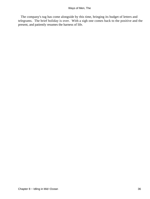The company's tug has come alongside by this time, bringing its budget of letters and telegrams. The brief holiday is over. With a sigh one comes back to the positive and the present, and patiently resumes the harness of life.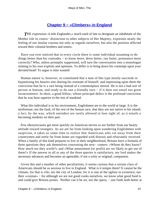# **[Chapter 9 − «Climbers» in England](#page-148-0)**

**THE** expression «Little Englander,» much used of late to designate an inhabitant of the Mother Isle in contra− distinction to other subjects of Her Majesty, expresses neatly the feeling of our insular cousins not only as regards ourselves, but also the position affected toward their colonial brothers and sisters.

 Have you ever noticed that in every circle there is some individual assuming to do things better than his comrades − to know more, dress better, run faster, pronounce more correctly? Who, unless promptly suppressed, will turn the conversation into a monologue relating to his own exploits and opinions. To differ is to bring down his contempt upon your devoted head! To argue is time wasted!

 Human nature is, however, so constituted that a man of this type mostly succeeds in hypnotizing his hearers into sharing his estimate of himself, and impressing upon them the conviction that he is a rare being instead of a commonplace mortal. He is not a bad sort of person at bottom, and ready to do one a friendly turn − if it does not entail too great inconvenience. In short, a good fellow, whose principal defect is the profound conviction that he was born superior to the rest of mankind.

 What this individual is to his environment, Englishmen are to the world at large. It is the misfortune, not the fault, of the rest of the human race, that they are not native to his island; a fact, by the way, which outsiders are rarely allowed to lose sight of, as it entails a becoming modesty on their part.

 Few idiosyncrasies get more quickly on American nerves or are further from our hearty attitude toward strangers. As we are far from looking upon wandering Englishmen with suspicion, it takes us some time to realize that Americans who cut away from their countrymen and settle far from home are regarded with distrust and reluctantly received. When a family of this kind prepares to live in their neighborhood, Britons have a formula of three questions they ask themselves concerning the new− comers: «Whom do they know? How much are they worth?» and «What amusement (or profit) are we likely to get out of them?» If the answer to all or any of the three queries is satisfactory, my lord makes the necessary advances and becomes an agreeable, if not a witty or original, companion.

 Given this and a number of other peculiarities, it seems curious that a certain class of Americans should be so anxious to live in England. What is it tempts them? It cannot be the climate, for that is vile; nor the city of London, for it is one of the ugliest in existence; nor their «cuisine» − for although we are not good cooks ourselves, we know what good food is and could give Britons points. Neither can it be art, nor the opera, − one finds both better at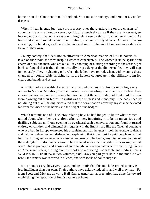home or on the Continent than in England. So it must be society, and here one's wonder deepens!

 When I hear friends just back from a stay over there enlarging on the charms of «country life,» or a London «season,» I look attentively to see if they are in earnest, so incomparably dull have I always found English house parties or town entertainments. At least that side of society which the climbing stranger mostly affects. Other circles are charming, if a bit slow, and the «Bohemia» and semi−Bohemia of London have a delicate flavor of their own.

 County society, that ideal life so attractive to American readers of British novels, is, taken on the whole, the most insipid existence conceivable. The women lack the sparkle and charm of ours; the men, who are out all day shooting or hunting according to the season, get back so fagged that if they do not actually drop asleep at the dinner−table, they will nap immediately after, brightening only when the ladies have retired, when, with evening dress changed for comfortable smoking suits, the hunters congregate in the billiard−room for cigars and brandy and seltzer.

 A particularly agreeable American woman, whose husband insists on going every winter to Melton−Mowbray for the hunting, was describing the other day the life there among the women, and expressing her wonder that those who did not hunt could refrain from blowing out their brains, so awful was the dulness and monotony! She had ended by not dining out at all, having discovered that the conversation never by any chance deviated far from the knees of the horses and the height of the hedges!

 Which reminds one of Thackeray relating how he had longed to know what women talked about when they were alone after dinner, imagining it to be on mysterious and thrilling subjects, until one evening he overheard such a conversation and found it turned entirely on children and ailments! As regards wit, the English are like the Oriental potentate who at a ball in Europe expressed his astonishment that the guests took the trouble to dance and get themselves hot and dishevelled, explaining that in the East he paid people to do that for him. In England «amusers» are invited expressly to be funny; anything uttered by one of these delightful individuals is sure to be received with much laughter. It is so simple that way! One is prepared and knows when to laugh. Whereas amateur wit is confusing. When an American I knew, turning over the books on a drawing−room table and finding Hare's WALKS IN LONDON, in two volumes, said, «So you part your hair in the middle over here,» the remark was received in silence, and with looks of polite surprise.

 It is not necessary, however, to accumulate proofs that this much described society is less intelligent than our own. Their authors have acknowledged it, and well they may. For from Scott and Dickens down to Hall Caine, American appreciation has gone far toward establishing the reputation of English writers at home.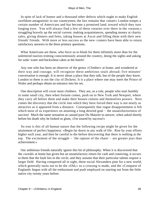In spite of lack of humor and a thousand other defects which ought to make English swelldom antagonistic to our countrymen, the fact remains that «smart» London tempts a certain number of Americans and has become a promised land, toward which they turn longing eyes. You will always find a few of these votaries over there in the «season,» struggling bravely up the social current, making acquaintances, spending money at charity sales, giving dinners and fetes, taking houses at Ascot and filling them with their new friends' friends. With more or less success as the new−comers have been able to return satisfactory answers to the three primary questions.

 What Americans are these, who force us to blush for them infinitely more than for the unlettered tourists trotting conscientiously around the country, doing the sights and asking for soda−water and buckwheat cakes at the hotels!

 Any one who has been an observer of the genus «Climber» at home, and wondered at their way and courage, will recognize these ambitious souls abroad; five minutes' conversation is enough. It is never about a place that they talk, but of the people they know. London to them is not the city of Dickens. It is a place where one may meet the Prince of Wales and perhaps obtain an entrance into his set.

 One description will cover most climbers. They are, as a rule, people who start humbly in some small city, then when fortune comes, push on to New York and Newport, where they carry all before them and make their houses centres and themselves powers. Next comes the discovery that the circle into which they have forced their way is not nearly as attractive as it appeared from a distance. Consequently that vague disappointment is felt which most of us experience on attaining a long desired goal – the unsatisfactoriness of success! Much the same sensation as caused poor Du Maurier to answer, when asked shortly before his death why he looked so glum, «I'm soured by success!»

 So true is this of all human nature that the following recipe might be given for the attainment of perfect happiness: «Begin far down in any walk of life. Rise by your efforts higher each year, and then be careful to die before discovering that there is nothing at the top. The excitement of the struggle – `the rapture of the chase' – are greater joys than achievement.»

 Our ambitious friends naturally ignore this bit of philosophy. When it is discovered that the «world» at home has given but an unsatisfactory return for cash and conniving, it occurs to them that the fault lies in the circle, and they assume that their particular talents require a larger field. Having conquered all in sight, these social Alexanders pine for a new world, which generally turns out to be the «Old,» so a crossing is made, and the «Conquest of England» begun with all the enthusiasm and push employed on starting out from the little native city twenty years before.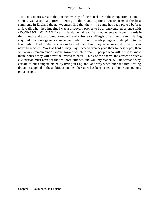It is in Victoria's realm that foemen worthy of their steel await the conquerors. Home society was a too easy prey, opening its doors and laying down its arms at the first summons. In England the new−comers find that their little game has been played before; and, well, what they imagined was a discovery proves to be a long−studied science with «DONNANT! DONNANT!» as its fundamental law. Wily opponents with trump cards in their hands and a profound knowledge of «Hoyle» smilingly offer them seats. Having acquired in a home game a knowledge of «bluff,» our friends plunge with delight into the fray, only to find English society so formed that, climb they never so wisely, the top can never be reached. Work as hard as they may, succeed even beyond their fondest hopes, there will always remain circles above, toward which to yearn – people who will refuse to know them, houses they will never be invited to enter. Think of the charm, the attraction such a civilization must have for the real born climber, and you, my reader, will understand why certain of our compatriots enjoy living in England, and why when once the intoxicating draught (supplied to the ambitious on the other side) has been tasted, all home concoctions prove insipid.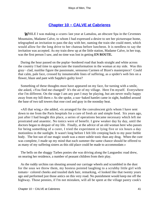# **[Chapter 10 − CALVE at Cabrieres](#page-148-0)**

*W*HILE I was making a «cure» last year at Lamalou, an obscure Spa in the Cevennes Mountains, Madame Calve, to whom I had expressed a desire to see her picturesque home, telegraphed an invitation to pass the day with her, naming the train she could meet, which would allow for the long drive to her chateau before luncheon. It is needless to say the invitation was accepted. As my train drew up at the little station, Madame Calve, in her trap, was the first person I saw, and no time was lost in getting **EN ROUTE.**

 During the hour passed on the poplar−bordered road that leads straight and white across the country I had time to appreciate the transformation in the woman at my side. Was this gray− clad, nunlike figure the passionate, sensuous Carmen of Bizet's masterpiece? Could that calm, pale face, crossed by innumerable lines of suffering, as a spider's web lies on a flower, blaze and pant with Sappho's guilty love?

 Something of these thoughts must have appeared on my face, for turning with a smile, she asked, «You find me changed? It's the air of my village. Here I'm myself. Everywhere else I'm different. On the stage I am any part I may be playing, but am never really happy away from my hill there.» As she spoke, a sun−baked hamlet came in sight, huddled around the base of two tall towers that rose cool and gray in the noonday heat.

 «All that wing,» she added, «is arranged for the convalescent girls whom I have sent down to me from the Paris hospitals for a cure of fresh air and simple food. Six years ago, just after I had bought this place, a series of operations became necessary which left me prostrated and anaemic. No tonics were of benefit. I grew weaker day by day, until the doctors began to despair of my life. Finally, at the advice of an old woman here who passes for being something of a curer, I tried the experiment or lying five or six hours a day motionless in the sunlight. It wasn't long before I felt life creeping back to my poor feeble body. The hot sun of our magic south was a more subtle tonic than any drug. When the cure was complete, I made up my mind that each summer the same chance should be offered to as many of my suffering sisters as this old place could be made to accommodate.»

 The bells on the shaggy Tarbes ponies she was driving along the Languedoc road drew, on nearing her residence, a number of peasant children from their play.

 As the ruddy urchins ran shouting around our carriage wheels and scrambled in the dust for the sous we threw them, my hostess pointed laughing to a scrubby little girl with tomato− colored cheeks and tousled dark hair, remarking, «I looked like that twenty years ago and performed just those antics on this very road. No punishment would keep me off the highway. Those pennies, if I'm not mistaken, will all be spent at the village pastry cook's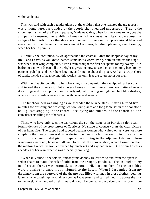within an hour.»

 This was said with such a tender glance at the children that one realized the great artist was at home here, surrounded by the people she loved and understood. True to the «homing» instinct of the French peasant, Madame Calve, when fortune came to her, bought and partially restored the rambling chateau which at sunset casts its shadow across the village of her birth. Since that day every moment of freedom from professional labor and every penny of her large income are spent at Cabrieres, building, planning, even farming, when her health permits.

 «I think,» she continued, as we approached the chateau, «that the happiest day of my life − and I have, as you know, passed some hours worth living, both on and off the stage − was when, that wing completed, a Paris train brought the first occupants for my twenty little bedrooms; no words can tell the delight it gives me now to see the color coming back to my patients' pale lips and hear them laughing and singing about the place. As I am always short of funds, the idea of abandoning this work is the only fear the future holds for me.»

With the vivacity peculiar to her character, my companion then whipped up her cobs and turned the conversation into gayer channels. Five minutes later we clattered over a drawbridge and drew up in a roomy courtyard, half blinding sunlight and half blue shadow, where a score of girls were occupied with books and sewing.

 The luncheon bell was ringing as we ascended the terrace steps. After a hurried five minutes for brushing and washing, we took our places at a long table set in the cool stone hall, guests stopping in the chateau occupying one end around the chatelaine, the convalescents filling the other seats.

 Those who have only seen the capricious diva on the stage or in Parisian salons can form little idea of the proprietress of Cabrieres. No shade of coquetry blurs the clear picture of her home life. The capped and saboted peasant women who waited on us were not more simple in their ways. Several times during the meal she left her seat to inquire after the comfort of some invalid girl or inspect the cooking in the adjacent kitchen. These wanderings were not, however, allowed to disturb the conversation, which flowed on after the mellow French fashion, enlivened by much wit and gay badinage. One of our hostess's anecdotes at her own expense was especially amusing.

 «When in Venice,» she told us, "most prima donnas are carried to and from the opera in sedan chairs to avoid the risk of colds from the draughty gondolas. The last night of my initial season there, I was informed, as the curtain fell, that a number of Venetian nobles were planning to carry me in triumph to the hotel. When I descended from my dressing−room the courtyard of the theatre was filled with men in dress clothes, bearing lanterns, who caught up the chair as soon as I was seated and carried it noisily across the city to the hotel. Much moved by this unusual honor, I mounted to the balcony of my room, from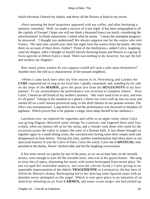which elevation I bowed my thanks, and threw all the flowers at hand to my escort.

 «Next morning the hotel proprietor appeared with my coffee, and after hesitating a moment, remarked: `Well, we made a success of it last night. It has been telegraphed to all the capitals of Europe! I hope you will not think a thousand francs too much, considering the advertisement!' In blank amazement, I asked what he meant. `I mean the triumphal progress,' he answered. `I thought you understood! We always organize one for the »stars« who visit Venice. The men who carried your chair last night were the waiters from the hotels. We hire them on account of their dress clothes'! Think of the disillusion,» added Calve, laughing, «and my disgust, when I thought of myself naively throwing kisses and flowers to a group of Swiss garcons at fifteen francs a head. There was nothing to do, however, but pay the bill and swallow my chagrin!»

 How many pretty women do you suppose would tell such a joke upon themselves? Another story she told us is characteristic of her peasant neighbors.

 «When I came back here after my first season in St. Petersburg and London the **CURE** requested me to sing at our local fete. I gladly consented, and, standing by his side on the steps of the **MAIRIE,** gave the great aria from the **HUGUENOTS** in my best manner. To my astonishment the performance was received in complete silence. `Poor Calve,' I heard an old friend of my mother's murmur. `Her voice used to be so nice, and now it's all gone!' Taking in the situation at a glance, I threw my voice well up into my nose and started off on a well−known provincial song, in the shrill falsetto of our peasant women. The effect was instantaneous! Long before the end the performance was drowned in thunders of applause. Which proves that to be popular a singer must adapt herself to her audience.»

 Luncheon over, we repaired for cigarettes and coffee to an upper room, where Calve was giving Dagnan−Bouveret some sittings for a portrait, and lingered there until four o'clock, when our hostess left us for her siesta, and a «break» took those who cared for the excursion across the valley to inspect the ruins of a Roman bath. A late dinner brought us together again in a small dining room, the convalescents having eaten their simple meal and disappeared an hour before. During this time, another transformation had taken place in our mercurial hostess! It was the Calve of Paris, Calve the witch, Calve the **CAPITEUSE,** who presided at the dainty, flower−decked table and led the laughing conversation.

 A few notes struck on a guitar by one of the party, as we sat an hour later on the moonlit terrace, were enough to start off the versatile artist, who was in her gayest humor. She sang us stray bits of opera, alternating her music with scenes burlesqued from recent plays. No one escaped her inimitable mimicry, not even the «divine Sarah,» Calve giving us an unpayable impersonation of the elderly **TRAGEDIENNE** as Lorenzaccio, the boy hero of Alfred de Musset's drama. Burlesquing led to her dancing some Spanish steps with an abandon never attempted on the stage! Which in turn gave place to an imitation of an American whistling an air from **CARMEN,** and some «coon songs» she had picked up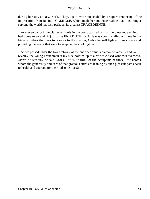during her stay at New York. They, again, were succeeded by a superb rendering of the imprecation from Racine's **CAMILLE,** which made her audience realize that in gaining a soprano the world has lost, perhaps, its greatest **TRAGEDIENNE.**

 At eleven o'clock the clatter of hoofs in the court warned us that the pleasant evening had come to an end. A journalist **EN ROUTE** for Paris was soon installed with me in the little omnibus that was to take us to the station, Calve herself lighting our cigars and providing the wraps that were to keep out the cool night air.

 As we passed under the low archway of the entrance amid a clamor of «adieu» and «au revoir,» the young Frenchman at my side pointed up to a row of closed windows overhead. «Isn't it a lesson,» he said, «for all of us, to think of the occupants of those little rooms, whom the generosity and care of that gracious artist are leaning by such pleasant paths back to health and courage for their toilsome lives?»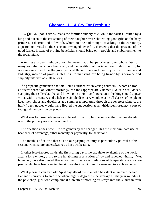# **[Chapter 11 − A Cry For Fresh Air](#page-148-0)**

*«O*NCE upon a time,» reads the familiar nursery tale, while the fairies, invited by a king and queen to the christening of their daughter, were showering good gifts on the baby princess, a disgruntled old witch, whom no one had thought of asking to the ceremony, appeared uninvited on the scene and revenged herself by decreeing that the presents of the good fairies, instead of proving beneficial, should bring only trouble and embarrassment to the royal infant.

 A telling analogy might be drawn between that unhappy princess over whose fate so many youthful tears have been shed, and the condition of our invention−ridden country; for we see every day how the good gifts of those nineteenth century fairies, Science and Industry, instead of proving blessings to mankind, are being turned by ignorance and stupidity into veritable afflictions.

 If a prophetic gentleman had told Louis Fourteenth's shivering courtiers − whom an iron etiquette forced on winter mornings into the (appropriately named) Galerie des Glaces, stamping their silk−clad feet and blowing on their blue fingers, until the king should appear − that within a century and a half one simple discovery would enable all classes of people to keep their shops and dwellings at a summer temperature through the severest winters, the half−frozen nobles would have flouted the suggestion as an «iridescent dream,» a sort of too−good− to−be−true prophecy.

 What was to those noblemen an unheard−of luxury has become within the last decade one of the primary necessities of our life.

 The question arises now: Are we gainers by the change? Has the indiscriminate use of heat been of advantage, either mentally or physically, to the nation?

 The incubus of caloric that sits on our gasping country is particularly painful at this season, when nature undertakes to do her own heating.

 In other less−favored lands, the first spring days, the exquisite awakening of the world after a long winter, bring to the inhabitants a sensation of joy and renewed vitality. We, however, have discounted that enjoyment. Delicate gradations of temperature are lost on people who have been stewing for six months in a mixture of steam and twice−breathed air.

 What pleasure can an early April day afford the man who has slept in an over−heated flat and is hurrying to an office where eighty degrees is the average all the year round? Or the pale shop−girl, who complains if a breath of morning air strays into the suburban train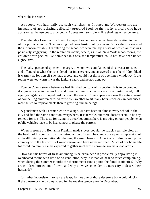where she is seated?

 As people who habitually use such «relishes» as Chutney and Worcestershire are incapable of appreciating delicately prepared food, so the «soft» mortals who have accustomed themselves to a perpetual August are insensible to fine shadings of temperature.

 The other day I went with a friend to inspect some rooms he had been decorating in one of our public schools. The morning had been frosty, but by eleven o'clock the sun warmed the air uncomfortably. On entering the school we were met by a blast of heated air that was positively staggering. In the recitation rooms, where, as in all New York schoolrooms, the children were packed like dominoes in a box, the temperature could not have been under eighty−five.

 The pale, spectacled spinster in charge, to whom we complained of this, was astonished and offended at what she considered our interference, and answered that «the children liked it warm,» as for herself she «had a cold and could not think of opening a window.» If the rooms were too warm it was the janitor's fault, and he had gone out!

 Twelve o'clock struck before we had finished our tour of inspection. It is to be doubted if anywhere else in the world could there be found such a procession of pasty−faced, dull− eyed youngsters as trooped past us down the stairs. Their appearance was the natural result of compelling children dressed for winter weather to sit many hours each day in hothouses, more suited to tropical plants than to growing human beings.

 A gentleman with us remarked with a sigh, «I have been in almost every school in the city and find the same condition everywhere. It is terrible, but there doesn't seem to be any remedy for it.» The taste for living in a red−hot atmosphere is growing on our people; even public vehicles have to be heated now to please the patrons.

 When tiresome old Benjamin Franklin made stoves popular he struck a terrible blow at the health of his compatriots; the introduction of steam heat and consequent suppression of all health−giving ventilation did the rest; the rosy cheeks of American children went up the chimney with the last whiff of wood smoke, and have never returned. Much of our home life followed; no family can be expected to gather in cheerful converse around a «radiator.»

 How can this horror of fresh air among us be explained? If people really enjoy living in overheated rooms with little or no ventilation, why is it that we hear so much complaining, when during the summer months the thermometer runs up into the familiar nineties? Why are children hurried out of town, and why do wives consider it a necessity to desert their husbands?

 It's rather inconsistent, to say the least, for not one of those deserters but would «kick» if the theatre or church they attend fell below that temperature in December.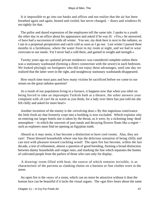It is impossible to go into our banks and offices and not realize that the air has been breathed again and again, heated and cooled, but never changed, − doors and windows fit too tightly for that.

 The pallor and dazed expression of the employees tell the same tale. I spoke to a youth the other day in an office about his appearance and asked if he was ill. «Yes,» he answered, «I have had a succession of colds all winter. You see, my desk here is next to the radiator, so I am in a perpetual perspiration and catch cold as soon as I go out. Last winter I passed three months in a farmhouse, where the water froze in my room at night, and we had to wear overcoats to our meals. Yet I never had a cold there, and gained in weight and strength.»

 Twenty years ago no «palatial private residence» was considered complete unless there was a stationary washstand (forming a direct connection with the sewer) in each bedroom. We looked pityingly on foreigners who did not enjoy these advantages, until one day we realized that the latter were in the right, and straightway stationary washstands disappeared.

 How much time must pass and how many victims be sacrificed before we come to our senses on the great radiator question?

 As a result of our population living in a furnace, it happens now that when you rebel on being forced to take an impromptu Turkish bath at a theatre, the usher answers your complaint with «It can't be as warm as you think, for a lady over there has just told me she felt chilly and asked for more heat!»

 Another invention of the enemy is the «revolving door.» By this ingenious contrivance the little fresh air that formerly crept into a building is now excluded. Which explains why on entering our larger hotels one is taken by the throat, as it were, by a sickening long−dead atmosphere − in which the souvenir of past meals and decaying flowers floats like a regret − such as explorers must find on opening an Egyptian tomb.

 Absurd as it may seem, it has become a distinction to have cool rooms. Alas, they are rare! Those blessed households where one has the delicious sensation of being chilly and can turn with pleasure toward crackling wood! The open fire has become, within the last decade, a test of refinement, almost a question of good breeding, forming a broad distinction between dainty households and vulgar ones, and marking the line which separates the homes of cultivated people from the parlors of those who care only for display.

 A drawing−room filled with heat, the source of which remains invisible, is as characteristic of the parvenu as clanking chains on a harness or fine clothes worn in the street.

 An open fire is the «eye» of a room, which can no more be attractive without it than the human face can be beautiful if it lacks the visual organs. The «gas fire» bears about the same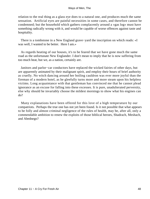relation to the real thing as a glass eye does to a natural one, and produces much the same sensation. Artificial eyes are painful necessities in some cases, and therefore cannot be condemned; but the household which gathers complacently around a «gas log» must have something radically wrong with it, and would be capable of worse offences against taste and hospitality.

 There is a tombstone in a New England grave−yard the inscription on which reads: «I was well, I wanted to be better. Here I am.»

 As regards heating of our houses, it's to be feared that we have gone much the same road as the unfortunate New Englander. I don't mean to imply that he is now suffering from too much heat, but we, as a nation, certainly are.

 Janitors and parlor−car conductors have replaced the wicked fairies of other days, but are apparently animated by their malignant spirit, and employ their hours of brief authority as cruelly. No witch dancing around her boiling cauldron was ever more joyful than the fireman of a modern hotel, as he gleefully turns more and more steam upon his helpless victims. Long acquaintance with that gentleman has convinced me that he cannot plead ignorance as an excuse for falling into these excesses. It is pure, unadulterated perversity, else why should he invariably choose the mildest mornings to show what his engines can do?

 Many explanations have been offered for this love of a high temperature by our compatriots. Perhaps the true one has not yet been found. Is it not possible that what appears to be folly and almost criminal negligence of the rules of health, may be, after all, only a commendable ambition to renew the exploits of those biblical heroes, Shadrach, Meshach, and Abednego?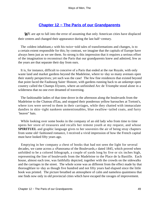# **[Chapter 12 − The Paris of our Grandparents](#page-148-0)**

*W*E are apt to fall into the error of assuming that only American cities have displaced their centres and changed their appearance during the last half−century.

 The «oldest inhabitant,» with his twice−told tales of transformations and changes, is to a certain extent responsible for this; by contrast, we imagine that the capitals of Europe have always been just as we see them. So strong is this impression that it requires a serious effort of the imagination to reconstruct the Paris that our grandparents knew and admired, few as the years are that separate their day from ours.

 It is, for instance, difficult to conceive of a Paris that ended at the rue Royale, with only waste land and market gardens beyond the Madeleine, where to−day so many avenues open their stately perspectives; yet such was the case! The few fine residences that existed beyond that point faced the Faubourg Saint−Honore, with gardens running back to an unkempt open country called the Champs Elysees, where an unfinished Arc de Triomphe stood alone in a wilderness that no one ever dreamed of traversing.

 The fashionable ladies of that time drove in the afternoon along the boulevards from the Madeleine to the Chateau d'Eau, and stopped their ponderous yellow barouches at Tortoni's, where ices were served to them in their carriages, while they chatted with immaculate dandies in skin−tight nankeen unmentionables, blue swallow−tailed coats, and furry `beaver" hats.

 While looking over some books in the company of an old lady who from time to time opens her store of treasures and recalls her remote youth at my request, and whose **SPIRITUEL** and graphic language gives to her souvenirs the air of being stray chapters from some old−fashioned romance, I received a vivid impression of how the French capital must have looked fifty years ago.

 Emptying in her company a chest of books that had not seen the light for several decades, we came across a «Panorama of the Boulevards,» dated 1845, which proved when unfolded to be a colored lithograph, a couple of yards long by five or six inches high, representing the line of boulevards from the Madeleine to the Place de la Bastille. Each house, almost each tree, was faithfully depicted, together with the crowds on the sidewalks and the carriages in the street. The whole scene was as different from the effect made by that thoroughfare to−day as though five hundred and not fifty years had elapsed since the little book was printed. The picture breathed an atmosphere of calm and nameless quaintness that one finds now only in old provincial cities which have escaped the ravages of improvement.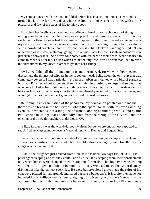My companion sat with the book unfolded before her, in a smiling trance. Her mind had turned back to the far−away days when she first trod those streets a bride, with all the pleasures and few of the cares of life to think about.

 I watched her in silence (it seemed a sacrilege to break in on such a train of thought), until gradually her eyes lost their far−away expression, and, turning to me with a smile, she exclaimed: «How we ever had the courage to appear in the street dressed as we were is a mystery! Do you see that carriage?» pointing in the print to a high−swung family vehicle with a powdered coachman on the box, and two sky−blue lackeys standing behind. "I can remember, as if it were yesterday, going to drive with Lady B−, the British ambassadress, in just such a conveyance. She drove four horses with feathers on their heads, when she used to come to Meurice's for me. I blush when I think that my frock was so scant that I had to raise the skirt almost to my knees in order to get into her carriage.

 «Why we didn't all die of pneumonia is another marvel, for we wore low−necked dresses and the thinnest of slippers in the street, our heads being about the only part that was completely covered. I was particularly proud of a turban surmounted with a bird of paradise, but Lady B− affected poke bonnets, then just coming into fashion, so large and so deep that when one looked at her from the side nothing was visible except two curls, `as damp and as black as leeches.' In other ways our toilets were absurdly unsuited for every−day wear; we wore light scarves over our necks, and rarely used furlined pelisses.»

 Returning to an examination of the panorama, my companion pointed out to me that there was no break in the boulevards, where the opera−house, with its seven radiating avenues, now stands, but a long line of Hotels, dozing behind high walls, and quaint two−storied buildings that undoubtedly dated from the razing of the city wall and the opening of the new thoroughfare under Louis XV.

 A little farther on was the world−famous Maison Doree, where one almost expected to see Alfred de Musset and le docteur Veron dining with Dumas and Eugene Sue.

 «What in the name of goodness is that?» I exclaimed, pointing to a couple of black and yellow monstrosities on wheels, which looked like three carriages joined together with a «buggy» added on in front.

 "That's the diligence just arrived from Calais; it has been two days **EN ROUTE,** the passengers sleeping as best they could, side by side, and escaping from their confinement only when horses were changed or while stopping for meals. That high two−wheeled trap with the little `tiger' standing up behind is a tilbury. We used to see the Count d'Orsay driving one like that almost every day. He wore butter−colored gloves, and the skirts of his coat were pleated full all around, and stood out like a ballet girl's. It is a pity they have not included Louis Philippe and his family jogging off to Neuilly in the court `carryall,' − the `Citizen King,' with his blue umbrella between his knees, trying to look like an honest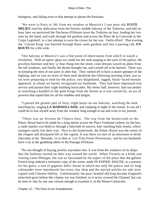bourgeois, and failing even in that attempt to please the Parisians.

 "We were in Paris in '48; from my window at Meurice's I saw poor old **JUSTE MILIEU** read his abdication from the historic middle balcony of the Tuileries, and half an hour later we perceived the Duchesse d'Orleans leave the Tuileries on foot, leading her two sons by the hand, and walk through the gardens and across the Place de la Concorde to the Corps Legislatif, in a last attempt to save the crown for her son. Futile effort! That evening the `Citizen King' was hurried through those same gardens and into a passing cab, **EN ROUTE** for a life exile.

 "Our balcony at Meurice's was a fine point of observation from which to watch a revolution. With an opera−glass we could see the mob surging to the sack of the palace, the priceless furniture and bric−a−brac flung into the street, court dresses waved on pikes from the tall windows, and finally the throne brought out, and carried off to be burned. There was no keeping the men of our party in after that. They rushed off to have a nearer glimpse of the fighting, and we saw no more of them until daybreak the following morning when, just as we were preparing to send for the police, two dilapidated, ragged, black−faced mortals appeared, in whom we barely recognized our husbands. They had been impressed into service and passed their night building barricades. My better half, however, had succeeded in snatching a handful of the gold fringe from the throne as it was carried by, an act of prowess that repaid him for all his troubles and fatigue.

 "I passed the greater part of forty−eight hours on our balcony, watching the mob marching by, singing **LA MARSEILLAISE,** and camping at night in the streets. It was all I could do to tear myself away from the window long enough to eat and write in my journal.

 "There was no Avenue de l'Opera then. The trip from the boulevards to the Palais−Royal had to be made by a long detour across the Place Vendome (where, by the bye, a cattle market was held) or through a labyrinth of narrow, bad−smelling little streets, where strangers easily lost their way. Next to the boulevards, the Palais−Royal was the centre of the elegant and dissipated life in the capital. It was there we met of an afternoon to drink chocolate at the `Rotonde,' or to dine at `Les Trois Freres Provencaux,' and let our husbands have a try at the gambling tables in the Passage d'Orleans.

 "No one thought of buying jewelry anywhere else. It was from the windows of its shops that the fashions started on their way around the world. When Victoria as a bride was visiting Louis Philippe, she was so fascinated by the aspect of the place that the gallant French king ordered a miniature copy of the scene, made IN PAPIER−MACHE, as a present for his guest, a sort of gigantic dolls' house in which not only the palace and its long colonnades were reproduced, but every tiny shop and the myriad articles for sale were copied with Chinese fidelity. Unfortunately the pear−headed old king became England's uninvited guest before this clumsy toy was finished, so it never crossed the Channel, but can be seen to−day by any one curious enough to examine it, in the Musee Carnavalet.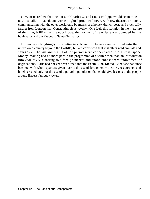«Few of us realize that the Paris of Charles X. and Louis Philippe would seem to us now a small, ill−paved, and worse− lighted provincial town, with few theatres or hotels, communicating with the outer world only by means of a horse− drawn `post,' and practically farther from London than Constantinople is to−day. One feels this isolation in the literature of the time; brilliant as the epoch was, the horizon of its writers was bounded by the boulevards and the Faubourg Saint−Germain.»

 Dumas says laughingly, in a letter to a friend: «I have never ventured into the unexplored country beyond the Bastille, but am convinced that it shelters wild animals and savages.» The wit and brains of the period were concentrated into a small space. Money−making had no more part in the programme of a writer then than an introduction into «society.» Catering to a foreign market and snobbishness were undreamed−of degradations. Paris had not yet been turned into the **FOIRE DU MONDE** that she has since become, with whole quarters given over to the use of foreigners, − theatres, restaurants, and hotels created only for the use of a polyglot population that could give lessons to the people around Babel's famous «tower.»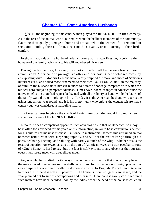# **[Chapter 13 − Some American Husbands](#page-148-0)**

*U*NTIL the beginning of this century men played the **BEAU ROLE** in life's comedy. As in the rest of the animal world, our males were the brilliant members of the community, flaunting their gaudy plumage at home and abroad, while the women−folk remained in seclusion, tending their children, directing the servants, or ministering to their lords' comfort.

 In those happy days the husband ruled supreme at his own fireside, receiving the homage of the family, who bent to his will and obeyed his orders.

 During the last century, however, the «part» of better half has become less and less attractive in America, one prerogative after another having been whisked away by enterprising wives. Modern Delilahs have yearly snipped off more and more of Samson's luxuriant curls, and added those ornaments to their own **COIFFURES,** until in the majority of families the husband finds himself reduced to a state of bondage compared with which the biblical hero enjoyed a pampered idleness. Times have indeed changed in America since the native chief sat in dignified repose bedizened with all the finery at hand, while the ladies of the family waited tremblingly upon him. To−day it is the American husband who turns the grindstone all the year round, and it is his pretty tyrant who enjoys the elegant leisure that a century ago was considered a masculine luxury.

 To America must be given the credit of having produced the model husband, a new species, as it were, of the **GENUS HOMO.**

 In no role does a compatriot appear to such advantage as in that of Benedict. As a boy he is often too advanced for his years or his information; in youth he is conspicuous neither for his culture nor his unselfishness. But once in matrimonial harness this untrained animal becomes bridle−wise with surprising rapidity, and will for the rest of life go through his paces, waltzing, kneeing, and saluting with hardly a touch of the whip. Whether this is the result of superior horse−womanship on the part of American wives or a trait peculiar to sons of «Uncle Sam,» is hard to say, but the fact is self−evident to any observer that our fair equestrians rarely meet with a rebellious mount.

 Any one who has studied marital ways in other lands will realize that in no country have the men effaced themselves so gracefully as with us. In this respect no foreign production can compare for a moment with the domestic article. In English, French, and German families the husband is still all− powerful. The house is mounted, guests are asked, and the year planned out to suit his occupations and pleasure. Here papa is rarely consulted until such matters have been decided upon by the ladies, when the head of the house is called in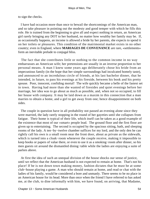to sign the checks.

 I have had occasion more than once to bewail the shortcomings of the American man, and so take pleasure in pointing out the modesty and good temper with which he fills this role. He is trained from the beginning to give all and expect nothing in return, an American girl rarely bringing any DOT to her husband, no matter how wealthy her family may be. If, as occasionally happens, an income is allowed a bride by her parents, she expects to spend it on her toilets or pleasures. This condition of the matrimonial market exists in no other country; even in England, where **MARIAGES DE CONVENANCE** are rare, «settlements» form an inevitable prelude to conjugal bliss.

 The fact that she contributes little or nothing to the common income in no way embarrasses an American wife; her pretensions are usually in an inverse proportion to her personal means. A man I knew some years ago deliberately chose his bride from an impecunious family (in the hope that her simple surroundings had inculcated homely taste), and announced to an incredulous circle of friends, at his last bachelor dinner, that he intended, in future, to pass his evenings at his fireside, between his book and his pretty spouse. Poor, innocent, confiding mortal! The wife quickly became a belle of the fastest set in town. Having had more than she wanted of firesides and quiet evenings before her marriage, her idea was to go about as much as possible, and, when not so occupied, to fill her house with company. It may be laid down as a maxim in this connection that a man marries to obtain a home, and a girl to get away from one; hence disappointment on both sides.

 The couple in question have in all probability not passed an evening alone since they were married, the lady rarely stopping in the round of her gayeties until she collapses from fatigue. Their home is typical of their life, which itself can be taken as a good example of the existence that most of our «smart» people lead. The ground floor and the first floor are given up to entertaining. The second is occupied by the spacious sitting, bath, and sleeping rooms of the lady. A ten−by−twelve chamber suffices for my lord, and the only den he can rightly call his own is a small room near the front door, about as private as the sidewalk, which is turned into a cloak−room whenever the couple receive, making it impossible to keep books or papers of value there, or even to use it as a smoking−room after dinner, so his men guests sit around the dismantled dining−table while the ladies are enjoying a suite of parlors above.

 At first the idea of such an unequal division of the house shocks our sense of justice, until we reflect that the American husband is not expected to remain at home. That's not his place! If he is not down town making money, fashion dictates that he must be at some club−house playing a game. A man who should remain at home, and read or chat with the ladies of his family, would be considered a bore and unmanly. There seems to be no place in an American house for its head. More than once when the friend I have referred to has asked me, at the club, to dine informally with him, we have found, on arriving, that Madame,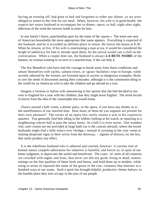having an evening off, had gone to bed and forgotten to order any dinner, so we were obliged to return to the club for our meal. When, however, his wife is in good health, she expects her weary husband to accompany her to dinner, opera, or ball, night after night, oblivious of the work the morrow holds in store for him.

 In one family I know, paterfamilias goes by the name of the «purse.» The more one sees of American households the more appropriate that name appears. Everything is expected of the husband, and he is accorded no definite place in return. He leaves the house at 8.30. When he returns, at five, if his wife is entertaining a man at tea, it would be considered the height of indelicacy for him to intrude upon them, for his arrival would cast a chill on the conversation. When a couple dine out, the husband is always **LA BETE NOIRE** of the hostess, no woman wanting to sit next to a married man, if she can help it.

 The few Benedicts who have had the courage to break away from these conditions and amuse themselves with yachts, salmon rivers, or «grass−bachelor» trips to Europe, while secretly admired by the women, are frowned upon in society as dangerous examples, likely to sow the seeds of discontent among their comrades; although it is the commonest thing in the world for an American wife to take the children and go abroad on a tour.

 Imagine a German or Italian wife announcing to her spouse that she had decided to run over to England for a year with her children, that they might learn English. The mind recoils in horror from the idea of the catastrophe that would ensue.

 Glance around a ball−room, a dinner party, or the opera, if you have any doubts as to the unselfishness of our married men. How many of them do you suppose are present for their own pleasure? The owner of an opera box rarely retains a seat in his expensive quarters. You generally find him idling in the lobbies looking at his watch, or repairing to a neighboring concert hall to pass the weary hours. At a ball it is even worse. One wonders why card−rooms are not provided at large balls (as is the custom abroad), where the bored husbands might find a little solace over «bridge,» instead of yawning in the coat−room or making desperate signs to their wives from the doorway, – signals of distress, by the bye, that rarely produce any effect.

 It is the rebellious husband who is admired and courted, however. A curious trait of human nature compels admiration for whatever is harmful, and forces us, in spite of our better judgment, to depreciate the useful and beneficent. The coats− of−arms of all countries are crowded with eagles and lions, that never yet did any good, living or dead; orators enlarge on the fine qualities of these birds and beasts, and hold them up as models, while using as terms of reproach the name of the goose or the cow, creatures that minister in a hundred ways to our wants. Such a spirit has brought helpful, productive «better halves» to the humble place they now occupy in the eyes of our people.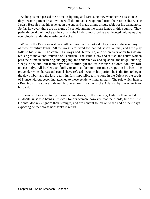As long as men passed their time in fighting and carousing they were heroes; as soon as they became patient bread−winners all the romance evaporated from their atmosphere. The Jewish Hercules had his revenge in the end and made things disagreeable for his tormentors. So far, however, there are no signs of a revolt among the shorn lambs in this country. They patiently bend their necks to the collar – the kindest, most loving and devoted helpmates that ever plodded under the matrimonial yoke.

 When in the East, one watches with admiration the part a donkey plays in the economy of those primitive lands. All the work is reserved for that industrious animal, and little play falls to his share. The camel is always bad−tempered, and when overladen lies down, refusing to move until relieved of its burden. The Turk is lazy and selfish, the native women pass their time in chattering and giggling, the children play and squabble, the ubiquitous dog sleeps in the sun; but from daybreak to midnight the little mouse−colored donkeys toil unceasingly. All burdens too bulky or too cumbersome for man are put on his back; the provender which horses and camels have refused becomes his portion; he is the first to begin the day's labor, and the last to turn in. It is impossible to live long in the Orient or the south of France without becoming attached to those gentle, willing animals. The role which honest «Bourico» fills so well abroad is played on this side of the Atlantic by the American husband.

 I mean no disrespect to my married compatriots; on the contrary, I admire them as I do all docile, unselfish beings. It is well for our women, however, that their lords, like the little Oriental donkeys, ignore their strength, and are content to toil on to the end of their days, expecting neither praise nor thanks in return.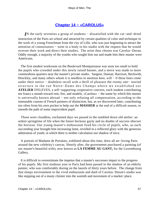## **[Chapter 14 − «CAROLUS»](#page-148-0)**

*I*N the early seventies a group of students – dissatisfied with the cut–and–dried instruction of the Paris art school and attracted by certain qualities of color and technique in the work of a young Frenchman from the city of Lille, who was just beginning to attract the attention of connoisseurs − went in a body to his studio with the request that he would oversee their work and direct their studies. The artist thus chosen was Carolus−Duran. Oddly enough, a majority of the youths who sought him out and made him their master were Americans.

 The first modest workroom on the Boulevard Montparnasse was soon too small to hold the pupils who crowded under this newly raised banner, and a move was made to more commodious quarters near the master's private studio. Sargent, Dannat, Harrison, Beckwith, Hinckley, and many others whom it is needless to mention here, will − if these lines come under their notice − doubtless recall with a thrill of pleasure the roomy one− storied structure in the rue Notre−Dame des Champs where we established our **ATELIER** D'ELEVES, a self−supporting cooperative concern, each student contributing ten francs a month toward rent, fire, and models, «Carolus» − the name by which this master is universally known abroad − not only refusing all compensation, according to the immutable custom of French painters of distinction, but, as we discovered later, contributing too often from his own pocket to help out the **MASSIER** at the end of a difficult season, or smooth the path of some improvident pupil.

 Those were cloudless, enchanted days we passed in the tumbled down old atelier: an ardent springtime of life when the future beckons gayly and no doubts of success obscure the horizon. Our young master's enthusiasm fired his circle of pupils, who, as each succeeding year brought him increasing fame, revelled in a reflected glory with the generous admiration of youth, in which there is neither calculation nor shadow of envy.

 A portrait of Madame de Portalais, exhibited about this time, drew all art−loving Paris around the new celebrity's canvas. Shortly after, the government purchased a painting (of our master's beautiful wife), now known as **LA FEMME AU GANT,** for the Luxembourg Gallery.

 It is difficult to overestimate the impetus that a master's successes impart to the progress of his pupils. My first studious year in Paris had been passed in the shadow of an elderly painter, who was comfortably dozing on the laurels of thirty years before. The change from that sleepy environment to the vivid enthusiasm and dash of Carolus−Duran's studio was like stepping out of a musty cloister into the warmth and movement of a market−place.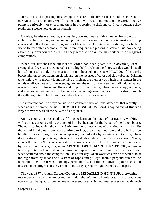Here, be it said in passing, lies perhaps the secret of the dry rot that too often settles on our American art schools. We, for some unknown reason, do not take the work of native painters seriously, nor encourage them in proportion to their merit. In consequence they retain but a feeble hold upon their pupils.

 Carolus, handsome, young, successful, courted, was an ideal leader for a band of ambitious, high−strung youths, repaying their devotion with an untiring interest and lifting clever and dull alike on the strong wings of his genius. His visits to the studio, on which his friend Henner often accompanied him, were frequent and prolonged; certain Tuesdays being especially appreciated by us, as they were set apart for his criticism of original compositions.

 When our sketches (the subject for which had been given out in advance) were arranged, and we had seated ourselves in a big half−circle on the floor, Carolus would install himself on a tall stool, the one seat the studio boasted, and chat **A PROPOS** of the works before him on composition, on classic art, on the theories of color and clair−obscur. Brilliant talks, inlaid with much wit and incisive criticism, the memory of which must linger in the minds of all who were fortunate enough to hear them. Nor was it to the studio alone that our master's interest followed us. He would drop in at the Louvre, when we were copying there, and after some pleasant words of advice and encouragement, lead us off for a stroll through the galleries, interrupted by stations before his favorite masterpieces.

 So important has he always considered a constant study of Renaissance art that recently, when about to commence his **TRIUMPH OF BACCHUS,** Carolus copied one of Rubens's larger canvases with all the naivete of a beginner.

 An occasion soon presented itself for us to learn another side of our trade by working with our master on a ceiling ordered of him by the state for the Palace of the Luxembourg. The vast studios which the city of Paris provides on occasions of this kind, with a liberality that should make our home corporations reflect, are situated out beyond the Exhibition buildings, in a curious, unfrequented quarter, ignored alike by Parisians and tourists, where the city stores compromising statues and the valuable debris of her many revolutions. There, among throneless Napoleons and riderless bronze steeds, we toiled for over six months side by side with our master, on gigantic **APOTHEOSIS OF MARIE DE MEDICIS,** serving in turn as painter and painted, and leaving the imprint of our hands and the reflection of our faces scattered about the composition. Day after day, when work was over, we would hoist the big canvas by means of a system of ropes and pulleys, from a perpendicular to the horizontal position it was to occupy permanently, and then sit straining our necks and discussing the progress of the work until the tardy spring twilight warned us to depart.

 The year 1877 brought Carolus−Duran the **MEDAILLE** D'HONNEUR, a crowning recompense that set the atelier mad with delight. We immediately organized a great (but economical) banquet to commemorate the event, over which our master presided, with much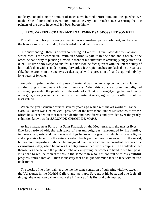modesty, considering the amount of incense we burned before him, and the speeches we made. One of our number even burst into some very bad French verses, asserting that the painters of the world in general fell back before him −

## . . . **EPOUVANTES − CRAIGNANT EGALEMENT SA BROSSE ET SON EPEE.**

 This allusion to his proficiency in fencing was considered particularly neat, and became the favorite song of the studio, to be howled in and out of season.

 Curiously enough, there is always something in Carolus−Duran's attitude when at work which recalls the swordsman. With an enormous palette in one hand and a brush in the other, he has a way of planting himself in front of his sitter that is amusingly suggestive of a duel. His lithe body sways to and fro, his fine leonine face quivers with the intense study of his model; then with a sudden spring forward, a few rapid touches are dashed on the canvas (like home strokes in the enemy's weakest spot) with a precision of hand acquired only by long years of fencing.

 An order to paint the king and queen of Portugal was the next step on the road to fame, another rung on the pleasant ladder of success. When this work was done the delighted sovereign presented the painter with the order of «Christ of Portugal,» together with many other gifts, among which a caricature of the master at work, signed by his sitter, is not the least valued.

 When the great schism occurred several years ago which rent the art world of France, Carolus−Duran was elected vice− president of the new school under Meissonier, to whose office he succeeded on that master's death; and now directs and presides over the yearly exhibition known as the **SALON DU CHAMP DE MARS.**

 At his chateau near Paris or at Saint Raphael, on the Mediterranean, the master lives, like Leonardo of old, the existence of a grand seigneur, surrounded by his family, innumerable guests, and the horses and dogs he loves, − a group of which his ornate figure and expressive face form the natural centre. Each year he lives more away from the world, but no more inspiriting sight can be imagined than the welcome the president receives of a «varnishing» day, when he makes his entry surrounded by his pupils. The students cheer themselves hoarse, and the public climbs on everything that comes to hand to see him pass. It is hard to realize then that this is the same man who, not content with his youthful progress, retired into an Italian monastery that he might commune face to face with nature undisturbed.

 The works of no other painter give me the same sensation of quivering vitality, except the Velasquez in the Madrid Gallery and, perhaps, Sargent at his best; and one feels all through the American painter's work the influence of his first and only master.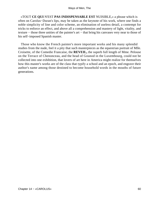«TOUT **CE QUI** N'EST **PAS INDISPENSABLE EST** NUISIBLE,» a phrase which is often on Carolus−Duran's lips, may be taken as the keynote of his work, where one finds a noble simplicity of line and color scheme, an elimination of useless detail, a contempt for tricks to enforce an effect, and above all a comprehension and mastery of light, vitality, and texture − those three unities of the painter's art − that bring his canvases very near to those of his self−imposed Spanish master.

 Those who know the French painter's more important works and his many splendid studies from the nude, feel it a pity that such masterpieces as the equestrian portrait of Mlle. Croisette, of the Comedie Francaise, the **REVEIL,** the superb full length of Mme. Pelouse on the Terrace of Chenonceau, and the head of Gounod in the Luxembourg, could not be collected into one exhibition, that lovers of art here in America might realize for themselves how this master's works are of the class that typify a school and an epoch, and engrave their author's name among those destined to become household words in the mouths of future generations.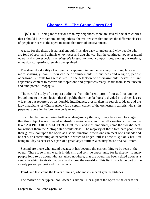# **[Chapter 15 − The Grand Opera Fad](#page-148-0)**

*W*ITHOUT being more curious than my neighbors, there are several social mysteries that I should like to fathom, among others, the real reasons that induce the different classes of people one sees at the opera to attend that form of entertainment.

 A taste for the theatre is natural enough. It is also easy to understand why people who are fond of sport and animals enjoy races and dog shows. But the continued vogue of grand opera, and more especially of Wagner's long−drawn−out compositions, among our restless, unmusical compatriots, remains unexplained.

 The sheeplike docility of our public is apparent in numberless ways; in none, however, more strikingly than in their choice of amusements. In business and religion, people occasionally think for themselves; in the selection of entertainments, never! but are apparently content to receive their opinions and prejudices ready−made from some unseen and omnipotent Areopagus.

 The careful study of an opera audience from different parts of our auditorium has brought me to the conclusion that the public there may be loosely divided into three classes − leaving out reporters of fashionable intelligence, dressmakers in search of ideas, and the lady inhabitants of «Crank Alley» (as a certain corner of the orchestra is called), who sit in perpetual adoration before the elderly tenor.

 First − but before venturing further on dangerously thin ice, it may be as well to suggest that this subject is not treated in absolute seriousness, and that all assertions must not be taken **AU PIED DE LA LETTRE.** First, then, and most important, come the stockholders, for without them the Metropolitan would close. The majority of these fortunate people and their guests look upon the opera as a social function, where one can meet one's friends and be seen, an entertaining antechamber in which to linger until it's time to «go on,» her Box being to− day as necessary a part of a great lady's outfit as a country house or a ball−room.

 Second are those who attend because it has become the correct thing to be seen at the opera. There is so much wealth in this city and so little opportunity for its display, so many people long to go about who are asked nowhere, that the opera has been seized upon as a centre in which to air rich apparel and elbow the «world.» This list fills a large part of the closely packed parquet and first balcony.

Third, and last, come the lovers of music, who mostly inhabit greater altitudes.

The motive of the typical box−owner is simple. Her night at the opera is the excuse for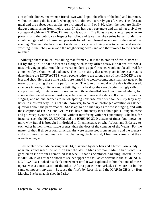a cosy little dinner, one woman friend (two would spoil the effect of the box) and four men, without counting the husband, who appears at dinner, but rarely goes further. The pleasant meal and the subsequent smoke are prolonged until 9 or 9.30, when the men are finally dragged murmuring from their cigars. If she has been fortunate and timed her arrival to correspond with an ENTR'ACTE, my lady is radiant. The lights are up, she can see who are present, and the public can inspect her toilet and jewels as she settles herself under the combine d gaze of the house, and proceeds to hold an informal reception for the rest of the evening. The men she has brought with her quickly cede their places to callers, and wander yawning in the lobby or invade the neighboring boxes and add their voices to the general murmur.

 Although there is much less talking than formerly, it is the toleration of this custom at all by the public that indicates (along with many other straws) that we are not a music−loving people. Audible conversation during a performance would not be allowed for a moment by a Continental audience. The little visiting that takes place in boxes abroad is done during the ENTR'ACTES, when people retire to the salons back of their **LOGES** to eat ices and chat. Here those little parlors are turned into cloak−rooms, and small talk goes on in many boxes during the entire performance. The joke or scandal of the day is discussed; strangers in town, or literary and artistic lights – «freaks,» they are discriminatingly called – are pointed out, toilets passed in review, and those dreadful two hours passed which, for some undiscovered reason, must elapse between a dinner and a dance. If a favorite tenor is singing, and no one happens to be whispering nonsense over her shoulder, my lady may listen in a distrait way. It is not safe, however, to count on prolonged attention or ask her questions about the performance. She is apt to be a bit hazy as to who is singing, and with the exception of **FAUST** and **CARMEN,** has rudimentary ideas about plots. Singers come and go, weep, swoon, or are killed, without interfering with her equanimity. She has, for instance, seen the **HUGUENOTS** and the **RHEINGOLD** dozens of times, but knows no more why Raoul is brought blindfolded to Chenonceaux, or what Wotan and Erda say to each other in their interminable scenes, than she does of the contents of the Vedas. For the matter of that, if three or four principal airs were suppressed from an opera and the scenery and costumes changed, many in that chattering circle would, I fear, not know what they were listening to.

 Last winter, when Melba sang in **AIDA,** disguised by dark hair and a brown skin, a lady near me vouchsafed the opinion that the «little black woman hadn't a bad voice;» a gentleman (to whom I remarked last week «that as Sembrich had sung Rosina in the **BARBER,** it was rather a shock to see her appear as that lady's servant in the **MARIAGE DE** FIGARO») looked his blank amazement until it was explained to him that one of those operas was a continuation of the other. After a pause he remarked, «They are not by the same composer, anyway! Because the first's by Rossini, and the **MARIAGE** is by Bon Marche. I've been at his shop in Paris.»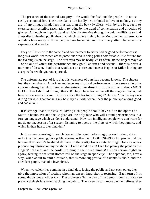The presence of the second category – the would–be fashionable people – is not so easily accounted for. Their attendance can hardly be attributed to love of melody, as they are, if anything, a shade less musical than the box−dwellers, who, by the bye, seem to exercise an irresistible fascination, to judge by the trend of conversation and direction of glasses. Although an imposing and sufficiently attentive throng, it would be difficult to find a less discriminating public than that which gathers nightly in the Metropolitan parterre. One wonders how many of those people care for music and how many attend because it is expensive and «swell.»

 They will listen with the same bland contentment to either bad or good performances so long as a world−renowned artist (some one who is being paid a comfortable little fortune for the evening) is on the stage. The orchestra may be badly led (it often is); the singers may flat − or be out of voice; the performance may go all at sixes and sevens − there is never a murmur of dissent. Faults that would set an entire audience at Naples or Milan hissing are accepted herewith ignorant approval.

 The unfortunate part of it is that this weakness of ours has become known. The singers feel they can give an American audience any slipshod performance. I have seen a favorite soprano shrug her shoulders as she entered her dressing−room and exclaim: «MON **DIEU!** How I shuffled through that act! They'd have hooted me off the stage in Berlin, but here no one seems to care. Did you notice the baritone to−night? He wasn't on the key once during our duo. I cannot sing my best, try as I will, when I hear the public applauding good and bad alike!»

 It is strange that our pleasure−loving rich people should have hit on the opera as a favorite haunt. We and the English are the only race who will attend performances in a foreign language which we don't understand. How can intelligent people who don't care for music go on, season after season, listening to operas, the plots of which they ignore, and which in their hearts they find dull?

 Is it so very amusing to watch two middle−aged ladies nagging each other, at two o'clock in the morning, on a public square, as they do in **LOHENGRIN?** Do people find the lecture that Isolde's husband delivers to the guilty lovers entertaining? Does an opera produce any illusion on my neighbors? I wish it did on me! I see too plainly the paint on the singers' hot faces and the cords straining in their tired throats! I sit on certain nights in agony, fearing to see stout Romeo roll on the stage in apoplexy! The sopranos, too, have a way, when about to emit a roulade, that is more suggestive of a dentist's chair, and the attendant gargle, than of a love phrase.

When two celebrities combine in a final duo, facing the public and not each other, they give the impression of victims whom an unseen inquisitor is torturing. Each turn of his screw draws out a wilder cry. The orchestra (in the pay of the demon) does all it can to prevent their shrieks from reaching the public. The lovers in turn redouble their efforts; they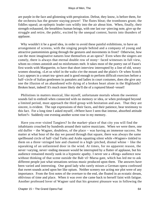are purple in the face and glistening with perspiration. Defeat, they know, is before them, for the orchestra has the greater staying power! The flutes bleat; the trombones grunt; the fiddles squeal; an epileptic leader cuts wildly into the air about him. When, finally, their strength exhausted, the breathless human beings, with one last ear−piercing note, give up the struggle and retire, the public, excited by the unequal contest, bursts into thunders of applause.

Why wouldn't it be a good idea, in order to avoid these painful exhibitions, to have an arrangement of screens, with the singing people behind and a company of young and attractive pantomimists going through the gestures and movements in front? Otherwise, how can the most imaginative natures lose themselves at an opera? Even when the singers are comely, there is always that eternal double row of stony− faced witnesses in full view, whom no crimes astonish and no misfortunes melt. It takes most of the poetry out of Faust's first words with Marguerite, to have that short interview interrupted by a line of old, weary women shouting, «Let us whirl in the waltz o'er the mount and the plain!» Or when Scotch Lucy appears in a smart tea−gown and is good enough to perform difficult exercises before a half−circle of Italian gentlemen in pantalets and ladies in court costumes, does she give any one the illusion of an abandoned wife dying of a broken heart alone in the Highlands? Broken heart, indeed! It's much more likely she'll die of a ruptured blood−vessel!

 Philistines in matters musical, like myself, unfortunate mortals whom the sweetest sounds fail to enthrall when connected with no memory or idea, or when prolonged beyond a limited period, must approach the third group with hesitation and awe. That they are sincere, is evident. The rapt expressions of their faces, and their patience, bear testimony to this fact. For a long time I asked myself, «Where have I seen that intense, absorbed attitude before?» Suddenly one evening another scene rose in my memory.

 Have you ever visited Tangiers? In the market−place of that city you will find the inhabitants crouched by hundreds around their native musicians. When we were there, one old duffer − the Wagner, doubtless, of the place − was having an immense success. No matter at what hour of the day we passed through that square, there was always the same spellbound circle of half−clad Turks and Arabs squatting silent while «Wagner» tinkled to them on a three−stringed lute and chanted in a high−pitched, dismal whine − like the squeaking of an unfastened door in the wind. At times, for no apparent reason, the never−varying, never−ending measure would be interrupted by a flutter of applause, but his audience remained mostly sunk in a hypnotic apathy. I never see a «Ring» audience now without thinking of that scene outside the Bab−el−Marsa gate, which has led me to ask different people just what sensations serious music produced upon them. The answers have been varied and interesting. One good lady who rarely misses a German opera confessed that sweet sounds acted upon her like opium. Neither scenery nor acting nor plot were of any importance. From the first notes of the overture to the end, she floated in an ecstatic dream, oblivious of time and place. When it was over she came back to herself faint with fatigue. Another professed lover of Wagner said that his greatest pleasure was in following the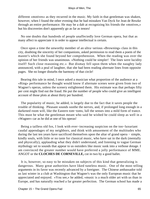different «motives» as they recurred in the music. My faith in that gentleman was shaken, however, when I found the other evening that he had mistaken Van Dyck for Jean de Reszke through an entire performance. He may be a dab at recognizing his friends the «motives,» but his discoveries don't apparently go as far as tenors!

 No one doubts that hundreds of people unaffectedly love German opera, but that as many affect to appreciate it in order to appear intellectual is certain.

 Once upon a time the unworthy member of an ultra−serious «Browning» class in this city, doubting the sincerity of her companions, asked permission to read them a poem of the master's which she found beyond her comprehension. When the reading was over the opinion of her friends was unanimous. «Nothing could be simpler! The lines were lucidity itself! Such close reasoning etc.» But dismay fell upon them when the naughty lady announced, with a peal of laughter, that she had been reading alternate lines from opposite pages. She no longer disturbs the harmony of that circle!

 Bearing this tale in mind, I once asked a musician what proportion of the audience at a «Ring» performance he thought would know if alternate scenes were given from two of Wagner's operas, unless the scenery enlightened them. His estimate was that perhaps fifty per cent might find out the fraud. He put the number of people who could give an intelligent account of those plots at about thirty per hundred.

 The popularity of music, he added, is largely due to the fact that it saves people the trouble of thinking. Pleasant sounds soothe the nerves, and, if prolonged long enough in a darkened room will, like the Eastern tom−toms, lull the senses into a mild form of trance. This must be what the gentleman meant who said he wished he could sleep as well in a «Wagner» car as he did at one of his operas!

 Being a tailless old fox, I look with ever−increasing suspicion on the too−luxuriant caudal appendages of my neighbors, and think with amusement of the multitudes who during the last ten years have sacrificed themselves upon the altar of grand opera − simple, kindly souls, with little or no taste for classical music, who have sat in the dark (mentally and physically), applauding what they didn't understand, and listening to vague German mythology set to sounds that appear to us outsiders like music sunk into a verbose dotage. I am convinced the greater number would have preferred a jolly performance of MME. ANGOT or the **CLOCHES DE CORNEVILLE,** cut in two by a good ballet.

 It is, however, so easy to be mistaken on subjects of this kind that generalizing is dangerous. Many great authorities have liked tuneless music. One of the most telling arguments in its favor was recently advanced by a foreigner. The Chinese ambassador told us last winter in a club at Washington that Wagner's was the only European music that he appreciated and enjoyed. «You see,» he added, «music is a much older art with us than in Europe, and has naturally reached a far greater perfection. The German school has made a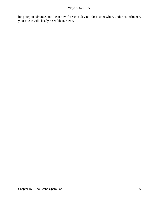long step in advance, and I can now foresee a day not far distant when, under its influence, your music will closely resemble our own.»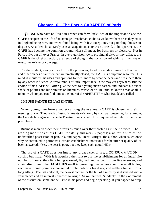# **[Chapter 16 − The Poetic CABARETS of Paris](#page-148-0)**

**THOSE** who have not lived in France can form little idea of the important place the **CAFE** occupies in the life of an average Frenchman, clubs as we know them or as they exist in England being rare, and when found being, with few exceptions, but gambling−houses in disguise. As a Frenchman rarely asks an acquaintance, or even a friend, to his apartment, the **CAFE** has become the common ground where all meet, for business or pleasure. Not in Paris only, but all over France, in every garrison town, provincial city, or tiny village, the **CAFE** is the chief attraction, the centre of thought, the focus toward which all the rays of masculine existence converge.

 For the student, newly arrived from the provinces, to whose modest purse the theatres and other places of amusement are practically closed, the **CAFE** is a supreme resource. His mind is moulded, his ideas and opinions formed, more by what he hears and sees there than by any other influence. A restaurant is of little importance. One may eat anywhere. But the choice of his **CAFE** will often give the bent to a young man's career, and indicate his exact shade of politics and his opinions on literature, music, or art. In Paris, to know a man at all is to know where you can find him at the hour of the **APERITIF −** what Baudelaire called

## L'HEURE **SAINTE DE** L'ABSINTHE.

 When young men form a society among themselves, a CAFE is chosen as their meeting−place. Thousands of establishments exist only by such patronage, as, for example, the Cafe de la Regence, Place du Theatre Francais, which is frequented entirely by men who play chess.

 Business men transact their affairs as much over their coffee as in their offices. The reading man finds at his **CAFE** the daily and weekly papers; a writer is sure of the undisturbed possession of pen, ink, and paper. Henri Murger, the author, when asked once why he continued to patronize a certain establishment notorious for the inferior quality of its beer, answered, «Yes, the beer is poor, but they keep such good INK!»

 The use of a CAFE does not imply any great expenditure, a CONSUMMATION costing but little. With it is acquired the right to use the establishment for an indefinite number of hours, the client being warmed, lighted, and served. From five to seven, and again after dinner, the **HABITUES** stroll in, grouping themselves about the small tables, each new−comer joining a congenial circle, ordering his drink, and settling himself for a long sitting. The last editorial, the newest picture, or the fall of a ministry is discussed with a vehemence and an interest unknown to Anglo−Saxon natures. Suddenly, in the excitement of the discussion, some one will rise in his place and begin speaking. If you happen to drop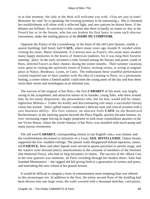in at that moment, the lady at the desk will welcome you with, «You are just in time! Monsieur So−and−So is speaking; the evening promises to be interesting.» She is charmed; her establishment will shine with a reflected light, and new patrons be drawn there, if the debates are brilliant. So universal is this custom that there is hardly an orator to−day at the French bar or in the Senate, who has not broken his first lance in some such obscure tournament, under the smiling glances of the **DAME DU COMPTOIR.**

 Opposite the Palace of the Luxembourg, in the heart of the old Latin Quarter, stands a quaint building, half hotel, half **CAFE,** where many years ago Joseph II. resided while visiting his sister, Marie Antoinette. It is known now as Foyot's; this name must awaken many happy memories in the hearts of American students, for it was long their favorite meeting− place. In the early seventies a club, formed among the literary and poetic youth of Paris, selected Foyot's as their «home» during the winter months. Their summer vacations were spent in visiting the university towns of France, reciting verses, or acting in original plays at Nancy, Bordeaux, Lyons, or Caen. The enthusiasm these youthful performances created inspired one of their number with the idea of creating in Paris, on a permanent footing, a centre where a limited public could meet the young poets of the day and hear them recite their verses and monologues in an informal way.

 The success of the original «Chat Noir,» the first **CABARET** of this kind, was largely owing to the sympathetic and attractive nature of its founder, young Salis, who drew around him, by his sunny disposition, shy personalities who, but for him, would still be «mute, inglorious Miltons.» Under his kindly and discriminating rule many a successful literary career has started. Salis's gifted nature combined a delicate taste and critical acumen with a rare business ability. His first venture, an obscure little **CAFE** on the Boulevard Rochechouart, in the outlying quarter beyond the Place Pigalle, quickly became famous, its ever−increasing vogue forcing its happy proprietor to seek more commodious quarters in the rue Victor Masse, where the world−famous «Chat Noir» was installed with much pomp and many joyous ceremonies.

 The old word **CABARET,** corresponding closely to our English «inn,» was chosen, and the establishment decorated in imitation of a Louis **XIII. HOTELLERIE.** Oaken beams supported the low−studded ceilings: The plaster walls disappeared behind tapestries, armor, old **FAIENCE.** Beer and other liquids were served in quaint porcelain or pewter mugs, and the waiters were dressed (merry anachronism) in the costume of members of the Institute (the Immortal Forty), who had so long led poetry in chains. The success of the «Black Cat» in her new quarters was immense, all Paris crowding through her modest doors. Salis had founded Montmartre! – the rugged old hill giving birth to a generation of writers and poets, and nourishing this new school at her granite breasts.

 It would be difficult to imagine a form of entertainment more tempting than was offered in this picturesque inn. In addition to the first, the entire second floor of the building had been thrown into one large room, the walls covered with a thousand sketches, caricatures,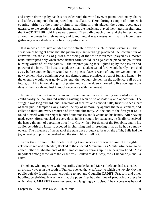and crayon drawings by hands since celebrated the world over. A piano, with many chairs and tables, completed the unpretending installation. Here, during a couple of hours each evening, either by the piano or simply standing in their places, the young poets gave utterance to the creations of their imagination, the musicians played their latest inspirations, the **RACONTEUR** told his newest story. They called each other and the better known among the guests by their names, and joked mutual weaknesses, eliminating from these gatherings every shade of a perfunctory performance.

 It is impossible to give an idea of the delicate flavor of such informal evenings − the sensation of being at home that the picturesque surroundings produced, the low murmur of conversation, the clink of glasses, the swing of the waltz movement played by a master hand, interrupted only when some slender form would lean against the piano and pour forth burning words of infinite pathos, – the inspired young face lighted up by the passion and power of the lines. The burst of applause that his talent called forth would hardly have died away before another figure would take the poet's place, a wave of laughter welcoming the new−comer, whose twinkling eyes and demure smile promised a treat of fun and humor. So the evening would wear gayly to its end, the younger element in the audience, full of the future, drinking in long draughts of poetry and art, the elders charmed to live over again the days of their youth and feel in touch once more with the present.

 In this world of routine and conventions an innovation as brilliantly successful as this could hardly be inaugurated without raising a whirlwind of jealousy and opposition. The struggle was long and arduous. Directors of theatres and concert halls, furious to see a part of their public tempted away, raised the cry of immorality against the new−comers, and called to their aid every resource of law and chicanery. At the end of the first year Salis found himself with over eight hundred summonses and lawsuits on his hands. After having made every effort, knocked at every door, in his struggle for existence, he finally conceived the happy thought of appealing directly to Grevy, then President of the Republic, and in his audience with the latter succeeded in charming and interesting him, as he had so many others. The influence of the head of the state once brought to bear on the affair, Salis had the joy of seeing opposition crushed and the storm blow itself out.

 From this moment, the poets, feeling themselves appreciated and their rights acknowledged and defended, flocked to the «Sacred Mountain,» as Montmartre began to be called; other establishments of the same character sprang up in the neighborhood. Most important among these were the «4 z'Arts,» Boulevard de Clichy, the «Tambourin,» and La Butte.

 Trombert, who, together with Fragerolle, Goudezki, and Marcel Lefevre, had just ended an artistic voyage in the south of France, opened the «4 z'Arts,» to which the novelty−loving public quickly found its way, crowding to applaud Coquelin **CADET,** Fragson, and other budding celebrities. It was here that the poets first had the idea of producing a piece in which rival **CABARETS** were reviewed and laughingly criticised. The success was beyond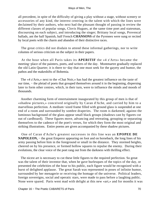all precedent, in spite of the difficulty of giving a play without a stage, without scenery or accessories of any kind, the interest centring in the talent with which the lines were declaimed by their authors, who next had the pleasant thought of passing in review the different classes of popular songs, Clovis Hugues, at the same time poet and statesman, discoursing on each subject, and introducing the singer; Brittany local songs, Provencal ballads, ant the half Spanish, half French **CHANSONS** of the Pyrenees were sung or recited by local poets with the charm and abandon of their distinctive races.

 The great critics did not disdain to attend these informal gatherings, nor to write columns of serious criticism on the subject in their papers.

 At the hour when all Paris takes its **APERITIF** the «4 z'Arts» became the meeting−place of the painters, poets, and writers of the day. Montmartre gradually replaced the old Latin Quarter; it is there to−day that one must seek for the gayety and humor, the pathos and the makeshifts of Bohemia.

 The «4 z'Arts,» next to the «Chat Noir,» has had the greatest influence on the taste of our time, − the pleiad of poets that grouped themselves around it in the beginning, dispersing later to form other centres, which, in their turn, were to influence the minds and moods of thousands.

 Another charming form of entertainment inaugurated by this group of men is that of «shadow pictures,» conceived originally by Caran d'Ache, and carried by him to a marvellous perfection. A medium−sized frame filled with ground glass is suspended at one end of a room and surrounded by sombre draperies. The room is darkened; against the luminous background of the glass appear small black groups (shadows cast by figures cut out of cardboard). These figures move, advancing and retreating, grouping or separating themselves to the cadence of the poet's verses, for which they form the most original and striking illustrations. Entire poems are given accompanied by these shadow pictures.

 One of Caran d'Ache's greatest successes in this line was an **EPOPEE DE** NAPOLEON, – the great Emperor appearing on foot and on horseback, the long lines of his army passing before him in the foreground or small in the distance. They stormed heights, cheered on by his presence, or formed hollow squares to repulse the enemy. During their evolutions, the clear voice of the poet rang out from the darkness with thrilling effect.

 The nicest art is necessary to cut these little figures to the required perfection. So great was the talent of their inventor that, when he gave burlesques of the topics of the day, or presented the celebrities of the hour to his public, each figure would be recognized with a burst of delighted applause. The great Sarah was represented in poses of infinite humor, surrounded by her menagerie or receiving the homage of the universe. Political leaders, foreign sovereigns, social and operatic stars, were made to pass before a laughing public. None were spared. Paris went mad with delight at this new «art,» and for months it was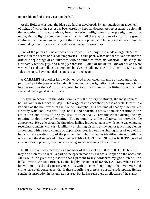impossible to find a seat vacant in the hall.

 At the Boite a Musique, the idea was further developed. By an ingenious arrangement of lights, of which the secret has been carefully kept, landscapes are represented in color; all the gradations of light are given, from the varied twilight hues to purple night, until the moon, rising, lights anew the picture. During all these variations of color little groups continue to come and go, acting out the story of a poem, which the poet delivers from the surrounding obscurity as only an author can render his own lines.

 One of the pillars of this attractive centre was Jules Jouy, who made a large place for himself in the hearts of his contemporaries – a true poet, whom neither privations nor the difficult beginnings of an unknown writer could turn from his vocation. His songs are alternately tender, gay, and bitingly sarcastic. Some of his better−known ballads were written for and marvellously interpreted by Yvette Guilbert. The difficult critics, Sarcey and Jules Lemaitre, have sounded his praise again and again.

 A **CABARET** of another kind which enjoyed much celebrity, more on account of the personality of the poet who founded it than from any originality or picturesqueness in its intallation, was the «Mirliton,» opened by Aristide Bruant in the little rooms that had sheltered the original «Chat Noir.»

 To give an account of the «Mirliton» is to tell the story of Bruant, the most popular ballad−writer in France to−day. This original and eccentric poet is as well−known to a Parisian as the boulevards or the Arc de Triomphe. His costume of shabby black velvet, Brittany waistcoat, red shirt, top−boots, and enormous hat is a familiar feature in the caricatures and prints of the day. His little **CABARET** remains closed during the day, opening its doors toward evening. The personality of the ballad−writer pervades the atmosphere. He walks about the tiny place hailing his acquaintances with some gay epigram, receiving strangers with easy familiarity or chilling disdain, as the humor takes him; then in a moment, with a rapid change of expression, pouring out the ringing lines of one of his ballads − always the story of the poor and humble, for he has identified himself with the outcast and the disinherited. His volumes **DANS LA RUE** and **SUR LA ROUTE** have had an enormous popularity, their contents being known and sung all over France.

 In 1892 Bruant was received as a member of the society of **GENS DE LETTRES.** It may be of interest to recall a part of the speech made by Francois Coppee on the occasion: «It is with the greatest pleasure that I present to my confreres my good friend, the ballad−writer, Aristide Bruant. I value highly the author of **DANS LA RUE.** When I close his volume of sad and caustic verses it is with the consoling thought that even vice and crime have their conscience: that if there is suffering there is a possible redemption. He has sought his inspiration in the gutter, it is true, but he has seen there a reflection of the stars.»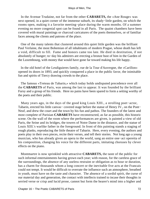In the Avenue Trudaine, not far from the other **CABARETS,** the «Ane Rouge» was next opened, in a quiet corner of the immense suburb, its shady−little garden, on which the rooms open, making it a favorite meeting−place during the warm months. Of a summer evening no more congenial spot can be found in all Paris. The quaint chambers have been covered with mural paintings or charcoal caricatures of the poets themselves, or of familiar faces among the clients and patrons of the place.

 One of the many talents that clustered around this quiet little garden was the brilliant Paul Verlaine, the most Bohemian of all inhabitants of modern Prague, whose death has left a void, difficult to fill. Fame and honors came too late. He died in destitution, if not absolutely of hunger; to−day his admirers are erecting a bronze bust of him in the Garden of the Luxembourg, with money that would have gone far toward making his life happy.

 In the old hotel of the Lesdiguieres family, rue de la Tour d'Auvergne, the «Carillon» opened its doors in 1893, and quickly conquered a place in the public favor, the inimitable fun and spirits of Tiercy drawing crowds to the place.

 The famous «Treteau de Tabarin,» which today holds undisputed precedence over all the **CABARETS** of Paris, was among the last to appear. It was founded by the brilliant Fursy and a group of his friends. Here no pains have been spared to form a setting worthy of the poets and their public.

 Many years ago, in the days of the good king Louis XIII., a strolling poet−actor, Tabarin, erected his little canvas– covered stage before the statue of Henry IV., on the Pont− Neuf, and drew the court and the town by his fun and pathos. The founders of the latest and most complete of Parisian **CABARETS** have reconstructed, as far as possible, this historic scene. On the wall of the room where the performances are given, is painted a view of old Paris, the Seine and its bridges, the towers of Notre Dame in the distance, and the statue of Louis XIII.'s warlike father in the foreground. In front of this painting stands a staging of rough planks, reproducing the little theatre of Tabarin. Here, every evening, the authors and poets play in their own pieces, recite their verses, and tell their stories. Not long ago a young musician, who has already given an opera to the world, sang an entire one−act operetta of his composition, changing his voice for the different parts, imitating choruses by clever effects on the piano.

 Montmartre is now sprinkled with attractive **CABARETS,** the taste of the public for such informal entertainments having grown each year; with reason, for the careless grace of the surroundings, the absence of any useless restraint or obligation as to hour or duration, has a charm for thousands whom a long concert or the inevitable five acts at the Francais could not tempt. It would be difficult to overrate the influence such an atmosphere, breathed in youth, must have on the taste and character. The absence of a sordid spirit, the curse of our material day and generation, the contact with intellects trained to incase their thoughts in serried verse or crisp and lucid prose, cannot but form the hearer's mind into a higher and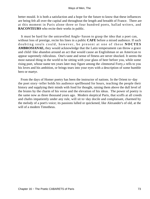better mould. It is both a satisfaction and a hope for the future to know that these influences are being felt all over the capital and throughout the length and breadth of France. There are at this moment in Paris alone three or four hundred poets, ballad writers, and **RACONTEURS** who recite their works in public.

 It must be hard for the untravelled Anglo−Saxon to grasp the idea that a poet can, without loss of prestige, recite his lines in a public **CAFE** before a mixed audience. If such doubting souls could, however, be present at one of these **NOCTES AMBROSIANAE,** they would acknowledge that the Latin temperament can throw a grace and child−like abandon around an act that would cause an Englishman or an American to appear supremely ridiculous. One's taste and sense of fitness are never shocked. It seems the most natural thing in the world to be sitting with your glass of beer before you, while some rising poet, whose name ten years later may figure among the «Immortal Forty,» tells to you his loves and his ambition, or brings tears into your eyes with a description of some humble hero or martyr.

 From the days of Homer poetry has been the instructor of nations. In the Orient to−day the poet story−teller holds his audience spellbound for hours, teaching the people their history and supplying their minds with food for thought, raising them above the dull level of the brutes by the charm of his verse and the elevation of his ideas. The power of poetry is the same now as three thousand years ago. Modern skeptical Paris, that scoffs at all creeds and chafes impatiently under any rule, will sit to−day docile and complaisant, charmed by the melody of a poet's voice; its passions lulled or quickened, like Alexander's of old, at the will of a modern Timotheus.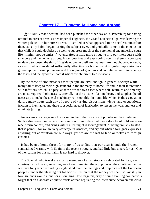# **[Chapter 17 − Etiquette At Home and Abroad](#page-148-0)**

*READING* that a sentinel had been punished the other day at St. Petersburg for having omitted to present arms, as her Imperial Highness, the Grand Duchess Olga, was leaving the winter palace – in her nurse's arms – I smiled at what appeared to be needless punctilio; then, as is my habit, began turning the subject over, and gradually came to the conclusion that while it could doubtless be well to suppress much of the ceremonial encumbering court life, it might not be amiss if we engrafted a little more etiquette into our intercourse with strangers and the home relations. In our dear free and easy−going country there is a constant tendency to loosen the ties of fireside etiquette until any manners are thought good enough, as any toilet is considered sufficiently attractive for home use. A singular impression has grown up that formal politeness and the saying of gracious and complimentary things betray the toady and the hypocrite, both if whom are abhorrent to Americans.

 By the force of circumstances most people are civil enough in general society; while many fail to keep to their high standard in the intimacy of home life and in their intercourse with inferiors, which is a pity, as these are the two cases where self−restraint and amenity are most required. Politeness is, after all, but the dictate of a kind heart, and supplies the oil necessary to make the social machinery run smoothly. In home life, which is the association during many hours each day of people of varying dispositions, views, and occupations, friction is inevitable; and there is especial need of lubrication to lessen the wear and tear and eliminate jarring.

 Americans are always much shocked to learn that we are not popular on the Continent. Such a discovery comes to either a nation or an individual like a douche of cold water on nice, warm conceit, and brings with it a feeling of discouragement, of being unjustly treated, that is painful, for we are very «touchy» in America, and cry out when a foreigner expresses anything but admiration for our ways, yet we are the last to lend ourselves to foreign customs.

 It has been a home thrust for many of us to find that our dear friends the French sympathized warmly with Spain in the recent struggle, and had little but sneers for us. One of the reasons for this partiality is not hard to discover.

 The Spanish who travel are mostly members of an aristocracy celebrated for its grave courtesy, which has gone a long way toward making them popular on the Continent, while we have for years been riding rough−shod over the feelings and prejudices of the European peoples, under the pleasing but fallacious illusion that the money we spent so lavishly in foreign lands would atone for all our sins. The large majority of our travelling compatriots forget that an elaborate etiquette exists abroad regulating the intercourse between one class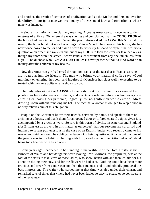and another, the result of centuries of civilization, and as the Medic and Persian laws for durability. In our ignorance we break many of these social laws and give offence where none was intended.

 A single illustration will explain my meaning. A young American girl once went to the mistress of a PENSION where she was staying and complained that the **CONCIERGE** of the house had been impertinent. When the proprietress asked the **CONCIERGE** what this meant, the latter burst out with her wrongs. «Since Miss B. has been in this house, she has never once bowed to me, or addressed a word to either my husband or myself that was not a question or an order; she walks in and out of my **LOGE** to look for letters or take her key as though my room were the street; I won't stand such treatment from any one, much less from a girl. The duchess who lives **AU QUATRIEME** never passes without a kind word or an inquiry after the children or my health.»

 Now this American girl had erred through ignorance of the fact that in France servants are treated as humble friends. The man who brings your matutinal coffee says «Good morning» on entering the room, and inquires if «Monsieur has slept well,» expecting to be treated with the same politeness he shows to you.

 The lady who sits at the **CAISSE** of the restaurant you frequent is as sure of her position as her customers are of theirs, and exacts a courteous salutation from every one entering or leaving her presence; logically, for no gentleman would enter a ladies' drawing−room without removing his hat. The fact that a woman is obliged to keep a shop in no way relieves him of this obligation.

 People on the Continent know their friends' servants by name, and speak to them on arriving at a house, and thank them for an opened door or offered coat; if a tip is given it is accompanied by a gracious word. So rare is this form of civility in America and England (for Britons err as gravely in this matter as ourselves) that our servants are surprised and inclined to resent politeness, as in the case of an English butler who recently came to his master and said he should be «obliged to leave.» On being questioned it came out that one of the guests was in the habit of chatting with him, «and,» added the Briton, «I won't stand being took liberties with by no one.»

 Some years ago I happened to be standing in the vestibule of the Hotel Bristol as the Princess of Wales and her daughters were leaving. Mr. Morlock, the proprietor, was at the foot of the stairs to take leave of those ladies, who shook hands with and thanked him for his attention during their stay, and for the flowers he had sent. Nothing could have been more gracious and freer from condescension than their manner, and it undoubtedly produced the best impression. The waiter who served me at that time was also under their charm, and remarked several times that «there had never been ladies so easy to please or so considerate of the servants.»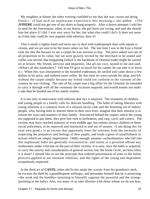My neighbor at dinner the other evening confided to me that she was «worn out being fitted.» «I had such an unpleasant experience this morning,» she added. «The **JUPIERE** could not get one of my skirts to hang properly. After a dozen attempts I told her to send for the forewoman, when, to my horror, the girl burst out crying, and said she should lose her place if I did. I was very sorry for her, but what else could I do?» It does not seem as if that lady could be very popular with inferiors, does it?

 That it needs a lighter hand and more tact to deal with tradespeople than with equals is certain, and we are sure to be the losers when we fail. The last time I was in the East a friend took me into the bazaars to see a carpet he was anxious to buy. The price asked was out of all proportion to its value, but we were gravely invited by the merchant to be seated and coffee was served, that bargaining (which is the backbone of Oriental trade) might be carried on at leisure. My friend, nervous and impatient, like all our race, turned to me and said, «What's all this tomfoolery? Tell him I'll give so much for his carpet; he can take it or leave it.» When this was interpreted to the bearded tradesman, he smiled and came down a few dollars in his price, and ordered more coffee. By this time we were outside his shop, and left without the carpet simply because my friend could not conform to the customs of the country he was visiting. The sale of his carpet was a big affair for the Oriental; he intended to carry it through with all the ceremony the occasion required, and would sooner not make a sale than be hustled out of his stately routine.

 It is not only in intercourse with inferiors that tact is required. The treatment of children and young people in a family calls for delicate handling. The habit of taking liberties with young relations is a common form of a relaxed social code and the besetting sin of elderly people, who, having little to interest them in their own lives, imagine that their mission is to reform the ways and manners of their family. Ensconced behind the respect which the young are supposed to pay them, they give free vent to inclination, and carp, cavil, and correct. The victims may have reached maturity or even middle age, but remain always children to these social policemen, to be reproved and instructed in and out of season. «I am doing this for your own good,» is an excuse that apparently frees the veterans from the necessity of respecting the prejudices and feelings of their pupils, and lends a gloss of unselfishness to actions which are simply impertinent. Oddly enough, amateur «schoolmarms» who fall into this unpleasant habit are generally oversensitive, and resent as a personal affront any restlessness under criticism on the part of their victims. It is easy, once the habit is acquired, to carry the suavity and consideration of general society into the home circle, yet how often is it done? I should like to see the principle that ordered presentation of arms to the infant princess applied to our intimate relations, and the rights of the young and dependent scrupulously respected.

 In the third act of **CASTE,** when old Eccles steals the «coral» from his grandson's neck, he excuses the theft by a grandiloquent soliloquy, and persuades himself that he is protecting «the weak and the humble» (pointing to himself) «against the powerful and the strong» (pointing to the baby). Alas, too many of us take liberties with those whom we do not fear,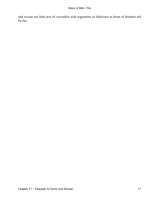and excuse our little acts of cowardice with arguments as fallacious as those of drunken old Eccles.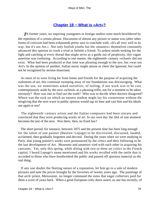# **[Chapter 18 − What is «Art»?](#page-148-0)**

*I*N former years, we inquiring youngsters in foreign studios were much bewildered by the repetition of a certain phrase. Discussion of almost any picture or statue was (after other forms of criticism had been exhausted) pretty sure to conclude with, «It's all very well in its way, but it's not Art.» Not only foolish youths but the «masters» themselves constantly advanced this opinion to crush a rival or belittle a friend. To ardent minds seeking for the light and catching at every thread that might serve as a guide out of perplexity, this vague assertion was confusing. According to one master, the eighteenth−century «school» did not exist. What had been produced at that time was pleasing enough to the eye, but «was not Art!» In the opinion of another, Italian music might amuse or cheer the ignorant, but could not be recognized by serious musicians.

 As most of us were living far from home and friends for the purpose of acquiring the rudiments of art, this continual sweeping away of our foundations was discouraging. What was the use, we sometimes asked ourselves, of toiling, if our work was to be cast contemptuously aside by the next «school» as a pleasing trifle, not for a moment to be taken seriously? How was one to find out the truth? Who was to decide when doctors disagreed? Where was the rock on which an earnest student might lay his cornerstone without the misgiving that the next wave in public opinion would sap its base and cast him and his ideals out again at sea?

 The eighteenth−century artists and the Italian composers had been sincere and convinced that they were producing works of art. In our own day the idol of one moment becomes the jest of the next. Was there, then, no fixed law?

 The short period, for instance, between 1875 and the present time has been long enough for the talent of one painter (Bastien−Lepage) to be discovered, discussed, lauded, acclaimed, then gradually forgotten and decried. During the years when we were studying in Paris, that young painter's works were pronounced by the critics and their following to be the last development of Art. Museums and amateurs vied with each other in acquiring his canvases. Yet, only this spring, while dining with two or three art critics in the French capital, I heard Lepage's name mentioned and his works recalled with the smile that is accorded to those who have hoodwinked the public and passed off spurious material as the real thing.

 If any one doubts the fleeting nature of a reputation, let him go to a sale of modern pictures and note the prices brought by the favorites of twenty years ago. The paintings of that arch−priest, Meissonier, no longer command the sums that eager collectors paid for them a score of years back. When a great European critic dares assert, as one has recently, of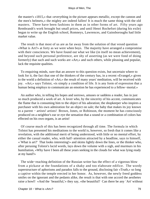the master's «1815,» that «everything in the picture appears metallic, except the cannon and the men's helmets,» the mighty are indeed fallen! It is much the same thing with the old masters. There have been fashions in them as in other forms of art. Fifty years ago Rembrandt's work brought but small prices, and until Henri Rochefort (during his exile) began to write up the English school, Romneys, Lawrences, and Gainsboroughs had little market value.

 The result is that most of us are as far away from the solution of that vexed question «What is Art?» at forty as we were when boys. The majority have arranged a compromise with their consciences. We have found out what we like (in itself no mean achievement), and beyond such personal preference, are shy of asserting (as we were fond of doing formerly) that such and such works are «Art,» and such others, while pleasing and popular, lack the requisite qualities.

 To enquiring minds, sure that an answer to this question exists, but uncertain where to look for it, the fact that one of the thinkers of the century has, in a recent «Evangel,» given to the world a definition of «Art,» the result of many years' meditation, will be received with joy. «Art,» says Tolstoi, «is simply a condition of life. It is any form of expression that a human being employs to communicate an emotion he has experienced to a fellow−mortal.»

 An author who, in telling his hopes and sorrows, amuses or saddens a reader, has in just so much produced a work of art. A lover who, by the sincerity of his accent, communicates the flame that is consuming him to the object of his adoration; the shopkeeper who inspires a purchaser with his own admiration for an object on sale; the baby that makes its joy known to a parent − artists! artists! Brown, Jones, or Robinson, the moment he has consciously produced on a neighbor's ear or eye the sensation that a sound or a combination of colors has effected on his own organs, is an artist!

 Of course much of this has been recognized through all time. The formula in which Tolstoi has presented his meditations to the world is, however, so fresh that it comes like a revelation, with the additional merit of being understood, with little or no mental effort, by either the casual reader, who, with half−attention attracted by a headline, says to himself, «`What is art?' That looks interesting!» and skims lightly down the lines, or the thinker who, after perusing Tolstoi's lucid words, lays down the volume with a sigh, and murmurs in his humiliation, «Why have I been all these years seeking in the clouds for what was lying ready at my hand?»

 The wide−reaching definition of the Russian writer has the effect of a vigorous blow from a pickaxe at the foundations of a shaky and too elaborate edifice. The wordy superstructure of aphorisms and paradox falls to the ground, disclosing fair «Truth,» so long a captive within the temple erected in her honor. As, however, the newly freed goddess smiles on the ignorant and the pedants alike, the result is that with one accord the aesthetes raise a howl! «And the `beautiful,'» they say, «the beautiful? Can there be any `Art' without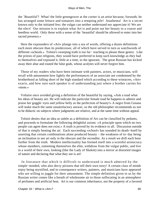the `Beautiful'? What! the little greengrocer at the corner is an artist because, forsooth, he has arranged some lettuce and tomatoes into a tempting pile! Anathema! Art is a secret known only to the initiated few; the vulgar can neither understand nor appreciate it! We are the elect! Our mission is to explain what Art is and point out her beauty to a coarse and heedless world. Only those with a sense of the `beautiful' should be allowed to enter into her sacred presence.»

 Here the expounders of «Art» plunge into a sea of words, offering a dozen definitions each more obscure than its predecessor, all of which have served in turn as watchwords of different «schools.» Tolstoi's sweeping truth is too far− reaching to please these gentry. Like the priests of past religions, they would have preferred to keep such knowledge as they had to themselves and expound it, little at a time, to the ignorant. The great Russian has kicked away their altar and routed the false gods, whose acolytes will never forgive him.

 Those of my readers who have been intimate with painters, actors, or musicians, will recall with amusement how lightly the performances of an associate are condemned by the brotherhood as falling short of the high standard which according to these wiseacres, «Art» exacts, and how sure each speaker is of understanding just where a brother carries his «mote.»

 Voltaire once avoided giving a definition of the beautiful by saying, «Ask a toad what his ideas of beauty are. He will indicate the particular female toad he happens to admire and praise her goggle−eyes and yellow belly as the perfection of beauty!» A negro from Guiana will make much the same unsatisfactory answer, so the old philosopher recommends us not to be didactic on subjects where judgments are relative, and at the same time without appeal.

 Tolstoi denies that an idea as subtle as a definition of Art can be classified by pedants, and proceeds to formulate the following delightful axiom: «A principle upon which no two people can agree does not exist.» A truth is proved by its evidence to all. Discussion outside of that is simply beating the air. Each succeeding «school» has sounded its death−knell by asserting that certain combinations alone produced beauty − the weakness of to−day being an inclination to see art only in the obscure and the recondite. As a result we drift each hour further from the truth. Modern intellectuality has formed itself into a scornful aristocracy whose members, esteeming themselves the elite, withdraw from the vulgar public, and live in a world of their own, looking (like the Lady of Shalott) into a mirror at distorted images of nature and declaring that what they see is art!

 In literature that which is difficult to understand is much admired by the simple−minded, who also decry pictures that tell their own story! A certain class of minds enjoy being mystified, and in consequence writers, painters, and musicians have appeared who are willing to juggle for their amusement. The simple definition given to us by the Russian writer comes like a breath of wholesome air to those suffocating in an atmosphere of perfumes and artificial heat. Art is our common inheritance, not the property of a favored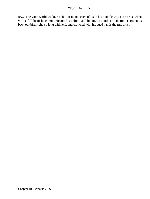few. The wide world we love is full of it, and each of us in his humble way is an artist when with a full heart he communicates his delight and his joy to another. Tolstoi has given us back our birthright, so long withheld, and crowned with his aged hands the true artist.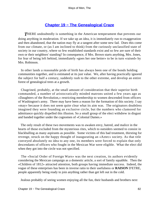# **[Chapter 19 − The Genealogical Craze](#page-148-0)**

*T*HERE undoubtedly is something in the American temperament that prevents our doing anything in moderation. If we take up an idea, it is immediately run to exaggeration and then abandoned, that the nation may fly at a tangent after some new fad. Does this come from our climate, or (as I am inclined to think) from the curiously unclassified state of society in our country, where so few established standards exist and so few are sure of their own or their neighbors' standing? In consequence, if Mrs. Brown starts anything, Mrs. Jones, for fear of being left behind, immediately «goes her one better» to be in turn «raised» by Mrs. Robinson.

 In other lands a reasonable pride of birth has always been one of the bonds holding communities together, and is estimated at its just value. We, after having practically ignored the subject for half a century, suddenly rush to the other extreme, and develop an entire forest of genealogical trees at a growth.

 Chagrined, probably, at the small amount of consideration that their superior birth commanded, a number of aristocratically minded matrons united a few years ago as «Daughters of the Revolution,» restricting membership to women descended from officers of Washington's army. There may have been a reason for the formation of this society. I say «may» because it does not seem quite clear what its aim was. The originators doubtless imagined they were founding an exclusive circle, but the numbers who clamored for admittance quickly dispelled this illusion. So a small group of the elect withdrew in disgust and banded together under the cognomen of «Colonial Dames.»

 The only result of these two movements was to awaken envy, hatred, and malice in the hearts of those excluded from the mysterious rites, which to outsiders seemed to consist in blackballing as many aspirants as possible. Some victims of this bad treatment, thirsting for revenge, struck on the happy thought of inaugurating an «Aztec» society. As that title conveyed absolutely no idea to any one, its members were forced to explain that only descendants of officers who fought in the Mexican War were eligible. What the elect did when they got into the circle was not specified.

 The «Social Order of Foreign Wars» was the next creation, its authors evidently considering the Mexican campaign as a domestic article, a sort of family squabble. Then the «Children of 1812» attracted attention, both groups having immediate success. Indeed, the vogue of these enterprises has been in inverse ratio to their usefulness or **RAISON** D'ETRE, people apparently being ready to join anything rather than get left out in the cold.

Jealous probably of seeing women enjoying all the fun, their husbands and brothers next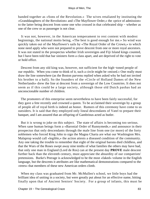banded together as «Sons of the Revolution.» The wives retaliated by instituting the «Granddaughters of the Revolution» and «The Mayflower Order,» the «price of admission» to the latter being descent from some one who crossed in that celebrated ship − whether as one of the crew or as passenger is not clear.

 It was not, however, in the American temperament to rest content with modest beginnings, the national motto being, «The best is good enough for me.» So wind was quickly taken out of the Mayflower's sails by «The Royal Order of the Crown,» to which none need apply who were not prepared to prove descent from one or more royal ancestors. It was not stated in the prospectus whether Irish sovereigns and Fiji Island kings counted, but I have been told that bar sinisters form a class apart, and are deprived of the right to vote or hold office.

 Descent from any old king was, however, not sufficient for the high−toned people of our republic. When you come to think of it, such a circle might be «mixed.» One really must draw the line somewhere (as the Boston parvenu replied when asked why he had not invited his brother to a ball). So the founders of the «Circle of Holland Dames of the New Netherlands» drew the line at descent from a sovereign of the Low Countries. It does not seem as if this could be a large society, although those old Dutch pashas had an unconscionable number of children.

 The promoters of this enterprise seem nevertheless to have been fairly successful, for they gave a fete recently and crowned a queen. To be acclaimed their sovereign by a group of people all of royal birth is indeed an honor. Rumors of this ceremony have come to us outsiders. It is said that they employed only lineal descendants of Vatel to prepare their banquet, and I am assured that an offspring of Gambrinus acted as butler.

 But it is wrong to joke on this subject. The state of affairs is becoming too serious. When sane human beings form a «Baronial Order of Runnymede,» and announce in their prospectus that only descendants through the male line from one (or more) of the forty noblemen who forced King John to sign the Magna Charta are what our Washington Mrs. Malaprop would call «legible,» the action attests a diseased condition of the community. Any one taking the trouble to remember that eight of the original barons died childless, and that the Wars of the Roses swept away nine tenths of what families the others may have had, that only one man in England (Lord de Ros) can at the present day **PROVE** male descent further back than the eleventh century, must appreciate the absurdity of our compatriots' pretensions. Burke's Peerage is acknowledged to be the most «faked» volume in the English language, but the descents it attributes are like mathematical demonstrations compared to the «trees» that members of these new American orders climb.

 When my class was graduated from Mr. McMullen's school, we little boys had the brilliant idea of uniting in a society, but were greatly put about for an effective name, hitting finally upon that of Ancient Seniors' Society. For a group of infants, this must be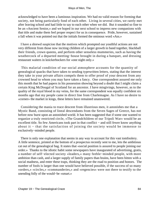acknowledged to have been a luminous inspiration. We had no valid reason for forming that society, not being particularly fond of each other. Living in several cities, we rarely met after leaving school and had little to say to each other when we did. But it sounded so fine to be an «Ancient Senior,» and we hoped in our next school to impress new companions with that title and make them feel proper respect for us in consequence. Pride, however, sustained a fall when it was pointed out that the initials formed the ominous word «Ass.»

 I have a shrewd suspicion that the motives which prompted our youthful actions are not very different from those now inciting children of a larger growth to band together, blackball their friends, crown queens, and perform other senseless mummeries, such as having the weathercock of a departed meeting−house brought in during a banquet, and dressing restaurant waiters in knickerbockers for «one night only.»

 This malarial condition of our social atmosphere accounts for the quantity of genealogical quacks that have taken to sending typewritten letters, stating that the interest they take in your private affairs compels them to offer proof of your descent from any crowned head to whom you may have taken a fancy. One correspondent assured me only this month that he had papers in his possession showing beyond a doubt that I might claim a certain King McDougal of Scotland for an ancestor. I have misgivings, however, as to the quality of the royal blood in my veins, for the same correspondent was equally confident six months ago that my people came in direct line from Charlemagne. As I have no desire to «corner» the market in kings, these letters have remained unanswered.

 Considering the mania to trace descent from illustrious men, it astonishes me that a Mystic Band, consisting of lineal descendants from the Seven Sages of Greece, has not before now burst upon an astonished world. It has been suggested that if some one wanted to organize a truly restricted circle, «The Grandchildren of our Tripoli War» would be an excellent title. So few Americans took part in that conflict − and still fewer know anything about it − that the satisfaction of joining the society would be immense to exclusively−minded people.

 There is only one explanation that seems in any way to account for this vast tomfoolery. A little sentence, printed at the bottom of a prospectus recently sent to me, lets the ambitious cat out of the genealogical bag. It states that «social position is assured to people joining our order.» Thanks to the idiotic habit some newspapers have inaugurated of advertising, gratis, a number of self−elected society «leaders,» many feeble−minded people, with more ambition than cash, and a larger supply of family papers than brains, have been bitten with a social madness, and enter these traps, thinking they are the road to position and honors. The number of fools is larger than one would have believed possible, if the success of so many «orders,» «circles,» «commanderies,» and «regencies» were not there to testify to the unending folly of the would−be «smart.»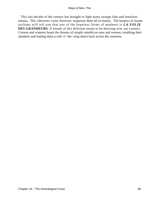This last decade of the century has brought to light many strange fads and senseless manias. This «descent» craze, however, surpasses them all in inanity. The keepers of insane asylums will tell you that one of the hopeless forms of madness is **LA FOLIE DES GRANDEURS.** A breath of this delirium seems to be blowing over our country. Crowns and sceptres haunt the dreams of simple republican men and women, troubling their slumbers and leading them a will−o'−the−wisp dance back across the centuries.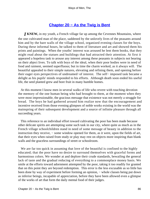# **[Chapter 20 − As the Twig is Bent](#page-148-0)**

*J* KNEW, in my youth, a French village far up among the Cevennes Mountains, where the one cultivated man of the place, saddened by the unlovely lives of the peasants around him and by the bare walls of the village school, organized evening classes for the boys. During these informal hours, he talked to them of literature and art and showed them his prints and paintings. When the youths' interest was aroused he lent them books, that they might read about the statues and buildings that had attracted their attention. At first it appeared a hopeless task to arouse any interest among these peasants in subjects not bearing on their abject lives. To talk with boys of the ideal, when their poor bodies were in need of food and raiment, seemed superfluous; but in time the charm worked, as it always will. The beautiful appealed to their simple natures, elevating and refining them, and opening before their eager eyes perspectives of undreamed−of interest. The self− imposed task became a delight as his pupils' minds responded to his efforts. Although death soon ended his useful life, the seed planted grew and bore fruit in many humble homes.

 At this moment I know men in several walks of life who revere with touching devotion the memory of the one human being who had brought to them, at the moment when they were most impressionable, the gracious message that existence was not merely a struggle for bread. The boys he had gathered around him realize now that the encouragement and incentive received from those evening glimpses of noble works existing in the world was the mainspring of their subsequent development and a source of infinite pleasure through all succeeding years.

 This reference to an individual effort toward cultivating the poor has been made because other delicate spirits are attempting some such task in our city, where quite as much as in the French village schoolchildren stand in need of some message of beauty in addition to the instruction they receive, − some window opened for them, as it were, upon the fields of art, that their eyes when raised from study or play may rest on objects more inspiring than blank walls and the graceless surroundings of street or schoolroom.

We are far too quick in assuming that love of the beautiful is confined to the highly educated; that the poor have no desire to surround themselves with graceful forms and harmonious colors. We wonder at and deplore their crude standards, bewailing the general lack of taste and the gradual reducing of everything to a commonplace money basis. We smile at the efforts toward adornment attempted by the poor, taking it too readily for granted that on this point they are beyond redemption. This error is the less excusable as so little has been done by way of experiment before forming an opinion, – whole classes being put down as inferior beings, incapable of appreciation, before they have been allowed even a glimpse of the works of art that form the daily mental food of their judges.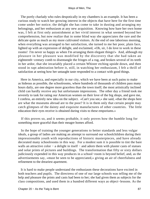The portly charlady who rules despotically in my chambers is an example. It has been a curious study to watch her growing interest in the objects that have here for the first time come under her notice; the delight she has come to take in dusting and arranging my belongings, and her enthusiasm at any new acquisition. Knowing how bare her own home was, I felt at first only astonishment at her vivid interest in what seemed beyond her comprehension, but now realize that in some blind way she appreciates the rare and the delicate quite as much as my more cultivated visitors. At the end of one laborious morning, when everything was arranged to her satisfaction, she turned to me her poor, plain face, lighted up with an expression of delight, and exclaimed, «Oh, sir, I do love to work in these rooms! I'm never so happy as when I'm arranging them elegant things!» And, although my pleasure in her pleasure was modified by the discovery that she had taken an eighteenth−century comb to disentangle the fringes of a rug, and broken several of its teeth in her ardor, that she invariably placed a certain Whister etching upside down, and then stood in rapt admiration before it, still, in watching her enthusiasm, I felt a thrill of satisfaction at seeing how her untaught taste responded to a contact with good things.

 Here in America, and especially in our city, which we have been at such pains to make as hideous as possible, the schoolrooms, where hundreds of thousands of children pass many hours daily, are one degree more graceless than the town itself; the most artistically inclined child can hardly receive any but unfortunate impressions. The other day a friend took me severely to task for rating our American women on their love of the big shops, and gave me, I confess, an entirely new idea on the subject. «Can't you see,» she said, «that the shops here are what the museums abroad are to the poor? It is in them only that certain people may catch glimpses of the dainty and exquisite manufactures of other countries. The little education their eyes receive is obtained during visits to these emporiums.»

 If this proves so, and it seems probable, it only proves how the humble long for something more graceful than their meagre homes afford.

 In the hope of training the younger generations to better standards and less vulgar ideals, a group of ladies are making an attempt to surround our schoolchildren during their impressionable youth with reproductions of historic masterpieces, and have already decorated many schoolrooms in this way. For a modest sum it is possible to tint the bare walls an attractive color – a delight in itself – and adorn them with plaster casts of statues and solar prints of pictures and buildings. The transformation that fifty or sixty dollars judiciously expended in this way produces in a school−room is beyond belief, and, as the advertisements say, «must be seen to be appreciated,» giving an air of cheerfulness and refinement to the dreariest apartment.

 It is hard to make people understand the enthusiasm these decorations have excited in both teachers and pupils. The directress of one of our large schools was telling me of the help and pleasure the prints and casts had been to her; she had given them as subjects for the class compositions, and used them in a hundred different ways as object−lessons. As the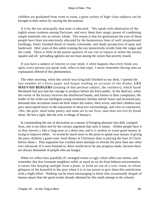children are graduated from room to room, a great variety of high−class subjects can be brought to their notice by varying the decorations.

 It is by the eye principally that taste is educated. "We speak with admiration of the eighth sense common among Parisians, and envy them their magic power of combining simple materials into an artistic whole. The reason is that for generations the eyes of those people have been unconsciously educated by the harmonious lines of well−proportioned buildings, finely finished detail of stately colonnade, and shady perspective of quay and boulevard. After years of this subtle training the eye instinctively revolts from the vulgar and the crude. There is little in the poorer quarters of our city to rejoice or refine the senses; squalor and all− pervading ugliness are not least among the curses that poverty entails.

 If you have a subject of interest in your mind, it often happens that every book you open, every person you speak with, refers to that topic. I never remember having seen an explanation offered of this phenomenon.

 The other morning, while this article was lying half finished on my desk, I opened the last number of a Paris paper and began reading an account of the drama, **LES MAUVAIS BERGERS** (treating of that perilous subject, the «strikes»), which Sarah Bernhardt had just had the courage to produce before the Paris public. In the third act, when the owner of the factory receives the disaffected hands, and listens to their complaints, the leader of the strike (an intelligent young workman), besides shorter hours and increased pay, demands that recreation rooms be built where the toilers, their wives, and their children may pass unoccupied hours in the enjoyment of attractive surroundings, and cries in conclusion: «We, the poor, need some poetry and some art in our lives, man does not live by bread alone. He has a right, like the rich, to things of beauty!»

 In commending the use of decoration as a means of bringing pleasure into dull, cramped lives, one is too often met by the curious argument that taste is innate. «Either people have it or they haven't,» like a long nose or a short one, and it is useless to waste good money in trying to improve either. «It would be much more to the point to spend your money in giving the poor children a good roast−beef dinner at Christmas than in placing the bust of Clytie before them.» That argument has crushed more attempts to elevate the poor than any other ever advanced. If it were listened to, there would never be any progress made, because there are always thousands of people who are hungry.

 When we reflect how painfully ill−arranged rooms or ugly colors affect our senses, and remember that less fortunate neighbors suffer as much as we do from hideous environments, it seems like keeping sunlight from a plant, or fresh air out of a sick−room, to refuse glimpses of the beautiful to the poor when it is in our power to give them this satisfaction with a slight effort. Nothing can be more encouraging to those who occasionally despair of human nature than the good results already obtained by this small attempt in the schools.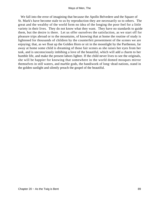We fall into the error of imagining that because the Apollo Belvedere and the Square of St. Mark's have become stale to us by reproduction they are necessarily so to others. The great and the wealthy of the world form no idea of the longing the poor feel for a little variety in their lives. They do not know what they want. They have no standards to guide them, but the desire is there. Let us offer ourselves the satisfaction, as we start off for pleasure trips abroad or to the mountains, of knowing that at home the routine of study is lightened for thousands of children by the counterfeit presentment of the scenes we are enjoying; that, as we float up the Golden Horn or sit in the moonlight by the Parthenon, far away at home some child is dreaming of those fair scenes as she raises her eyes from her task, and is unconsciously imbibing a love of the beautiful, which will add a charm to her humble life, and make the present labors lighter. If the child never lives to see the originals, she will be happier for knowing that somewhere in the world domed mosques mirror themselves in still waters, and marble gods, the handiwork of long−dead nations, stand in the golden sunlight and silently preach the gospel of the beautiful.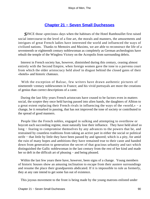# **[Chapter 21 − Seven Small Duchesses](#page-149-0)**

*S*INCE those «precious» days when the habitues of the Hotel Rambouillet first raised social intercourse to the level of a fine art, the morals and manners, the amusements and intrigues of great French ladies have interested the world and influenced the ways of civilized nations. Thanks to Memoirs and Maxims, we are able to reconstruct the life of a seventeenth or eighteenth century noblewoman as completely as German archeologists have rebuilt the temple of the Wingless Victory on the Acropolis from surrounding debris.

 Interest in French society has, however, diminished during this century, ceasing almost entirely with the Second Empire, when foreign women gave the tone to a parvenu court from which the older aristocracy held aloof in disgust behind the closed gates of their «hotels» and historic chateaux.

 With the exception of Balzac, few writers have drawn authentic pictures of nineteenth−century noblewomen in France; and his vivid portrayals are more the creations of genius than correct descriptions of a caste.

 During the last fifty years French aristocrats have ceased to be factors even in matters social, the sceptre they once held having passed into alien hands, the daughters of Albion to a great extent replacing their French rivals in influencing the ways of the «world,» − a change, be it remarked in passing, that has not improved the tone of society or contributed to the spread of good manners.

 People like the French nobles, engaged in sulking and attempting to overthrow or boycott each succeeding regime, must naturally lose their influence. They have held aloof so long − fearing to compromise themselves by any advances to the powers that be, and restrained by countless traditions from taking an active part in either the social or political strife − that little by little they have been passed by and ignored; which is a pity, for amid the ruin of many hopes and ambitions they have remained true to their caste and handed down from generation to generation the secret of that gracious urbanity and tact which distinguished the Gallic noblewoman in the last century from the rest of her kind and made her so deft in the difficult art of pleasing – and being pleased.

 Within the last few years there have, however, been signs of a change. Young members of historic houses show an amusing inclination to escape from their austere surroundings and resume the place their grandparents abdicated. If it is impossible to rule as formerly, they at any rate intend to get some fun out of existence.

This joyous movement to the front is being made by the young matrons enlisted under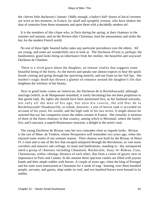the «Seven little duchesses'» banner. Oddly enough, a baker's half−dozen of ducal coronets are worn at this moment, in France, by small and sprightly women, who have shaken the dust of centuries from those ornaments and sport them with a decidedly modern air!

 It is the members of this clique who, in Paris during the spring, at their chateaux in the summer and autumn, and on the Riviera after Christmas, lead the amusements and strike the key for the modern French world.

 No one of these light−hearted ladies takes any particular precedence over the others. All are young, and some are wonderfully nice to look at. The Duchesse d'Uzes is, perhaps, the handsomest, good looks being an inheritance from her mother, the beautiful and wayward Duchesse de Chaulme.

 There is a vivid grace about the daughter, an intense vitality that suggests some beautiful being of the forest. As she moves and speaks one almost expects to hear the quick breath coming and going through her quivering nostrils, and see foam on her full lips. Her mother's tragic death has thrown a glamor of romance around the daughter's life that heightens the witchery of her beauty.

 Next in good looks comes an American, the Duchesse de la Rochefoucauld, although marriage (which, as de Maupassant remarked, is rarely becoming) has not been propitious to that gentle lady. By rights she should have been mentioned first, as her husband outranks, not only all the men of his age, but also his cousin, the old Duc de la Rochefoucauld−Doudeauville, to whom, however, a sort of brevet rank is accorded on account of his years, his wealth, and the high rank of his two wives. It might almost be asserted that our fair compatriot wears the oldest coronet in France. She certainly is mistress of three of the finest chateaux in that country, among which is Miromail, where the family live, and Liancourt, a superb Renaissance structure, a delight to the artist's soul.

 The young Duchesse de Brissac runs her two comrades close as regards looks. Brissac is the son of Mme. de Tredern, whom Newporters will remember two years ago, when she enjoyed some weeks of our summer season. Their chateau was built by the Brissac of Henri IV.'s time and is one of the few that escaped uninjured through the Revolution, its vast stone corridors and massive oak ceilings, its moat and battlements, standing to− day unimpaired amid a group of chateaux including Chaumont, Rochecotte, Azay−le−Rideau, Usse, Chenonceau, within «dining» distance of each other, that form a centre of gayety next in importance to Paris and Cannes. In the autumn these spacious castles are filled with joyous bands and their ample stables with horses. A couple of years ago, when the king of Portugal and his suite were entertained at Chaumont for a week of stag− hunting, over three hundred people, servants, and guests, slept under its roof, and two hundred horses were housed in its stables.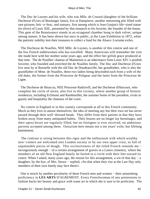The Duc de Luynes and his wife, who was Mlle. de Crussol (daughter of the brilliant Duchesse d'Uzes of Boulanger fame), live at Dampierre, another interesting pile filled with rare pictures, bric−a−brac, and statuary, first among which is Jean Goujon's life−sized statue (in silver) of Louis XIII., presented by that monarch to his favorite, the founder of the house. This gem of the Renaissance stands in an octagonal chamber hung in dark velvet, unique among statues. It has been shown but once in public, at the Loan Exhibition in 1872, when the patriotic nobility lent their treasures to collect a fund for the Alsace−Lorraine exiles.

 The Duchesse de Noailles, NEE Mlle. de Luynes, is another of this coterie and one of the few French noblewomen who has travelled. Many Americans will remember the visit she made here with her mother some years ago, and the effect her girlish grace produced at that time. The de Noailles' chateau of Maintenon is an inheritance from Louis XIV.'s prudish favorite, who founded and enriched the de Noailles family. The Duc and Duchesse d'Uzes live near by at Bonnelle with the old Duc de Doudeauville, her grandfather, who is also the grandfather of Mme. de Noailles, these two ladies being descended each from a wife of the old duke, the former from the Princesse de Polignac and the latter from the Princesse de Ligne.

 The Duchesse de Bisaccia, NEE Princesse Radziwill, and the Duchesse d'Harcourt, who complete the circle of seven, also live in this vicinity, where another group of historic residences, including Eclimont and Rambouillet, the summer home of the president, rivals in gayety and hospitality the chateaux of the Loire.

 No coterie in England or in this country corresponds at all to this French community. Much as they love to amuse themselves, the idea of meeting any but their own set has never passed through their well−dressed heads. They differ from their parents in that they have broken away from many antiquated habits. Their houses are no longer lay hermitages, and their opera boxes are regularly filled, but no foreigner is ever received, no ambitious parvenu accepted among them. Ostracism here means not a ten years' exile, but lifelong banishment.

 The contrast is strong between this rigor and the enthusiasm with which wealthy new−comers are welcomed into London society or by our own upper crust, so full of unpalatable pieces of dough. This exclusiveness of the titled French reminds me − incongruously enough − of a certain arrangement of graves in a Lenox cemetery, where the members of an old New England family lie buried in a circle with their feet toward its centre. When I asked, many years ago, the reason for this arrangement, a wit of that day − a daughter, by the bye, of Mrs. Stowe − replied, «So that when they rise at the Last Day only members of their own family may face them!»

 One is struck by another peculiarity of these French men and women − their astonishing proficiency in **LES ARTS** D'AGREMENT. Every Frenchwoman of any pretensions to fashion backs her beauty and grace with some art in which she is sure to be proficient. The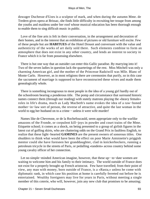dowager Duchesse d'Uzes is a sculptor of mark, and when during the autumn Mme. de Tredern gives opera at Brissac, she finds little difficulty in recruiting her troupe from among the youths and maidens under her roof whose musical education has been thorough enough to enable them to sing difficult music in public.

 Love of the fine arts is felt in their conversation, in the arrangement and decoration of their homes, and in the interest that an exhibition of pictures or old furniture will excite. Few of these people but are **HABITUES** of the Hotel Drouot and conversant with the value and authenticity of the works of art daily sold there. Such elements combine to form an atmosphere that does not exist in any other country, and lends an interest to society in France which it is far from possessing elsewhere.

 There is but one way that an outsider can enter this Gallic paradise. By marrying into it! Two of the seven ladies in question lack the quarterings of the rest. Miss Mitchell was only a charming American girl, and the mother of the Princesse Radziwill was Mlle. Blanc of Monte Carlo. However, as in most religions there are ceremonies that purify, so in this case the sacrament of marriage is supposed to have reconstructed these wives and made them genealogically whole.

 There is something incongruous to most people in the idea of a young girl hardly out of the schoolroom bearing a ponderous title. The pomp and circumstance that surround historic names connect them (through our reading) with stately matrons playing the «heavy female» roles in life's drama, much as Lady Macbeth's name evokes the idea of a raw−boned mother−in−law sort of person, the reverse of attractive, and quite the last woman in the world to egg her husband on to a crime − unless it were wife murder!

 Names like de Chevreuse, or de la Rochefoucauld, seem appropriate only to the warlike amazons of the Fronde, or corpulent kill−joys in powder and court trains of the Mme. Etiquette school; it comes as a shock, on being presented to a group of girlish figures in the latest cut of golfing skirts, who are chattering odds on the Grand Prix in faultless English, to realize that these light−hearted **GAMINES** are the present owners of sonorous titles. One shudders to think what would have been the effect on poor Marie Antoinette's priggish mentor could she have foreseen her granddaughter, clad in knickerbockers, running a petroleum tricycle in the streets of Paris, or pedalling «tandem» across country behind some young cavalry officer of her connection.

 Let no simple−minded American imagine, however, that these up− to−date women are waiting to welcome him and his family to their intimacy. The world outside of France does not exist for a properly brought up French aristocrat. Few have travelled; from their point of view, any man with money, born outside of France, is a «Rasta,» unless he come with diplomatic rank, in which case his position at home is carefully ferreted out before he is entertained. Wealthy foreigners may live for years in Paris, without meeting a single member of this coterie, who will, however, join any new club that promises to be amusing;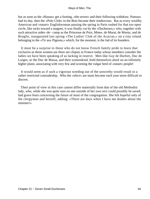but as soon as the «Rastas» get a footing, «the seven» and their following withdraw. Puteaux had its day, then the «Polo Club» in the Bois became their rendezvous. But as every wealthy American and «smart» Englishwoman passing the spring in Paris rushed for that too open circle, like tacks toward a magnet, it was finally cut by the «Duchesses,» who, together with such attractive aides−de− camp as the Princesse de Poix, Mmes. de Murat, de Morny, and de Broglie, inaugurated last spring «The Ladies' Club of the Acacias,» on a tiny island belonging to the «Tir aux Pigeons,» which, for the moment, is the fad of its founders.

 It must be a surprise to those who do not know French family pride to learn that exclusive as these women are there are cliques in France today whose members consider the ladies we have been speaking of as lacking in reserve. Men like Guy de Durfort, Duc de Lorges, or the Duc de Massa, and their womenkind, hold themselves aloof on an infinitely higher plane, associating with very few and scorning the vulgar herd of «smart» people!

 It would seem as if such a vigorous weeding out of the unworthy would result in a rather restricted comradeship. Who the «elect» are must become each year more difficult to discern.

 Their point of view in this case cannot differ materially from that of the old Methodist lady, who, while she was quite sure no one outside of her own sect could possibly be saved, had grave fears concerning the future of most of the congregation. She felt hopeful only of the clergyman and herself, adding: «There are days when I have me doubts about the minister!»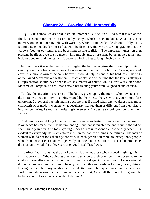# **[Chapter 22 − Growing Old Ungracefully](#page-149-0)**

**THERE** comes, we are told, a crucial moment, «a tide» in all lives, that taken at the flood, leads on to fortune. An assertion, by the bye, which is open to doubt. What does come to every one is an hour fraught with warning, which, if unheeded, leads on to folly. This fateful date coincides for most of us with the discovery that we are turning gray, or that the «crow's feet» or our temples are becoming visible realities. The unpleasant question then presents itself: Are we to slip meekly into middle age, or are arms be taken up against our insidious enemy, and the rest of life become a losing battle, fought inch by inch?

 In other days it was the men who struggled the hardest against their fate. Up to this century, the male had always been the ornamental member of a family. Caesar, we read, coveted a laurel crown principally because it would help to conceal his baldness. The wigs of the Grand Monarque are historical. It is characteristic of the time that the latter's attempts at rejuvenation should have been taken as a matter of course, while a few years later poor Madame de Pompadour's artifices to retain her fleeting youth were laughed at and decried.

 To−day the situation is reversed. The battle, given up by the men − who now accept their fate with equanimity − is being waged by their better halves with a vigor heretofore unknown. So general has this mania become that if asked what one weakness was most characteristic of modern women, what peculiarity marked them as different from their sisters in other centuries, I should unhesitatingly answer, «The desire to look younger than their years.»

 That people should long to be handsomer or taller or better proportioned than a cruel Providence has made them, is natural enough; but that so much time and trouble should be spent simply in trying to look «young,» does seem unreasonable, especially when it is evident to everybody that such efforts must, in the nature of things, be failures. The men or women who do not look their age are rare. In each generation there are exceptions, people who, from one cause or another – generally an excellent constitution – succeed in producing the illusion of youth for a few years after youth itself has flown.

 A curious fatality that has the air of a nemesis pursues those who succeed in giving this false appearance. When pointing them out to strangers, their admirers (in order to make the contrast more effective) add a decade or so to the real age. Only last month I was sitting at dinner opposite a famous French beauty, who at fifty succeeds in looking barely thirty. During the meal both my neighbors directed attention to her appearance, and in each case said: «Isn't she a wonder! You know she's over sixty!» So all that poor lady gained by looking youthful was ten years added to her age!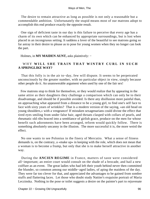The desire to remain attractive as long as possible is not only a reasonable but a commendable ambition. Unfortunately the stupid means most of our matrons adopt to accomplish this end produce exactly the opposite result.

 One sign of deficient taste in our day is this failure to perceive that every age has a charm of its own which can be enhanced by appropriate surroundings, but is lost when placed in an incongruous setting. It saddens a lover of the beautiful to see matrons going so far astray in their desire to please as to pose for young women when they no longer can look the part.

Holmes, in **MY MAIDEN AUNT**, asks plaintively: –

## WHY **WILL SHE TRAIN THAT WINTRY CURL IN SUCH A SPRINGLIKE WAY?**

 That this folly is in the air to−day, few will dispute. It seems to be perpetrated unconsciously by the greater number, with no particular object in view, simply because other people do it. An unanswerable argument when used by one of the fair sex!

 Few matrons stop to think for themselves, or they would realize that by appearing in the same attire as their daughters they challenge a comparison which can only be to their disadvantage, and should be if possible avoided. Is there any disillusion more painful than, on approaching what appeared from a distance to be a young girl, to find one's self face to face with sixty years of wrinkles? That is a modern version of the saying, «an old head on young shoulders,» with a vengeance! If mistaken sexagenarians could divine the effect that tired eyes smiling from under false hair, aged throats clasped with collars of pearls, and rheumatic old ribs braced into a semblance of girlish grace, produce on the men for whose benefit such adornments have been arranged, reform would quickly follow. There is something absolutely uncanny in the illusion. The more successful it is, the more weird the effect.

 No one wants to see Polonius in the finery of Mercutio. What a sense of fitness demands is, on the contrary, a «make up» in keeping with the role, which does not mean that a woman is to become a frump, but only that she is to make herself attractive in another way.

 During the **ANCIEN REGIME** in France, matters of taste were considered all−important; an entire court would consult on the shade of a brocade, and hail a new coiffure as an event. The great ladies who had left their youth behind never then committed the blunder, so common among our middle−aged ladies, of aping the maidens of the day. They were far too clever for that, and appreciated the advantages to be gained from sombre stuffs and flattering laces. Let those who doubt study Nattier's exquisite portrait of Maria Leczinska. Nothing in the pose or toilet suggests a desire on the painter's part to rejuvenate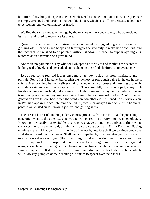his sitter. If anything, the queen's age is emphasized as something honorable. The gray hair is simply arranged and partly veiled with black lace, which sets off her delicate, faded face to perfection, but without flattery or fraud.

 We find the same view taken of age by the masters of the Renaissance, who appreciated its charm and loved to reproduce its grace.

 Queen Elizabeth stands out in history as a woman who struggled ungracefully against growing old. Her wigs and hoops and farthingales served only to make her ridiculous, and the fact that she wished to be painted without shadows in order to appear «young,» is recorded as an aberration of a great mind.

 Are there no painters to−day who will whisper to our wives and mothers the secret of looking really lovely, and persuade them to abandon their foolish efforts at rejuvenation?

 Let us see some real old ladies once more, as they look at us from miniature and portrait. Few of us, I imagine, but cherish the memory of some such being in the old home, a soft− voiced grandmother, with silvery hair brushed under a discreet and flattering cap, with soft, dark raiment and tulle−wrapped throat. There are still, it is to be hoped, many such lovable women in our land, but at times I look about me in dismay, and wonder who is to take their places when they are gone. Are there to be no more «old ladies»? Will the next generation have to look back when the word «grandmother» is mentioned, to a stylish vision in Parisian apparel, decollete and decked in jewels, or arrayed in cocky little bonnets, perched on tousled curls, knowing jackets, and golfing skirts?

 The present horror of anything elderly comes, probably, from the fact that the preceding generation went to the other extreme, young women retiring at forty into becapped old age. Knowing how easily our excitable race runs to exaggeration, one trembles to think what surprises the future may hold, or what will be the next decree of Dame Fashion. Having eliminated the «old lady» from off the face of the earth, how fast shall we continue down the fatal slope toward the ridiculous? Shall we be compelled by a current stronger than our wills to array ourselves each year (the bare thought makes one shudder) in more and more youthful apparel, until corpulent senators take to running about in «sailor suits,» and octogenarian business men go «down town» in «pinafores,» while belles of sixty or seventy summers appear in Kate Greenaway costumes, and dine out in short−sleeved bibs, which will allow coy glimpses of their cunning old ankles to appear over their socks?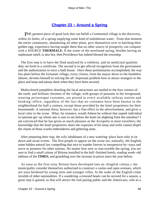# **[Chapter 23 − Around a Spring](#page-149-0)**

**THE** greatest piece of good luck that can befall a Continental village is the discovery, within its limits, of a spring supplying some kind of malodorous water. From that moment the entire community, abandoning all other plans, give themselves over to hatching their golden egg, experience having taught them that no other source of prosperity can compare with a SOURCE **THERMALE.** If the water of the newfound spring, besides having an unpleasant smell, is also hot, then Providence has indeed blessed the township.

 The first step is to have the fluid analyzed by a celebrity, and its medicinal qualities duly set forth in a certificate. The second is to get official recognition from the government and the authorization to erect a bath house. Once these preliminaries accomplished, the way lies plain before the fortunate village; every citizen, from the mayor down to the humblest laborer, devotes himself to solving the all−important problem how to attract strangers to the place and keep and amuse them when they have been secured.

 Multicolored pamphlets detailing the local attractions are mailed to the four corners of the earth, and brilliant chromos of the village, with groups of peasants in the foreground, wearing picturesque costumes, are posted in every available railway station and booking−office, regardless of the fact that no costumes have been known in the neighborhood for half a century, except those provided by the hotel proprietors for their housemaids. A national dress, however, has a fine effect in the advertisement, and gives a local color to the scene. What, for instance, would Athens be without that superb individual in national get−up whom one is sure to see before the hotel on alighting from the omnibus? I am convinced that he has given as much pleasure as the Acropolis to most travellers; the knowledge that the hotel proprietors share the expenses of his keep and toilet cannot dispel the charm of those scarlet embroideries and glittering arms.

 After preparing their trap, the wily inhabitants of a new watering−place have only to sit down and await events. The first people to appear on the scene are, naturally, the English, some hidden natural law compelling that race to wander forever in inexpensive by−ways and serve as pioneers for other nations. No matter how new or inaccessible the spring, you are sure to find a small colony of Britons installed in the half−finished hotels, reading week−old editions of the **TIMES,** and grumbling over the increase in prices since the year before.

 As soon as the first stray Britons have developed into an «English colony,» the municipality consider themselves authorized to construct a casino and open avenues, which are soon bordered by young trees and younger villas. In the wake of the English come invalids of other nationalities. If a wandering «crowned head» can be secured for a season, a great step is gained, as that will attract the real paying public and the Americans, who as a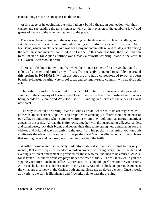general thing are the last to appear on the scene.

 At this stage of its evolution, the «city fathers» build a theatre in connection with their casino, and (persuading the government to wink at their evasion of the gambling laws) add games of chance to the other temptations of the place.

 There is no better example of the way a spring can be developed by clever handling, and satisfactory results obtained from advertising and judicious expenditure, than Aix− les−Bains, which twenty years ago was but a tiny mountain village, and to−day ranks among the wealthiest and most brilliant **EAUX** in Europe. In this case, it is true, they had tradition to fall back on, for Aquae Gratinae was already a favorite watering−place in the year 30 B.C., when Caesar took the cure.

 There is little doubt in my mind that when the Roman Emperor first arrived he found a colony of spinsters and retired army officers (from recently conquered Britain) living around this spring in **POPINAE** (which are supposed to have corresponded to our modern boarding−house), wearing waterproof togas and common−sense cothurni, with double cork soles.

 The wife of another Caesar fled hither in 1814. The little inn where she passed a summer in the company of her one–eyed lover − while the fate of her husband and son was being decided at Vienna and Waterloo − is still standing, and serves as the annex of a vast new hotel.

 The way in which a watering−place is «run» abroad, where tourists are regarded as godsends, to be cherished, spoiled, and despoiled, is amusingly different from the manner of our village populations when summer visitors (whom they look upon as natural enemies) appear on the scene. Abroad the entire town, together with the surrounding villages, hamlets, and farmhouses, rack their brains and devote their time to inventing new amusements for the visitor, and original ways of enticing the gold from his pocket − for, mind you, on both continents the object is the same. In Europe the rural Machiavellis have had time to learn that smiling faces and picturesque surroundings are half the battle.

 Another point which is perfectly understood abroad is that a cure must be largely mental; that in consequence boredom retards recovery. So during every hour of the day and evening a different amusement is provided for those who feel inclined to be amused. At Aix, for instance, Colonne's orchestra plays under the trees at the Villa des Fleurs while you are sipping your after−luncheon coffee. At three o'clock «Guignol» performs for the youngsters. At five o'clock there is another concert in the Casino. At eight o'clock an operetta is given at the villa, and a comedy in the Casino, both ending discreetly at eleven o'clock. Once a week, as a variety, the park is illuminated and fireworks help to pass the evening.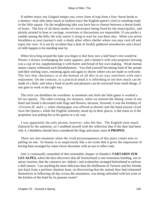If neither music nor Guignol tempts you, every form of trap from a four−horse break to a donkey−chair (the latter much in fashion since the English queen's visit) is standing ready in the little square. On the neighboring lake you have but to choose between a dozen kinds of boats. The hire of all these modes of conveyance being fixed by the municipality, and plainly printed in boat or carriage, extortions or discussions are impossible. If you prefer a ramble among the hills, the wily native is lying in wait for you there also. When you arrive breathless at your journey's end, a shady arbor offers shelter where you may cool off and enjoy the view. It is not by accident that a dish of freshly gathered strawberries and a bowl of milk happen to be standing near by.

 When bicycling around the lake you begin to feel how nice a half hour's rest would be. Presto! a terrace overhanging the water appears, and a farmer's wife who proposes brewing you a cup of tea, supplementing it with butter and bread of her own making. Weak human nature cannot withstand such blandishments. You find yourself becoming fond of the people and their smiling ways, returning again and again to shores where you are made so welcome. The fact that «business» is at the bottom of all this in no way interferes with one's enjoyment. On the contrary, to a practical mind it is refreshing to see how much can be made of a little, and what a fund of profit and pleasure can be extracted from small things, if one goes to work in the right way.

 The trick can doubtless be overdone: at moments one feels the little game is worked a bit too openly. The other evening, for instance, when we entered the dining−room of our hotel and found it decorated with flags and flowers, because, forsooth, it was the birthday of «Victoria R. and I.,» when champagne was offered at dessert and the band played «God Save the Queen,» while the English solemnly stood up in their places, it did seem as if the proprietor was poking fun at his guests in a sly way.

 I was apparently the only person, however, who felt this. The English were much flattered by the attention, so I snubbed myself with the reflection that if the date had been July 4, I doubtless should have considered the flags and music most **A PROPOS.**

 There are also moments when the vivid picturesqueness of this place comes near to palling on one. Its beauty is so suspiciously like a set scene that it gives the impression of having been arranged by some clever decorator with an eye to effect only.

 One is continually reminded of that inimitable chapter in Daudet's **TARTARIN SUR LES ALPES,** when the hero discovers that all Switzerland is one enormous humbug, run to attract tourists; that the cataracts are «faked,» and avalanches arranged beforehand to enliven a dull season. Can anything be more delicious than the disillusion of Tartarin and his friends, just back from a perilous chamois hunt, on discovering that the animal they had exhausted themselves in following all day across the mountains, was being refreshed with hot wine in the kitchen of the hotel by its peasant owner?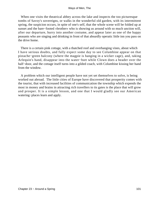When one visits the theatrical abbey across the lake and inspects the too picturesque tombs of Savoy's sovereigns, or walks in the wonderful old garden, with its intermittent spring, the suspicion occurs, in spite of one's self, that the whole scene will be folded up at sunset and the bare−footed «brother» who is showing us around with so much unction will, after our departure, hurry into another costume, and appear later as one of the happy peasants who are singing and drinking in front of that absurdly operatic little inn you pass on the drive home.

 There is a certain pink cottage, with a thatched roof and overhanging vines, about which I have serious doubts, and fully expect some day to see Columbine appear on that pistache−green balcony (where the magpie is hanging in a wicker cage), and, taking Arlequin's hand, disappear into the water−butt while Clown does a header over the half−door, and the cottage itself turns into a gilded coach, with Columbine kissing her hand from the window.

 A problem which our intelligent people have not yet set themselves to solve, is being worked out abroad. The little cities of Europe have discovered that prosperity comes with the tourist, that with increased facilities of communication the township which expends the most in money and brains in attracting rich travellers to its gates is the place that will grow and prosper. It is a simple lesson, and one that I would gladly see our American watering−places learn and apply.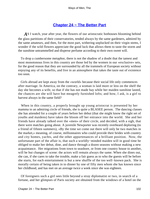# **[Chapter 24 − The Better Part](#page-149-0)**

AS I watch, year after year, the flowers of our aristocratic hothouses blooming behind the glass partitions of their conservatories, tended always by the same gardeners, admired by the same amateurs, and then, for the most part, withering unplucked on their virgin stems, I wonder if the wild flowers appreciate the good luck that allows them to taste the storm and the sunshine untrammelled and disperse perfume according to their own sweet will.

 To drop a cumbersome metaphor, there is not the shadow of a doubt that the tamest and most monotonous lives in this country are those led by the women in our «exclusive» sets, for the good reason that they are surrounded by all the trammels of European society without enjoying any of its benefits, and live in an atmosphere that takes the taste out of existence too soon.

 Girls abroad are kept away from the «world» because their social life only commences after marriage. In America, on the contrary, a woman is laid more or less on the shelf the day she becomes a wife, so that if she has not made hay while her maiden sunshine lasted, the chances are she will have but meagrely furnished lofts; and how, I ask, is a girl to harvest always in the same field?

 When in this country, a properly brought up young aristocrat is presented by her mamma to an admiring circle of friends, she is quite a BLASEE person. The dancing classes she has attended for a couple of years before her debut (that she might know the right set of youths and maidens) have taken the bloom off her entrance into the world. She and her friends have already talked over the «men» of their circle, and decided, with a sigh, that there were matches going about. A juvenile Newporter was recently overheard deploring (to a friend of fifteen summers), «By the time we come out there will only be two matches in the market,» meaning, of course, millionnaires who could provide their brides with country and city homes, yachts, and the other appurtenances of a brilliant position. Now, the unfortunate part of the affair is, that such a worldly−minded maiden will in good time be obliged to make her debut, dine, and dance through a dozen seasons without making a new acquaintance. Her migrations from town to seashore, or from one country house to another, will be but changes of scene: the actors will remain always the same. When she dines out, she can, if she cares to take the trouble, make a fair guess as to who the guests will be before she starts, for each entertainment is but a new shuffle of the too well−known pack. She is morally certain of being taken in to dinner by one of fifty men whom she has known since her childhood, and has met on an average twice a week since she was eighteen.

 Of foreigners such a girl sees little beyond a stray diplomatist or two, in search of a fortune, and her glimpses of Paris society are obtained from the windows of a hotel on the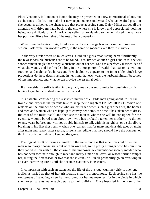Place Vendome. In London or Rome she may be presented in a few international salons, but as she finds it difficult to make her new acquaintances understand what an exalted position she occupies at home, the chances are that pique at seeing some Daisy Miller attract all the attention will drive my lady back to the city where she is known and appreciated, nothing being more difficult for an American «swell» than explaining to the uninitiated in what way her position differs from that of the rest of her compatriots.

When I see the bevies of highly educated and attractive girls who make their bows each season, I ask myself in wonder, «Who, in the name of goodness, are they to marry?»

 In the very circle where so much stress is laid on a girl's establishing herself brilliantly, the fewest possible husbands are to be found. Yet, limited as such a girl's choice is, she will sooner remain single than accept a husband out of her set. She has a perfectly distinct idea of what she wants, and has lived so long in the atmosphere of wealth that existence without footmen and male cooks, horses and French clothes, appears to her impossible. Such large proportions do these details assume in her mind that each year the husband himself becomes of less importance, and what he can provide the essential point.

 If an outsider is sufficiently rich, my lady may consent to unite her destinies to his, hoping to get him absorbed into her own world.

 It is pathetic, considering the restricted number of eligible men going about, to see the trouble and expense that parents take to keep their daughters **EN EVIDENCE.** When one reflects on the number of people who are disturbed when such a girl dines out, the horses and men and women who are kept up to convey her home, the time it has taken her to dress, the cost of the toilet itself, and then see the man to whom she will be consigned for the evening, – some bored man about town who has probably taken her mother in to dinner twenty years before, and will not trouble himself to talk with his neighbor, or a schoolboy, breaking in his first dress suit, – when one realizes that for many maidens this goes on night after night and season after season, it seems incredible that they should have the courage, or think it worth their while to keep up the game.

 The logical result of turning eternally in the same circle is that nine times out of ten the men who marry choose girls out of their own set, some pretty stranger who has burst on their jaded vision with all the charm of the unknown. A conventional society maiden who has not been fortunate enough to meet and marry a man she loves, or whose fortune tempts her, during the first season or two that she is «out,» will in all probability go on revolving in an ever−narrowing circle until she becomes stationary in its centre.

 In comparison with such an existence the life of the average «summer girl» is one long frolic, as varied as that of her aristocratic sister is monotonous. Each spring she has the excitement of selecting a new battle−ground for her manoeuvres, for in the circle in which she moves, parents leave such details to their children. Once installed in the hotel of her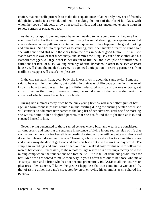choice, mademoiselle proceeds to make the acquaintance of an entirely new set of friends, delightful youths just arrived, and bent on making the most of their brief holidays, with whom her code of etiquette allows her to sail all day, and pass uncounted evening hours in remote corners of piazza or beach.

 As the words «position» and «set» have no meaning to her young ears, and no one has ever preached to her the importance of improving her social standing, the acquaintances that chance throws in her path are accepted without question if they happen to be good−looking and amusing. She has no prejudice as to standing, and if her supply of partners runs short, she will dance and flirt with the clerk from the desk in perfect good humor – in fact, she stands rather in awe of that functionary, and admires the «English» cut of his clothes and his Eastern swagger. A large hotel is her dream of luxury, and a couple of simultaneous flirtations her ideal of bliss. No long evenings of cruel boredom, in order to be seen at smart houses, will cloud the maiden's career, no agonized anticipation of retiring partnerless from cotillion or supper will disturb her pleasure.

 In the city she hails from, everybody she knows lives in about the same style. Some are said to be wealthier than others, but nothing in their way of life betrays the fact; the art of knowing how to enjoy wealth being but little understood outside of our one or two great cities. She has that tranquil sense of being the social equal of the people she meets, the absence of which makes the snob's life a burden.

 During her summers away from home our «young friend» will meet other girls of her age, and form friendships that result in mutual visiting during the ensuing winter, when she will continue to add more new names to the long list of her admirers, until one fine morning she writes home to her delighted parents that she has found the right man at last, and engaged herself to him.

 Never having penetrated to those sacred centres where birth and wealth are considered all−important, and ignoring the supreme importance of living in one set, the plan of life that such a woman lays out for herself is exceedingly simple. She will coquette and dance and dream her pleasant dream until Prince Charming, who is to awaken her to a new life, comes and kisses away the dew of girlhood and leads his bride out into the work−a−day world. The simple surroundings and ambitions of her youth will make it easy for this wife to follow the man of her choice, if necessary, to the remote village where he is directing a factory or to the mining camp where the foundations of a fortune lie. Life is full of delicious possibilities for her. Men who are forced to make their way in youth often turn out to be those who make «history» later, and a bride who has not become prematurely **BLASEE** to all the luxuries or pleasures of existence will know the greatest happiness that can come into a woman's life, that of rising at her husband's side, step by step, enjoying his triumphs as she shared his poverty.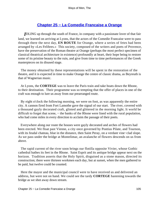# **[Chapter 25 − La Comedie Francaise a Orange](#page-149-0)**

*I*DLING up through the south of France, in company with a passionate lover of that fair land, we learned on arriving at Lyons, that the actors of the Comedie Francaise were to pass through there the next day, **EN ROUTE** for Orange, where a series of fetes had been arranged by «Les Felibres.» This society, composed of the writers and poets of Provence, have the preservation of the Roman theatre at Orange (perhaps the most perfect specimen of classical theatrical architecture in existence) profoundly at heart, their hope being to restore some of its pristine beauty to the ruin, and give from time to time performances of the Greek masterpieces on its disused stage.

 The money obtained by these representations will be spent in the restoration of the theatre, and it is expected in time to make Orange the centre of classic drama, as Beyreuth is that of Wagnerian music.

 At Lyons, the **CORTEGE** was to leave the Paris train and take boats down the Rhone, to their destination. Their programme was so tempting that the offer of places in one of the craft was enough to lure us away from our prearranged route.

 By eight o'clock the following morning, we were on foot, as was apparently the entire city. A cannon fired from Fort Lamothe gave the signal of our start. The river, covered with a thousand gayly decorated craft, glinted and glittered in the morning light. It world be difficult to forget that scene, – the banks of the Rhone were lined with the rural population, who had come miles in every direction to acclaim the passage of their poets.

 Everywhere along our route the houses were gayly decorated and arches of flowers had been erected. We float past Vienne, a city once governed by Pontius Pilate, and Tournon, with its feudal chateau, blue in the distance, then Saint Peray, on a verdant vine−clad slope. As we pass under the bridge at Montelimar, an avalanche of flowers descends on us from above.

 The rapid current of the river soon brings our flotilla opposite Vivier, whose Gothic cathedral bathes its feet in the Rhone. Saint Esprit and its antique bridge appear next on the horizon. Tradition asserts that the Holy Spirit, disguised as a stone mason, directed its construction; there were thirteen workmen each day, but at sunset, when the men gathered to be paid, but twelve could be counted.

 Here the mayor and the municipal council were to have received us and delivered an address, but were not on hand. We could see the tardy **CORTEGE** hastening towards the bridge as we shot away down stream.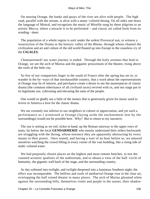On nearing Orange, the banks and quays of the river are alive with people. The high road, parallel with the stream, is alive with a many−colored throng. On all sides one hears the language of Mistral, and recognizes the music of Mireille sung by these pilgrims to an artistic Mecca, where a miracle is to be performed − and classic art called forth from its winding− sheet.

 The population of a whole region is astir under the ardent Provencal sun, to witness a resurrection of the Drama in the historic valley of the Rhone, through whose channel the civilization and art and culture of the old world floated up into Europe to the ceaseless cry of the **CIGALES.**

 Chateaurenard! our water journey is ended. Through the leafy avenues that lead to Orange, we see the arch of Marius and the gigantic proscenium of the theatre, rising above the roofs of the little city.

 So few of our compatriots linger in the south of France after the spring has set in, or wander in the by−ways of that inexhaustible country, that a word about the representations at Orange may be of interest, and perchance create a desire to see the masterpieces of classic drama (the common inheritance of all civilized races) revived with us, and our stage put to its legitimate use, cultivating and elevating the taste of the people.

 One would so gladly see a little of the money that is generously given for music used to revive in America a love for the classic drama.

 We are certainly not inferior to our neighbors in culture or appreciation, and yet such a performance as I witnessed at Orange (laying aside the enchantment lent by the surroundings) would not be possible here. Why? But to return to my narrative.

 The sun is setting as we toil, ticket in hand, up the Roman stairway to the upper rows of seats; far below the local **GENDARMERIE** who mostly understand their orders backwards are struggling with the throng, whose entrance they are apparently obstructing by every means in their power. Once seated, and having a wait of an hour before us, we amused ourselves watching the crowd filling in every corner of the vast building, like a rising tide of multi−colored water.

 We had purposely chosen places on the highest and most remote benches, to test the vaunted acoustic qualities of the auditorium, and to obtain a view of the half−circle of humanity, the gigantic wall back of the stage, and the surrounding country.

 As day softened into twilight, and twilight deepened into a luminous Southern night; the effect was incomparable. The belfries and roofs of mediaeval Orange rose in the clear air, overtopping the half ruined theatre in many places. The arch of Marius gleamed white against the surrounding hills, themselves violet and purple in the sunset, their shadow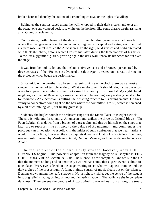broken here and there by the outline of a crumbling chateau or the lights of a village.

 Behind us the sentries paced along the wall, wrapped in their dark cloaks; and over all the scene, one snowtopped peak rose white on the horizon, like some classic virgin assisting at an Olympian solemnity.

 On the stage, partly cleared of the debris of fifteen hundred years, trees had been left where they had grown, among fallen columns, fragments of capital and statue; near the front a superb rose−laurel recalled the Attic shores. To the right, wild grasses and herbs alternated with thick shrubbery, among which Orestes hid later, during the lamentations of his sister. To the left a gigantic fig−tree, growing again the dark wall, threw its branches far out over the stage.

 It was from behind its foliage that «Gaul,» «Provence,» and «France,» personated by three actresses of the «Francais,» advanced to salute Apollo, seated on his rustic throne, in the prologue which began the performance.

 Since midday the weather had been threatening. At seven o'clock there was almost a shower − a moment of terrible anxiety. What a misfortune if it should rain, just as the actors were to appear, here, where it had not rained for nearly four months! My right−hand neighbor, a citizen of Beaucaire, assures me, «It will be nothing, only a strong `mistral' for to−morrow.» An electrician is putting the finishing touches to his arrangements. He tries vainly to concentrate some light on the box where the committee is to sit, which is screened by a bit of crumbling wall, but finally gives it up.

 Suddenly the bugles sound; the orchestra rings out the Marseillaise; it is eight o'clock. The sky is wild and threatening. An unseen hand strikes the three traditional blows. The Faun Lybrian slips down from a branch of a great elm, and throws himself on the steps that later are to represent the entrance to the palace of Agamemnon, and commences the prologue (an invocation to Apollo), in the midst of such confusion that we hear hardly a word. Little by little, however, the crowd quiets down, and I catch Louis Gallet's fine lines, marvellously phrased by Mesdames Bartet, Dudlay, Moreno, and the handsome Fenoux as Apollo.

 The real interest of the public is only aroused, however, when **THE ERYNNIES** begins. This powerful adaptation from the tragedy of AEschylus is **THE CHEF** D'OEUVRE of Leconte de Lisle. The silence is now complete. One feels in the air that the moment so long and so anxiously awaited has come, that a great event is about to take place. Every eye is fixed on the stage, waiting to see what will appear from behind the dark arches of the proscenium. A faint, plaintive strain of music floats out on the silence. Demons crawl among the leafy shadows. Not a light is visible, yet the centre of the stage is in strong relief, shading off into a thousand fantastic shadows. The audience sits in complete darkness. Then we see the people of Argos, winding toward us from among the trees,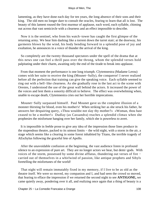lamenting, as they have done each day for ten years, the long absence of their sons and their king. The old men no longer dare to consult the oracles, fearing to learn that all is lost. The beauty of this lament roused the first murmur of applause, each word, each syllable, chiming out across that vast semicircle with a clearness and an effect impossible to describe.

 Now it is the sentinel, who from his watch−tower has caught the first glimpse of the returning army. We hear him dashing like a torrent down the turret stair; at the doorway, his garments blown by the wind, his body bending forward in a splendid pose of joy and exultation, he announces in a voice of thunder the arrival of the king.

 So completely are the twenty thousand spectators under the spell of the drama that at this news one can feel a thrill pass over the throng, whom the splendid verses hold palpitating under their charm, awaiting only the end of the tirade to break into applause.

 From that moment the performance is one long triumph. Clytemnestra (Madame Lerou) comes with her suite to receive the king (Mounet−Sully), the conqueror! I never realized before all the perfection that training can give the speaking voice. Each syllable seemed to ring out with a bell−like clearness. As she gradually rose in the last act to the scene with Orestes, I understood the use of the great wall behind the actors. It increased the power of the voices and lent them a sonority difficult to believe. The effect was overwhelming when, unable to escape death, Clytemnestra cries out her horrible imprecations.

 Mounet−Sully surpassed himself. Paul Mounet gave us the complete illusion of a monster thirsting for blood, even his mother's! When striking her as she struck his father, he answers her despairing query, «Thou wouldst not slay thy mother?» «Woman, thou hast ceased to be a mother!» Dudlay (as Cassandra) reaches a splendid climax when she prophesies the misfortune hanging over her family, which she is powerless to avert.

 It is impossible in feeble prose to give any idea of the impression those lines produce in the stupendous theatre, packed to its utmost limits − the wild night, with a storm in the air, a stage which seems like a clearing in some forest inhabited by Titans, the terrible tragedy of AEschylus following the graceful fete of Apollo.

 After the unavoidable confusion at the beginning, the vast audience listen in profound silence to an expression of pure art. They are no longer actors we hear, but demi−gods. With voices of the storm, possessed by some divine afflatus, thundering out verses of fire − carried out of themselves in a whirlwind of passion, like antique prophets and Sibyls foretelling the misfortunes of the world!

 That night will remain immutably fixed in my memory, if I live to be as old as the theatre itself. We were so moved, my companion and I, and had seen the crowd so moved, that fearing to efface the impression if we returned the second night to see **ANTIGONE,** we came quietly away, pondering over it all, and realizing once again that a thing of beauty is a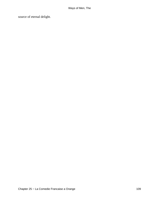source of eternal delight.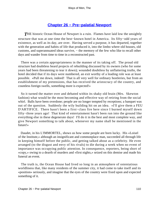## **[Chapter 26 − Pre−palatial Newport](#page-149-0)**

**THE** historic Ocean House of Newport is a ruin. Flames have laid low the unsightly structure that was at one time the best−known hotel in America. Its fifty−odd years of existence, as well as its day, are over. Having served a purpose, it has departed, together with the generation and habits of life that produced it, into the limbo where old houses, old customs, and superannuated ideas survive, – the memory of the few who like to recall other days and wander from time to time in a reconstructed past.

 There was a certain appropriateness in the manner of its taking off. The proud old structure had doubtless heard projects of rebuilding discussed by its owners (who for some years had been threatening to tear it down); wounded doubtless by unflattering truths, the hotel decided that if its days were numbered, an exit worthy of a leading role was at least possible. «Pull me down, indeed! That is all very well for ordinary hostleries, but from an establishment of my pretensions, that has received the aristocracy of the country, and countless foreign swells, something more is expected!»

 So it turned the matter over and debated within its shaky old brain (Mrs. Skewton fashion) what would be the most becoming and effective way of retiring from the social whirl. Balls have been overdone; people are no longer tempted by receptions; a banquet was out of the question. Suddenly the wily building hit on an idea. «I'll give them a FEU D'ARTIFICE. There hasn't been a first−class fire here since I burned myself down fifty−three years ago! That kind of entertainment hasn't been run into the ground like everything else in these degenerate days! I'll do it in the best and most complete way, and give Newport something to talk about, whenever my name shall be mentioned in the future!»

 Daudet, in his L'IMMORTEL, shows us how some people are born lucky. His «Loisel of the Institute,» although an insignificant and commonplace man, succeeded all through life in keeping himself before the public, and getting talked about as a celebrity. He even arranged (to the disgust and envy of his rivals) to die during a week when no event of importance was occupying public attention. In consequence, reporters, being short of «copy,» owing to a dearth of murders and «first nights,» seized on this demise and made his funeral an event.

 The truth is, the Ocean House had lived so long in an atmosphere of ostentatious worldliness that, like many residents of the summer city, it had come to take itself and its «position» seriously, and imagine that the eyes of the country were fixed upon and expected something of it.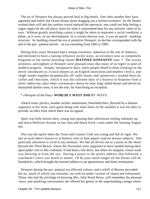The air of Newport has always proved fatal to big hotels. One after another they have appeared and failed, the Ocean House alone dragging out a forlorn existence. As the flames worked their will and the careless crowd enjoyed the spectacle, one could not help feeling a vague regret for the old place, more for what it represented than for any intrinsic value of its own. Without greatly stretching a point it might be taken to represent a social condition, a phase, as it were, in our development. In a certain obscure way, it was an epoch− marking structure. Its building closed the era of primitive Newport, its decline corresponded with the end of the pre– palatial period – an era extending from 1845 to 1885.

 During forty years Newport had a unique existence, unknown to the rest of America, and destined to have a lasting influence on her ways, an existence now as completely forgotten as the earlier boarding−house **MATINEE DANSANTE** time. \* The sixties, seventies, and eighties in Newport were pleasant years that many of us regret in spite of modern progress. Simple, inexpensive days, when people dined at three (looking on the newly introduced six o'clock dinners as an English innovation and modern «frill»), and «high−teaed» together dyspeptically off «sally lunns» and «preserves,» washed down by coffee and chocolate, which it was the toilsome duty of a hostess to dispense from a silver−laden tray; days when «rockaways» drawn by lean, long−tailed horses and driven by mustached darkies were, if not the rule, far from being an exception.

### \* «Newport of the Past,» **WORLDLY WAYS AND** BY−WAYS.

 «Dutch treat» picnics, another archaic amusement, flourished then, directed by a famous organizer at his farm, each guest being told what share of the eatables it was his duty to provide, an edict from which there was no appeal.

 Sport was little known then, young men passing their afternoons tooling solemnly up and down Bellevue Avenue in top−hats and black frock−coats under the burning August sun.

 This was the epoch when the Town and Country Club was young and full of vigor. We met at each other's houses or at historic sites to hear papers read on serious subjects. One particular afternoon is vivid in my memory. We had all driven out to a point on the shore beyond the Third Beach, where the Norsemen were supposed to have landed during their apocryphal visit to this continent. It had been a hot drive, but when we stopped, a keen wind was blowing in from the sea. During a pause in the prolix address that followed, a coachman's voice was heard to mutter, «If he jaws much longer all the horses will be foundered,» which brought the learned address to an ignominious and hasty termination.

 Newport during the pre−palatial era affected culture, and a whiff of Boston pervaded the air, much of which was tiresome, yet with an under−current of charm and refinement. Those who had the privilege of knowing Mrs. Julia Ward Howe, will remember the pleasant «teas» and sparkling conversation she offered her guests in the unpretending cottage where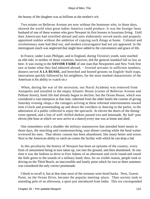the beauty of the daughter was as brilliant as the mother's wit.

 Two estates on Bellevue Avenue are now without the hostesses who, in those days, showed the world what great ladies America could produce. It was the foreign−born husband of one of these women who gave Newport its first lessons in luxurious living. Until then Americans had travelled abroad and seen elaborately served meals and properly appointed stables without the ambition of copying such things at home. Colonial and revolutionary state had died out, and modern extravagance had not yet appeared. In the interregnum much was neglected that might have added to the convenience and grace of life.

 In France, under Louis Philippe, and in England, during Victoria's youth, taste reached an ebb tide; in neither of those countries, however, did the general standard fall so low as here. It was owing to the **SAVOIR FAIRE** of one man that Newporters and New York first saw at home what they had admired abroad, – liveried servants in sufficient numbers, dinners served **A LA RUSSE,** and breeched and booted grooms on English−built traps, innovations quickly followed by his neighbors, for the most marked characteristic of the American is his ability to «catch on.»

 When, during the war of the secession, our Naval Academy was removed from Annapolis and installed in the empty Atlantic House (corner of Bellevue Avenue and Pelham Street), hotel life had already begun to decline; but the Ocean House, which was considered a vast enterprise at that time, inherited from the older hotels the custom of giving Saturday evening «hops,» the cottagers arriving at these informal entertainments toward nine o'clock and promenading up and down the corridors or dancing in the parlor, to the admiration of a public collected to enjoy the spectacle. At eleven the doors of the dining− room opened, and a line of well−drilled darkies passed ices and lemonade. By half−past eleven (the hour at which we now arrive at a dance) every one was at home and abed.

 One remembers with a shudder the military manoeuvres that attended hotel meals in those days, the marching and countermarching, your dinner cooling while the head waiter reviewed his men. That idiotic custom has been abandoned, like many better and worse. Next to the American ability to catch on comes the facility with which he can drop a fad.

 In this peculiarity the history of Newport has been an epitome of the country, every form of amusement being in turn taken up, run into the ground, and then abandoned. At one time it was the fashion to drive to Fort Adams of an afternoon and circle round and round the little green to the sounds of a military band; then, for no visible reason, people took to driving on the Third Beach, an inaccessible and lonely point which for two or three summers was considered the only correct promenade.

 I blush to recall it, but at that time most of the turnouts were hired hacks. Next, Graves Point, on the Ocean Drive, became the popular meeting−place. Then society took to attending polo of an afternoon, a sport just introduced from India. This era corresponded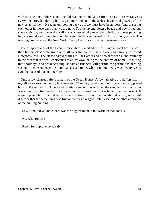with the opening of the Casino (the old reading−room dating from 1854). For several years every one crowded during hot August mornings onto the airless lawns and piazzas of the new establishment. It seems on looking back as if we must have been more fond of seeing each other in those days than we are now. To ride up and down a beach and bow filled our souls with joy, and the «cake walk» was an essential part of every ball, the guests parading in pairs round and round the room between the dances instead of sitting quietly «out.» The opening promenade at the New York Charity Ball is a survival of this inane custom.

 The disappearance of the Ocean House «hops» marked the last stage in hotel life. Since then better−class watering places all over the country have slowly but surely followed Newport's lead. The closed caravansaries of Bar Harbor and elsewhere bear silent testimony to the fact that refined Americans are at last awakening to the charms of home life during their holidays, and are discarding, as fast as finances will permit, the pernicious herding system. In consequence the hotel has ceased to be, what it undoubtedly was twenty years ago, the focus of our summer life.

 Only a few charred rafters remain of the Ocean House. A few talkative old duffers like myself alone survive the day it represents. Changing social conditions have gradually placed both on the retired list. A new and palatial Newport has replaced the simpler city. Let us not waste too much time regretting the past, or be too sure that it was better than the present. It is quite possible, if the old times we are writing so fondly about should return, we might discover that the same thing was true of them as a ragged urchin asserted the other afternoon of the burning building:

«Say, Tom, did ye know there was the biggest room in the world in that hotel?»

«No; what room?»

«Room for improvement, ya!»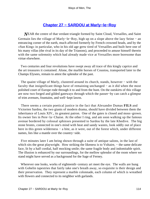# **[Chapter 27 − SARDOU at Marly−le−Roy](#page-149-0)**

*N*EAR the centre of that verdant triangle formed by Saint Cloud, Versailles, and Saint Germain lies the village of Marly−le−Roy, high up on a slope above the lazy Seine − an entrancing corner of the earth, much affected formerly by French crowned heads, and by the «Sun King» in particular, who in his old age grew tired of Versailles and built here one of his many villas (the rival in its day of the Trianons), and proceeded to amuse himself therein with the same solemnity which had already made vice at Versailles more boresome than virtue elsewhere.

 Two centuries and four revolutions have swept away all trace of this kingly caprice and the art treasures it contained. Alone, the marble horses of Coustou, transported later to the Champs Elysees, remain to attest the splendor of the past.

The quaint village of Marly, clustered around its church, stands, however – with the faculty that insignificant things have of remaining unchanged − as it did when the most polished court of Europe rode through it to and from the hunt. On the outskirts of this village are now two forged and gilded gateways through which the passer−by can catch a glimpse of trim avenues, fountains, and well−kept lawns.

 There seems a certain poetical justice in the fact that Alexandre Dumas **FILS** and Victorien Sardou, the two giants of modern drama, should have divided between them the inheritance of Louis XIV., its greatest patron. One of the gates is closed and moss−grown. Its owner lies in Pere−la−Chaise. At the other I ring, and am soon walking up the famous avenue bordered by colossal sphinxes presented to Sardou by the late Khedive. The big stone brutes, connected in one's mind with heat and sandy wastes, look oddly out of place here in this green wilderness – a bite, as it were, out of the forest which, under different names, lies like a mantle over the country−side.

 Five minutes later I am being shown through a suite of antique salons, in the last of which sits the great playwright. How striking the likeness is to Voltaire, – the same delicate face, lit by a half cordial, half mocking smile; the same fragile body and indomitable spirit. The illusion is enhanced by our surroundings, for the mellow splendor of the room where we stand might have served as a background for the Sage of Ferney.

 Wherever one looks, works of eighteenth−century art meet the eye. The walls are hung with Gobelin tapestries that fairly take one's breath away, so exquisite is their design and their preservation. They represent a marble colonnade, each column of which is wreathed with flowers and connected to its neighbor with garlands.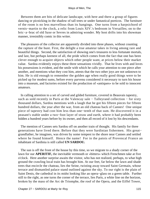Between them are bits of delicate landscape, with here and there a group of figures dancing or picnicking in the shadow of tall trees or under fantastical porticos. The furniture of the room is no less marvellous than its hangings. One turns from a harpsichord of vernis−martin to the clock, a relic from Louis XIV.'s bedroom in Versailles; on to the bric−a−brac of old Saxe or Sevres in admiring wonder. My host drifts into his showman manner, irresistibly comic in this writer.

 The pleasures of the collector are apparently divided into three phases, without counting the rapture of the hunt. First, the delight a true amateur takes in living among rare and beautiful things. Second, the satisfaction of showing one's treasures to less fortunate mortals, and last, but perhaps keenest of all, the pride which comes from the fact that one has been clever enough to acquire objects which other people want, at prices below their market value. Sardou evidently enjoys these three sensations vividly. That he lives with and loves his possessions is evident, and the smile with which he calls your attention to one piece after another, and mentions what they cost him, attests that the two other joys are not unknown to him. He is old enough to remember the golden age when really good things were to be picked up for modest sums, before every parvenu considered it necessary to turn his house into a museum, and factories existed for the production of «antiques» to be sold to innocent amateurs.

 In calling attention to a set of carved and gilded furniture, covered in Beauvais tapestry, such as sold recently in Paris at the Valencay sale – Talleyrand collection – for sixty thousand dollars, Sardou mentions with a laugh that he got his fifteen pieces for fifteen hundred dollars, the year after the war, from an old chateau back of Cannes! One unique piece of tapestry had cost him less than one−tenth of that sum. He discovered it in a peasant's stable under a two−foot layer of straw and earth, where it had probably been hidden a hundred years before by its owner, and then all record of it lost by his descendants.

 The mention of Cannes sets Sardou off on another train of thought. His family for three generations have lived there. Before that they were Sardinian fishermen. His great− grandfather, he imagines, was driven by some tempest to the shore near Cannes and settled where he found himself. Hence the name! For in the patois of Provencal France an inhabitant of Sardinia is still called **UN SARDOU.**

 The sun is off the front of the house by this time, so we migrate to a shady corner of the lawn for our **APERITIF,** the inevitable vermouth or «bitters» which Frenchmen take at five o'clock. Here another surprise awaits the visitor, who has not realized, perhaps, to what high ground the crawling local train has brought him. At our feet, far below the lawn and shade trees that encircle the chateau, lies the Seine, twisting away toward Saint Germain, whose terrace and dismantled palace stand outlined against the sky. To our right is the plain of Saint Denis, the cathedral in its midst looking like an opera−glass on a green table. Further still to the right, as one turns the corner of the terrace, lies Paris, a white line on the horizon, broken by the mass of the Arc de Triomphe, the roof of the Opera, and the Eiffel Tower,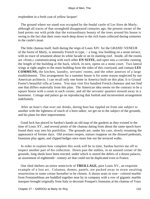resplendent in a fresh coat of yellow lacquer!

 The ground where we stand was occupied by the feudal castle of Les Sires de Marly; although all traces of that stronghold disappeared centuries ago, the present owner of the land points out with pride that the extraordinary beauty of the trees around his house is owing to the fact that their roots reach deep down to the rich loam collected during centuries in the castle's moat.

 The little chateau itself, built during the reign of Louis XIV. for the GRAND−VENEUR of the forest of Marly, is intensely French in type, – a long, low building on a stone terrace, with no trace of ornament about its white facade or on its slanting roof. Inside, all the rooms are «front,» communicating with each other **EN SUITE,** and open into a corridor running the length of the building at the back, which, in turn, opens on a stone court. Two lateral wings at right angles to the main building form the sides of this courtyard, and contain **LES COMMUNS,** the kitchen, laundry, servants' rooms, and the other annexes of a large establishment. This arrangement for a summer house is for some reason neglected by our American architects. I can recall only one home in America built on this plan. It is Giraud Foster's beautiful villa at Lenox. You may visit five hundred French chateaux and not find one that differs materially from this plan. The American idea seems on the contrary to be a square house with a room in each corner, and all the servants' quarters stowed away in a basement. Cottage and palace go on reproducing that foolish and inconvenient arrangement indefinitely.

 After an hour's chat over our drinks, during host has rippled on from one subject to another with the lightness of touch of a born talker, we get on to the subject of the grounds, and his plans for their improvement.

 Good luck has placed in Sardou's hands an old map of the gardens as they existed in the time of Louis XV., and several prints of the chateau dating from about the same epoch have found their way into his portfolios. The grounds are, under his care, slowly resuming the appearance of former days. Old avenues reopen, statues reappear on the disused pedestals, fountains play again, and clipped hedges once more line out the terraced walks.

 In order to explain how complete this work will be in time, Sardou hurries me off to inspect another part of his collection. Down past the stables, in an unused corner of the grounds, long sheds have been erected, under which is stored the debris of a dozen palaces, an assortment of eighteenth− century art that could not be duplicated even in France.

 One shed shelters an entire semicircle of **TREILLAGE,** pure Louis XV., an exquisite example of a lost art. Columns, domes, panels, are packed away in straw awaiting resurrection in some corner hereafter to be chosen. A dozen seats in rose− colored marble from Fontainebleau are huddled together near by in company with a row of gigantic marble masques brought originally from Italy to decorate Fouquet's fountains at his chateau of Vaux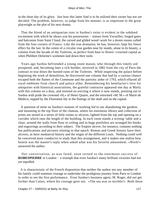in the short day of its glory. Just how this latter find is to be utilized their owner has not yet decided. The problem, however, to judge from his manner, is as important to the great playwright as the plot of his next drama.

 That the blood of an antiquarian runs in Sardou's veins is evident in the subdued excitement with which he shows you his possessions − statues from Versailles, forged gates and balconies from Saint Cloud, the carved and gilded wood−work for a dozen rooms culled from the four corners of France. Like the true dramatist, he has, however, kept his finest effect for the last. In the centre of a circular rose garden near by stands, alone in its beauty, a column from the facade of the Tuileries, as perfect from base to flower−crowned capital as when Philibert Delorme's workmen laid down their tools.

 Years ago Sardou befriended a young stone mason, who through this timely aid prospered, and, becoming later a rich builder, received in 1882 from the city of Paris the contract to tear down the burned ruins of the Tuileries. While inspecting the palace before beginning the work of demolition, he discovered one column that had by a curious chance escaped both the flames of the Commune and the patriotic ardor of 1793, which effaced all royal emblems from church and palace alike. Remembering his benefactor's love for antiquities with historical associations, the grateful contractor appeared one day at Marly with this column on a dray, and insisted on erecting it where it now stands, pointing out to Sardou with pride the crowned «H,» of Henri Quatre, and the entwined «M. M.» of Marie de Medicis, topped by the Florentine lily in the flutings of the shaft and on the capital.

 A question of mine on Sardou's manner of working led to our abandoning the gardens and mounting to the top floor of the chateau, where his enormous library and collection of prints are stored in a series of little rooms or alcoves, lighted from the top and opening on a corridor which runs the length of the building. In each room stands a writing−table and a chair; around the walls from floor to ceiling and in huge portfolios are arranged his books and engravings according to their subject. The Empire alcove, for instance, contains nothing but publications and pictures relating to that epoch. Roman and Greek history have their alcoves, as have mediaeval history and the reigns of the different Louis. Nothing could well be conceived more conducive to study than this arrangement, and it makes one realize how honest was the master's reply when asked what was his favorite amusement. «Work!» answered the author.

 Our conversation, as was fated, soon turned to the enormous success of **ROBESPIERRE** in London − a triumph that even Sardou's many brilliant victories had not yet equalled.

 It is characteristic of the French disposition that neither the author nor any member of his family could summon courage to undertake the prodigious journey from Paris to London in order to see the first performance. Even Sardou's business agent, M. Roget, did not get further than Calais, where his courage gave out. «The sea was so terrible!» Both those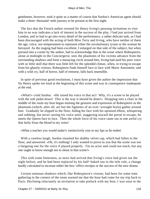gentlemen, however, took it quite as a matter of course that Sardou's American agent should make a three−thousand−mile journey to be present at the first night.

 The fact that the French author resisted Sir Henry Irving's pressing invitations to visit him in no way indicates a lack of interest in the success of the play. I had just arrived from London, and so had to go into every detail of the performance, a rather delicate task, as I had been discouraged with the acting of both Miss Terry and Irving, who have neither of them the age, voice, nor temperament to represent either the revolutionary tyrant or the woman he betrayed. As the staging had been excellent, I enlarged on that side of the subject, but when pressed into a corner by the author, had to acknowledge that in the scene where Robespierre, alone at midnight in the Conciergerie, sees the phantoms of his victims advance from the surrounding shadows and form a menacing circle around him, Irving had used his poor voice with so little skill that there was little left for the splendid climax, when, in trying to escape from his ghastly visitors, Robespierre finds himself face to face with Marie Antoinette, and with a wild cry, half of horror, half of remorse, falls back insensible.

 In spite of previous good resolutions, I must have given the author the impression that Sir Henry spoke too loud at the beginning of this scene and was in consequence inadequate at the end.

 «What!» cried Sardou. «He raised his voice in that act! Why, it's a scene to be played with the soft pedal down! This is the way it should be done!» Dropping into a chair in the middle of the room my host began miming the gestures and expression of Robespierre as the phantoms (which, after all, are but the figments of an over−wrought brain) gather around him. Gradually he slipped to the floor, hiding his face with his upraised elbow, whispering and sobbing, but never raising his voice until, staggering toward the portal to escape, he meets the Queen face to face. Then the whole force of his voice came out in one awful cry that fairly froze the blood in my veins!

«What a teacher you would make!» instinctively rose to my lips as he ended.

 With a careless laugh, Sardou resumed his shabby velvet cap, which had fallen to the floor, and answered: «Oh, it's nothing! I only wanted to prove to you that the scene was not a fatiguing one for the voice if played properly. I'm no actor and could not teach, but any one ought to know enough not to shout in that scene!»

 This with some bitterness, as news had arrived that Irving's voice had given out the night before, and he had been replaced by his half−baked son in the title role, a change hardly calculated to increase either the box−office receipts or the success of the new drama.

 Certain ominous shadows which, like Robespierre's visions, had been for some time gathering in the corners of the room warned me that the hour had come for my trip back to Paris. Declining reluctantly an invitation to take potluck with my host, I was soon in the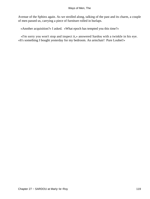Avenue of the Sphinx again. As we strolled along, talking of the past and its charm, a couple of men passed us, carrying a piece of furniture rolled in burlaps.

«Another acquisition?» I asked. «What epoch has tempted you this time?»

 «I'm sorry you won't stop and inspect it,» answered Sardou with a twinkle in his eye. «It's something I bought yesterday for my bedroom. An armchair! Pure Loubet!»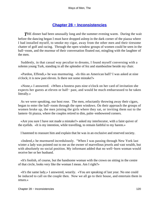# **[Chapter 28 − Inconsistencies](#page-149-0)**

**THE** dinner had been unusually long and the summer evening warm. During the wait before the dancing began I must have dropped asleep in the dark corner of the piazza where I had installed myself, to smoke my cigar, away from the other men and their tiresome chatter of golf and racing. Through the open window groups of women could be seen in the ball−room, and the murmur of their conversation floated out, mingling with the laughter of the men.

 Suddenly, in that casual way peculiar to dreams, I found myself conversing with a solemn young Turk, standing in all the splendor of fez and stambouline beside my chair.

 «Pardon, Effendi,» he was murmuring. «Is this an American ball? I was asked at nine o'clock; it is now past eleven. Is there not some mistake?»

 «None,» I answered. «When a hostess puts nine o'clock on her card of invitation she expects her guests at eleven or half− past, and would be much embarrassed to be taken literally.»

 As we were speaking, our host rose. The men, reluctantly throwing away their cigars, began to enter the ball−room through the open windows. On their approach the groups of women broke up, the men joining the girls where they sat, or inviting them out to the lantern−lit piazza, where the couples retired to dim, palm−embowered corners.

 «Are you sure I have not made a mistake?» asked my interlocutor, with a faint quiver of the eyelids. «It is my intention, while travelling, to remain faithful to my harem.»

I hastened to reassure him and explain that he was in an exclusive and reserved society.

 «Indeed,» he murmured incredulously. "When I was passing through New York last winter a lady was pointed out to me as the owner of marvellous jewels and vast wealth, but with absolutely no social position. My informant added that no well−born woman would receive her or her husband.

 «It's foolish, of course, but the handsome woman with the crown on sitting in the centre of that circle, looks very like the woman I mean. Am I right?»

 «It's the same lady,» I answered, wearily. «You are speaking of last year. No one could be induced to call on the couple then. Now we all go to their house, and entertain them in return.»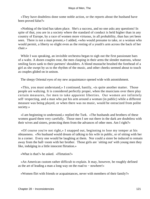«They have doubtless done some noble action, or the reports about the husband have been proved false?»

 «Nothing of the kind has taken place. She's a success, and no one asks any questions! In spite of that, you are in a society where the standard of conduct is held higher than in any country of Europe, by a race of women more virtuous, in all probability, than has yet been seen. There is not a man present,» I added, «who would presume to take, or a woman who would permit, a liberty so slight even as the resting of a youth's arm across the back of her chair.»

While I was speaking, an invisible orchestra began to sigh out the first passionate bars of a waltz. A dozen couples rose, the men clasping in their arms the slender matrons, whose smiling faces sank to their partners' shoulders. A blond mustache brushed the forehead of a girl as she swept by us to the rhythm of the music, and other cheeks seemed about to touch as couples glided on in unison.

The sleepy Oriental eyes of my new acquaintance opened wide with astonishment.

 «This, you must understand,» I continued, hastily, «is quite another matter. Those people are waltzing. It is considered perfectly proper, when the musicians over there play certain measures, for men to take apparent liberties. Our women are infinitely self−respecting, and a man who put his arm around a woman (in public) while a different measure was being played, or when there was no music, would be ostracized from polite society.»

 «I am beginning to understand,» replied the Turk. «The husbands and brothers of these women guard them very carefully. Those men I see out there in the dark are doubtless with their wives and sisters, protecting them from the advances of other men. Am I right?»

 «Of course you're not right,» I snapped out, beginning to lose my temper at his obtuseness. «No husband would dream of talking to his wife in public, or of sitting with her in a corner. Every one would be laughing at them. Nor could a sister be induced to remain away from the ball−room with her brother. Those girls are `sitting out' with young men they like, indulging in a little innocent flirtation.»

«What is that?» he asked. «Flirtation?»

 «An American custom rather difficult to explain. It may, however, be roughly defined as the art of leading a man a long way on the road to − nowhere!»

«Women flirt with friends or acquaintances, never with members of their family?»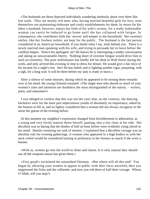«The husbands are those dejected individuals wandering aimlessly about over there like lost souls. They are mostly rich men, who, having married beautiful girls for love, wear themselves out maintaining elaborate and costly establishments for them. In return for his labor a husband, however, enjoys but little of his wife's society, for a really fashionable woman can rarely be induced to go home until she has collapsed with fatigue. In consequence, she contributes little but `nerves' and temper to the household. Her sweetest smiles, like her freshest toilets, are kept for the public. The husband is the last person considered in an American household. If you doubt what I say, look behind you. There is a newly married man speaking with his wife, and trying to persuade her to leave before the cotillion begins. Notice his apologetic air! He knows he is interrupting a tender conversation and taking an unwarrantable liberty. Nothing short of extreme fatigue would drive him to such an extremity. The poor millionnaire has hardly left his desk in Wall Street during the week, and only arrived this evening in time to dress for dinner. He would give a fair slice of his income for a night's rest. See! He has failed, and is lighting another cigar, preparing, with a sigh, for a long wait. It will be three before my lady is ready to leave.»

 After a silence of some minutes, during which he appeared to be turning these remarks over in his mind, the young Oriental resumed: «The single men who absorb so much of your women's time and attention are doubtless the most distinguished of the nation, − writers, poets, and statesmen?»

 I was obliged to confess that this was not the case; that, on the contrary, the dancing bachelors were for the most part impecunious youths of absolutely no importance, asked by the hostess to fill in, and so lightly considered that a woman did not always recognize in the street her guests of the evening before.

 At this moment my neighbor's expression changed from bewilderment to admiration, as a young and very lovely matron threw herself, panting, into a low chair at his side. Her decollete was so daring that the doubts of half an hour before were evidently rising afresh in his mind. Hastily resuming my task of mentor, I explained that a decollete corsage was an absolute rule for evening gatherings. A woman who appeared in a high bodice or with her neck veiled would be considered lacking in politeness to her hostess as much if she wore a bonnet.

 «With us, women go into the world to shine and charm. It is only natural they should use all the weapons nature has given them.»

 «Very good!» exclaimed the astonished Ottoman. «But where will all this end? You began by allowing your women to appear in public with their faces unveiled, then you suppressed the fichu and the collarette, and now you rob them of half their corsage. Where, O Allah, will you stop?»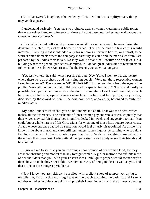«Ah!» I answered, laughing, «the tendency of civilization is to simplify; many things may yet disappear.»

 «I understand perfectly. You have no prejudice against women wearing in public toilets that we consider fitted only for strict intimacy. In that case your ladies may walk about the streets in these costumes?»

 «Not at all!» I cried. «It would provoke a scandal if a woman were to be seen during the daytime in such attire, either at home or abroad. The police and the law courts would interfere. Evening dress is intended only for reunions in private houses, or at most, to be worn at entertainments where the company is carefully selected and the men asked from lists prepared by the ladies themselves. No lady would wear a ball costume or her jewels in a building where the general public was admitted. In London great ladies dine at restaurants in full evening dress, but we Americans, like the French, consider that vulgar.»

 «Yet, last winter,» he said, «when passing through New York, I went to a great theatre, where there were an orchestra and many singing people. Were not those respectable women I saw in the boxes? There were no **MOUCHARABIES** to screen them from the eyes of the public. Were all the men in that building asked by special invitation? That could hardly be possible, for I paid an entrance fee at the door. From where I sat I could see that, as each lady entered her box, opera−glasses were fixed on her, and her `points,' as you say, discussed by the crowd of men in the corridors, who, apparently, belonged to quite the middle class.»

 "My poor, innocent Padischa, you do not understand at all. That was the opera, which makes all the difference. The husbands of those women pay enormous prices, expressly that their wives may exhibit themselves in public, decked in jewels and suggestive toilets. You could buy a whole harem of fair Circassians for what one of those little square boxes costs. A lady whose entrance caused no sensation would feel bitterly disappointed. As a rule, she knows little about music, and cares still less, unless some singer is performing who is paid a fabulous price, which gives his notes a peculiar charm. With us most things are valued by the money they have cost. Ladies attend the opera simply and solely to see their friends and be admired.

 «It grieves me to see that you are forming a poor opinion of our woman kind, for they are more charming and modest than any foreign women. A girl or matron who exhibits more of her shoulders than you, with your Eastern ideas, think quite proper, would sooner expire than show an inch above her ankle. We have our way of being modest as well as you, and that is one of our strongest prejudices.»

 «Now I know you are joking,» he replied, with a slight show of temper, «or trying to mystify me, for only this morning I was on the beach watching the bathing, and I saw a number of ladies in quite short skirts – up to their knees, in fact – with the thinnest covering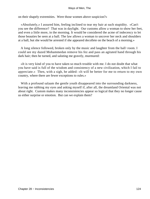on their shapely extremities. Were those women above suspicion?»

 «Absolutely,» I assured him, feeling inclined to tear my hair at such stupidity. «Can't you see the difference? That was in daylight. Our customs allow a woman to show her feet, and even a little more, in the morning. It would be considered the acme of indecency to let those beauties be seen at a ball. The law allows a woman to uncover her neck and shoulders at a ball, but she would be arrested if she appeared decollete on the beach of a morning.»

 A long silence followed, broken only by the music and laughter from the ball−room. I could see my dazed Mohammedan remove his fez and pass an agitated hand through his dark hair; then he turned, and saluting me gravely, murmured:

 «It is very kind of you to have taken so much trouble with me. I do not doubt that what you have said is full of the wisdom and consistency of a new civilization, which I fail to appreciate.» Then, with a sigh, he added: «It will be better for me to return to my own country, where there are fewer exceptions to rules.»

With a profound salaam the gentle youth disappeared into the surrounding darkness, leaving me rubbing my eyes and asking myself if, after all, the dreamland Oriental was not about right. Custom makes many inconsistencies appear so logical that they no longer cause us either surprise or emotion. But can we explain them?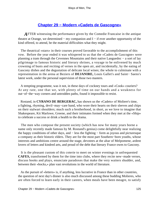# **[Chapter 29 − Modern «Cadets de Gascogne»](#page-149-0)**

*A*FTER witnessing the performance given by the Comedie Francaise in the antique theatre at Orange, we determined − my companion and I − if ever another opportunity of the kind offered, to attend, be the material difficulties what they might.

 The theatrical «stars» in their courses proved favorable to the accomplishment of this vow. Before the year ended it was whispered to us that the «Cadets de Gascogne» were planning a tram through the Cevennes Mountains and their native Languedoc − a sort of lay pilgrimage to famous historic and literary shrines, a voyage to be enlivened by much crowning of busts and reciting of verses in the open air, and incidentally, by the eating of Gascony dishes and the degustation of delicate local wines; the whole to culminate with a representation in the arena at Beziers of **DEJANIRE,** Louis Gallet's and Saint− Saens's latest work, under the personal supervision of those two masters.

 A tempting programme, was it not, in these days of cockney tours and «Cook» couriers? At any rate, one that we, with plenty of time on our hands and a weakness for out−of−the−way corners and untrodden paths, found it impossible to resist.

 Rostand, in **CYRANO DE BERGERAC,** has shown us the «Cadets» of Moliere's time, a fighting, rhyming, devil−may−care band, who wore their hearts on their sleeves and chips on their stalwart shoulders; much such a brotherhood, in short, as we love to imagine that Shakespeare, Kit Marlowe, Greene, and their intimates formed when they met at the «Ship» to celebrate a success or drink a health to the drama.

 The men who compose the present society (which has now for many years borne a name only recently made famous by M. Rostand's genius) come delightfully near realizing the happy conditions of other days, and − less the fighting − form as joyous and picturesque a company as their historic elders. They are for the most part Southern−born youths, whose interests and ambitions centre around the stage, devotees at the altar of Melpomene, ardent lovers of letters and kindred arts, and proud of the debt that literary France owes to Gascony.

 It is the pleasant custom of this coterie to meet on winter evenings in unfrequented **CAFES,** transformed by them for the time into clubs, where they recite new−made verses, discuss books and plays, enunciate paradoxes that make the very waiters shudder, and, between their «bocks,» plan vast revolutions in the world of literature.

 As the pursuit of «letters» is, if anything, less lucrative in France than in other countries, the question of next day's dinner is also much discussed among these budding Molieres, who are often forced to learn early in their careers, when meals have been meagre, to satisfy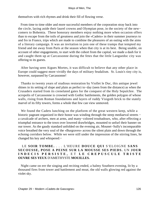themselves with rich rhymes and drink their fill of flowing verse.

 From time to time older and more successful members of the corporation stray back into the circle, laying aside their laurel crowns and Olympian pose, in the society of the new− comers to Bohemia. These honorary members enjoy nothing more when occasion offers than to escape from the toils of greatness and join the «Cadets» in their summer journeys to and fro in France, trips which are made to combine the pleasures of an outing with the aims of a literary campaign. It was an invitation to join one of these tramps that tempted my friend and me away from Paris at the season when that city is at its best. Being unable, on account of other engagements, to start with the cohort from the capital, we made a dash for it and caught them up at Carcassonne during the fetes that the little Languedoc city was offering to its guests.

 After having seen Aigues Mortes, it was difficult to believe that any other place in Europe could suggest more vividly the days of military feudalism. St. Louis's tiny city is, however, surpassed by Carcassonne!

 Thanks to twenty years of studious restoration by Viollet le Duc, this antique jewel shines in its setting of slope and plain as perfect to−day (seen from the distance) as when the Crusaders started from its crenelated gates for the conquest of the Holy Sepulchre. The acropolis of Carcassonne is crowned with Gothic battlements, the golden polygon of whose walls, rising from Roman foundations and layers of ruddy Visigoth brick to the stately marvel of its fifty towers, forms a whole that few can view unmoved.

 We found the Cadets lunching on the platform of the great western keep, while a historic pageant organized in their honor was winding through the steep mediaeval streets − a cavalcade of archers, men at arms, and many−colored troubadours, who, after effecting a triumphal entrance to the town over lowered drawbridges, mounted to unfurl their banner on our tower. As the gaudy standard unfolded on the evening air, Mounet−Sully's incomparable voice breathed the very soul of the «Burgraves» across the silent plain and down through the echoing corridors below. While we were still under the impression of the stirring lines, he changed his key and whispered:−

### LE **SOIR TOMBE.** . . . L'HEURE **DOUCE QUI** S'ELOIGNE **SANS SECOUSSE, POSE A PEINE SUR LA MOUSSE SES PIEDS.** UN **JOUR INDECIS PERSISTE,** ET **LE CREPUSCULE TRISTE OUVRE SES YEUX** D'AMETHYSTE **MOUILLES.**

 Night came on ere the singing and reciting ended, a balmy Southern evening, lit by a thousand fires from tower and battlement and moat, the old walls glowing red against the violet sky.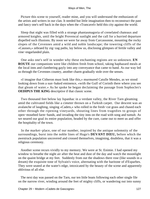Picture this scene to yourself, reader mine, and you will understand the enthusiasm of the artists and writers in our clan. It needed but little imagination then to reconstruct the past and fancy one's self back in the days when the «Trancavel» held this city against the world.

 Sleep that night was filled with a strange phantasmagoria of crenelated chateaux and armored knights, until the bright Provencal sunlight and the call for a hurried departure dispelled such illusions. By noon we were far away from Carcassonne, mounting the rocky slopes of the Cevennes amid a wild and noble landscape; the towering cliffs of the «Causses,» zebraed by zig−zag paths, lay below us, disclosing glimpses of fertile valley and vine−engarlanded plain.

 One asks one's self in wonder why these enchanting regions are so unknown. **EN ROUTE** our companions were like children fresh from school, taking haphazard meals at the local inns and clambering gayly into any conveyance that came to hand. As our way led us through the Cevennes country, another charm gradually stole over the senses.

 «I imagine that Citheron must look like this,» murmured Catulle Mendes, as we stood looking down from a sun−baked eminence, «with the Gulf of Corinth there where you see that gleam of water.» As he spoke he began declaiming the passage from Sophocles's **OEDIPUS THE KING** descriptive if that classic scene.

 Two thousand feet below lay Ispanhac in a verdant valley, the River Tarn gleaming amid the cultivated fields like a cimeter thrown on a Turkish carpet. Our descent was an avalanche of laughing, singing «Cadets,» who rolled in the fresh−cut grass and chased each other through the ripening vineyards, shouting lines from tragedies to groups of open−mouthed farm−hands, and invading the tiny inns on the road with song and tumult. As we neared our goal its entire population, headed by the cure, came out to meet us and offer the hospitality of the town.

 In the market−place, one of our number, inspired by the antique solemnity of the surroundings, burst into the noble lines of Hugo's **DEVANT DIEU,** before which the awestruck population uncovered and crossed themselves, imagining, doubtless, that it was a religious ceremony.

 Another scene recurs vividly to my memory. We were at St. Enimie. I had opened my window to breathe the night air after the heat and dust of the day and watch the moonlight on the quaint bridge at my feet. Suddenly from out the shadows there rose (like sounds in a dream) the exquisite tone of Sylvain's voice, alternating with the baritone of d'Esparbes. They were seated at the water's edge, intoxicated by the beauty of the scene and apparently oblivious of all else.

 The next day was passed on the Tarn, our ten little boats following each other single file on the narrow river, winding around the feet of mighty cliffs, or wandering out into sunny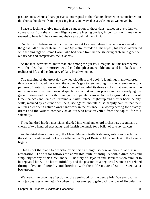pasture lands where solitary peasants, interrupted in their labors, listened in astonishment to the chorus thundered from the passing boats, and waved us a welcome as we moved by.

 Space is lacking to give more than a suggestion of those days, passed in every known conveyance from the antique diligence to the hissing trolley, in company with men who seemed to have left their cares and their years behind them in Paris.

 Our last stop before arriving at Beziers was at La Case, where luncheon was served in the great hall of the chateau. Armand Sylvestre presided at the repast; his verses alternated with the singings of Emma Calve, who had come from her neighboring chateau to greet her old friends and compatriots, the «Cadets.»

 As the meal terminated, more than one among the guests, I imagine, felt his heart heavy with the idea that to−morrow would end this pleasant ramble and send him back to the realities of life and the drudgery of daily bread−winning.

 The morning of the great day dawned cloudless and cool. A laughing, many−colored throng early invaded the arena, the women's gay toilets lending it some resemblance to a parterre of fantastic flowers. Before the bell sounded its three strokes that announced the representation, over ten thousand spectators had taken their places and were studying the gigantic stage and its four thousand yards of painted canvas. In the foreground a cluster of Greek palaces and temples surround a market−place; higher up and further back the city walls, manned by costumed sentinels, rise against mountains so happily painted that their outlines blend with nature's own handiwork in the distance, – a worthy setting for a stately drama and the valiant company of actors who have travelled from the capital for this solemnity.

 Three hundred hidden musicians, divided into wind and chord orchestras, accompany a chorus of two hundred executants, and furnish the music for a ballet of seventy dancers.

 As the third stroke dies away, the Muse, Mademoiselle Rabuteau, enters and declaims the salutation addressed by Louis Gallet to the City of Beziers. At its conclusion the tragedy begins.

 This is not the place to describe or criticise at length so new an attempt at classic restoration. The author follows the admirable fable of antiquity with a directness and simplicity worthy of his Greek model. The story of Dejanira and Hercules is too familiar to be repeated here. The hero's infidelity and the passion of a neglected woman are related through five acts logically and forcibly, with the noble music of Saint− Saens as a background.

 We watch the growing affection of the demi−god for the gentle Iole. We sympathize with jealous, desperate Dejanira when in a last attempt to gain back the love of Hercules she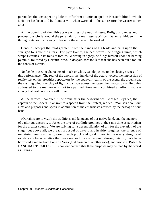persuades the unsuspecting Iole to offer him a tunic steeped in Nessus's blood, which Dejanira has been told by Centaur will when warmed in the sun restore the wearer to her arms.

 At the opening of the fifth act we witness the nuptial fetes. Religious dances and processions circle around the pyre laid for a marriage sacrifice. Dejanira, hidden in the throng, watches in an agony of hope for the miracle to be worked.

 Hercules accepts the fatal garment from the hands of his bride and calls upon the sun−god to ignite the altars. The pyre flames, the heat warms the clinging tunic, which wraps Hercules in its folds of torture. Writhing in agony, he flings himself upon the burning pyramid, followed by Dejanira, who, in despair, sees too late that she has been but a tool in the hands of Nessus.

 No feeble prose, no characters of black or white, can do justice to the closing scenes of this performance. The roar of the chorus, the thunder of the actors' voices, the impression of reality left on the breathless spectators by the open−air reality of the scene, the ardent sun, the rustling wind, the play of light and shade across the stage, the invocation of Hercules addressed to the real heavens, not to a painted firmament, combined an effect that few among that vast concourse will forget.

 At the farewell banquet in the arena after the performance, Georges Leygues, the captain of the Cadets, in answer to a speech from the Prefect, replied: "You ask about our aims and purposes and speak in admiration of the enthusiasm aroused by the passage of our band!

 «Our aims are to vivify the traditions and language of our native land, and the memory of a glorious ancestry, to foster the love of our little province at the same time as patriotism for the greater country. We are striving for a decentralization of art, for the elevation of the stage; but above all, we preach a gospel of gayety and healthy laughter, the science of remaining young at heart, would teach pluck and good humor in the weary struggle of existence, characteristics that have marked our countrymen through history! We have borrowed a motto from Lope de Vega (that Gascon of another race), and inscribe `PAR **LA LANGUA ET PAR** L'EPEE' upon our banner, that these purposes may be read by the world as it runs.»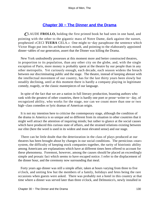# **[Chapter 30 − The Dinner and the Drama](#page-149-0)**

*C*LAUDE **FROLLO,** holding the first printed book he had seen in one hand, and pointing with the other to the gigantic mass of Notre Dame, dark against the sunset, prophesied «CECI **TUERA** CELA.» One might to−day paraphrase the sentence which Victor Hugo put into his archdeacon's mouth, and pointing to the elaborately appointed dinner−tables of our generation, assert that the Dinner was killing the Drama.

 New York undoubtedly possesses at this moment more and better constructed theatres, in proportion to its population, than any other city on the globe, and, with the single exception of Paris, more money is probably spent at the theatre by our people than in any other metropolis. Yet curiously enough, each decade, each season widens the breach between our discriminating public and the stage. The theatre, instead of keeping abreast with the intellectual movement of our country, has for the last thirty years been slowly but steadily declining, until at this moment there is hardly a company playing in legitimate comedy, tragedy, or the classic masterpieces of our language.

 In spite of the fact that we are a nation in full literary production, boasting authors who rank with the greatest of other countries, there is hardly one poet or prose−writer to− day, of recognized ability, who works for the stage, nor can we count more than one or two high−class comedies or lyric dramas of American origin.

 It is not my intention here to criticise the contemporary stage, although the condition of the drama in America is so unique and so different from its situation in other countries that it might well attract the attention of inquiring minds; but rather to glance at the social causes which have produced this curious state of affairs, and the strained relations existing between our elite (here the word is used in its widest and most elevated sense) and our stage.

 There can be little doubt that the deterioration in the class of plays produced at our theatres has been brought about by changes in our social conditions. The pernicious «star» system, the difficulty of keeping stock companies together, the rarity of histrionic ability among Americans are explanations which have at different times been offered to account for these phenomena. Foremost, however, among the causes should be placed an exceedingly simple and prosaic fact which seems to have escaped notice. I refer to the displacement of the dinner hour, and the ceremony now surrounding that meal.

 Forty years ago dinner was still a simple affair, taken at hours varying from three to five o'clock, and uniting few but the members of a family, holidays and fetes being the rare occasions when guests were asked. There was probably not a hotel in this country at that time where a dinner was served later than three o'clock, and Delmonico's, newly installed in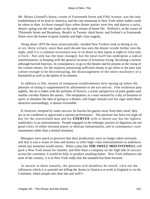Mr. Moses Grinnell's house, corner of Fourteenth Street and Fifth Avenue, was the only establishment of its kind in America, and the one restaurant in New York where ladies could be taken to dine. In those tranquil days when dinner parties were few and dances a rarity, theatre−going was the one ripple on the quiet stream of home life. Wallack's, at the corner of Thirteenth Street and Broadway, Booth's in Twenty−third Street, and Fechter's in Fourteenth Street were the homes of good comedy and high−class tragedy.

 Along about 1870 the more aristocratically−minded New Yorkers took to dining at six or six−thirty o'clock; since then each decade has seen the dinner recede further into the night, until it is a common occurrence now to sit down to that repast at eight or even nine o'clock. Not only has the hour changed, but the meal itself has undergone a radical transformation, in keeping with the general increase of luxurious living, becoming a serious although hurried function. In consequence, to go to the theatre and be present at the rising of the curtain means, for the majority possessing sufficient means to go often to the play and culture enough to be discriminating, the disarrangement of the entire machinery of a household as well as the habits of its inmates.

 In addition to this, dozens of sumptuous establishments have sprung up where the pleasure of eating is supplemented by allurements to the eye and ear. Fine orchestras play nightly, the air is laden with the perfume of flowers, a scenic perspective of palm garden and marble corridor flatters the senses. The temptation, to a man wearied by a day of business or sport, to abandon the idea of going to a theatre, and linger instead over his cigar amid these attractive surroundings, is almost irresistible.

 If, however, tempted by some success, he hurries his guests away from their meal, they are in no condition to appreciate a serious performance. The pressure has been too high all day for the overworked man and his **ENERVEE** wife to desire any but the lightest tomfoolery in an entertainment. People engaged in the lethargic process of digestion are not good critics of either elevated poetry or delicate interpretation, and in consequence crave amusement rather than a mental stimulant.

 Managers were quick to perceive that their productions were no longer taken seriously, and that it was a waste of time and money to offer high−class entertainments to audiences whom any nonsense would attract. When a play like **THE SWELL MISS FITZWELL** will pack a New York house for months, and then float a company on the high tide of success across the continent, it would be folly to produce anything better. New York influences the taste of the country; it is in New York really that the standard has been lowered.

 In answer to these remarks, the question will doubtless be raised, «Are not the influences which it is asserted are killing the drama in America at work in England or on the Continent, where people also dine late and well?»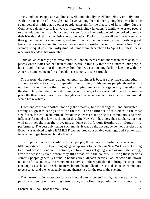Yes, and no! People abroad dine as well, undoubtedly; as elaborately? Certainly not! With the exception of the English (and even among them dinner−giving has never become so universal as with us), no other people entertain for the pleasure of hospitality. On the Continent, a dinner−party is always an «axe−grinding» function. A family who asked people to dine without having a distinct end in view for such an outlay would be looked upon by their friends and relatives as little short of lunatics. Diplomatists are allowed certain sums by their governments for entertaining, and are formally dined in return by their guests. A great French lady who is asked to dine out twice a week considers herself fortunate; a New York woman of equal position hardly dines at home from December 1 to April 15, unless she is receiving friends at her own table.

 Parisian ladies rarely go to restaurants. In London there are not more than three or four places where ladies can be taken to dine, while in this city there are hundreds; our people have caught the habit of dining away from home, a custom singularly in keeping with the American temperament; for, although it costs more, it is less trouble!

 The reason why foreigners do not entertain at dinner is because they have found other and more satisfactory ways of spending their money. This leaves people abroad with a number of evenings on their hands, unoccupied hours that are generally passed at the theatre. Only the other day a diplomatist said to me, «I am surprised to see how small a place the theatre occupies in your thoughts and conversation. With us it is the pivot around which life revolves.»

 From one cause or another, not only the wealthy, but the thoughtful and cultivated among us, go less each year to the theatre. The abstinence of this class is the most significant, for well−read, refined, fastidious citizens are the pride of a community, and their influence for good is far− reaching. Of this elite New York has more than its share, but you will not meet them at the play, unless Duse or Jefferson, Bernhardt or Coquelin is performing. The best only tempts such minds. It was by the encouragement of this class that Booth was enabled to give **HAMLET** one hundred consecutive evenings, and Fechter was induced to linger here and build a theatre.

 In comparison with the verdicts of such people, the opinions of fashionable sets are of little importance. The latter long ago gave up going to the play in New York, except during two short seasons, one in the autumn, «before things get going,» and again in the spring, after the season is over, before they flit abroad or to the country. During these periods «smart» people generally attend in bands called «theatre parties,» an infliction unknown outside of this country, an arrangement above all others calculated to bring the stage into contempt, as such parties seldom arrive before the middle of the second act, take ten minutes to get seated, and then chat gayly among themselves for the rest of the evening.

 The theatre, having ceased to form an integral part of our social life, has come to be the pastime of people with nothing better to do, – the floating population of our hotels, the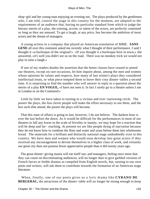shop−girl and her young man enjoying an evening out. The plays produced by the gentlemen who, I am told, control the stage in this country for the moment, are adapted to the requirements of an audience that, having no particular standard from which to judge the literary merits of a play, the training, accent, or talent of the actors, are perfectly contented so long as they are amused. To get a laugh, at any price, has become the ambition of most actors and the dream of managers.

 A young actress in a company that played an American translation of MME. **SANS GENE** all over this continent asked me recently what I thought of their performance. I said I thought it «a burlesque of the original!» «If you thought it a burlesque here in town,» she answered, «it's well you didn't see us on the road. There was no monkey trick we would not play to raise a laugh.»

 If one of my readers doubts the assertion that the better classes have ceased to attend our theatres, except on rare occasions, let him inquire about, among the men and women whose opinions he values and respects, how many of last winter's plays they considered intellectual treats, or what piece tempted them to leave their cosy dinner−tables a second time. It is surprising to find the number who will answer in reply to a question about the merits of a play **EN VOGUE,** «I have not seen it. In fact I rarely go to a theatre unless I am in London or on the Continent!»

 Little by little we have taken to turning in a vicious and ever−narrowing circle. The poorer the plays, the less clever people will make the effort necessary to see them, and the less such elite attend, the poorer the plays will become.

 That this state of affairs is going to last, however, I do not believe. The darkest hour is ever the last before the dawn. As it would he difficult for the performances in most of our theatres to fall any lower in the scale of frivolity or inanity, we may hope for a reaction that will be deep and far− reaching. At present we are like people dying of starvation because they do not know how to combine the flour and water and yeast before them into wholesome bread. The materials for a brilliant and distinctly national stage undoubtedly exist in this country. We have men and women who would soon develop into great actors if they received any encouragement to devote themselves to a higher class of work, and certainly our great city does not possess fewer appreciative people than it did twenty years ago.

 The great dinner−giving mania will eat itself out; and managers, feeling once more that they can count on discriminating audiences, will no longer dare to give garbled versions of French farces or feeble dramas as compiled from English novels, but, turning to our own poets and writers, will ask them to contribute towards the formation of an American stage literature.

 When, finally, one of our poets gives us a lyric drama like **CYRANO DE** BERGERAC, the attractions of the dinner–table will no longer be strong enough to keep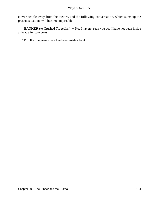clever people away from the theatre, and the following conversation, which sums up the present situation, will become impossible.

BANKER (to Crushed Tragedian). − No, I haven't seen you act. I have not been inside a theatre for two years!

C.T. − It's five years since I've been inside a bank!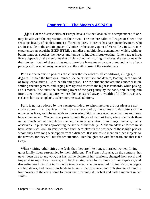# **[Chapter 31 − The Modern ASPASIA](#page-149-0)**

*M*OST of the historic cities of Europe have a distinct local color, a temperament, if one may be allowed the expression, of their own. The austere calm of Bruges or Ghent, the sensuous beauty of Naples, attract different natures. Florence has passionate devotees, who are insensible to the artistic grace of Venice or the stately quiet of Versailles. In Cairo one experiences an exquisite **BIEN ETRE,** a mindless, ambitionless contentment which, without being languor, soothes the nerves and tempts to indolent lotus−eating. Like a great hive, Rome depends on the memories that circle around her, storing, like bees, the centuries with their honey. Each of these cities must therefore leave many people unmoved, who after a passing visit, wander away, wondering at the enthusiasm of the worshippers.

 Paris alone seems to possess the charm that bewitches all conditions, all ages, all degrees. To hold the frivolous− minded she paints her face and dances, leading them a round of folly, exhaustive alike to health and purse. For the student she assumes another mien, smiling encouragement, and urging him upward towards the highest standards, while posing as his model. She takes the dreaming lover of the past gently by the hand, and leading him into quiet streets and squares where she has stored away a wealth of hidden treasure, enslaves him as completely as her more sensual admirers.

 Paris is no less adored by the vacant−minded, to whom neither art nor pleasure nor study appeal. Her caprices in fashion are received by the wives and daughters of the universe as laws, and obeyed with an unwavering faith, a mute obedience that few religions have commanded. Women who yawn through Italy and the East have, when one meets them in the French capital, the intense manner, the air of separation from things mundane, that is observable in pilgrims approaching the shrine of their deity. Mohammedans at Mecca must have some such look. In Paris women find themselves in the presence of those high priests whom they have long worshipped from a distance. It is useless to mention other subjects to the devotee, for they will not fix her attention. Her thoughts are with her heart, and that is far away.

 When visiting other cities one feels that they are like honest married women, living quiet family lives, surrounded by their children. The French Aspasia, on the contrary, has never been true to any vow, but has, at the dictate of her passions, changed from royal and imperial to republican lovers, and back again, ruled by no laws but her caprices, and discarding each favorite in turn with insults when she has wearied of him. Yet sovereigns are her slaves, and leave their lands to linger in her presence; and rich strangers from the four corners of the earth come to throw their fortunes at her feet and bask a moment in her smiles.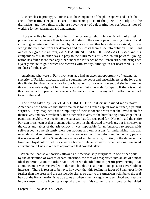Like her classic prototype, Paris is also the companion of the philosophers and leads the arts in her train. Her palaces are the meeting−places of the poets, the sculptors, the dramatists, and the painters, who are never weary of celebrating her perfections, nor of working for her adornment and amusement.

 Those who live in the circle of her influence are caught up in a whirlwind of artistic production, and consume their brains and bodies in the vain hope of pleasing their idol and attracting her attention. To be loved by Paris is an ordeal that few natures can stand, for she wrings the lifeblood from her devotees and then casts them aside into oblivion. Paris, said one of her greatest writers, «AIME **A BRISER SES** IDOLES!» As Ulysses and his companions fell, in other days, a prey to the allurements of Circe, so our powerful young nation has fallen more than any other under the influence of the French siren, and brings her a yearly tribute of gold which she receives with avidity, although in her heart there is little fondness for the giver.

 Americans who were in Paris two years ago had an excellent opportunity of judging the sincerity of Parisian affection, and of sounding the depth and unselfishness of the love that this fickle city gives us in return for our homage. Not for one moment did she hesitate, but threw the whole weight of her influence and wit into the scale for Spain. If there is not at this moment a European alliance against America it is not from any lack of effort on her part towards that end.

 The stand taken by **LA VILLA LUMIERE** in that crisis caused many naive Americans, who believed that their weakness for the French capital was returned, a painful surprise. They imagined in the simplicity of their innocent hearts that she loved them for themselves, and have awakened, like other rich lovers, to the humiliating knowledge that a penniless neighbor was receiving the caresses that Croesus paid for. Not only did the entire Parisian press teem at that moment with covert insults directed towards us, but in society, at the clubs and tables of the aristocracy, it was impossible for an American to appear with self−respect, so persistently were our actions and our reasons for undertaking that war misunderstood and misrepresented. In the conversation of the salons and in the daily papers it was assumed that the Spanish were a race of noble patriots, fighting in the defence of a loved and loyal colony, while we were a horde of blatant cowards, who had long fermented a revolution in Cuba in order to appropriate that coveted island.

 When the Spanish authorities allowed an American ship (surprised in one of her ports by the declaration of war) to depart unharmed, the fact was magnified into an act of almost ideal generosity; on the other hand, when we decided not to permit privateering, that announcement was received with derisive laughter as a pretentious pose to cover hidden interests. There is reason to believe, however, that this feeling in favor of Spain goes little further than the press and the aristocratic circles so dear to the American «climber»; the real heart of the French nation is as true to us as when a century ago she spent blood and treasure in our cause. It is the inconstant capital alone that, false to her role of liberator, has sided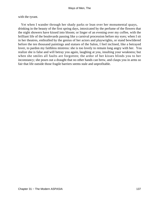with the tyrant.

 Yet when I wander through her shady parks or lean over her monumental quays, drinking in the beauty of the first spring days, intoxicated by the perfume of the flowers that the night showers have kissed into bloom; or linger of an evening over my coffee, with the brilliant life of the boulevards passing like a carnival procession before my eyes; when I sit in her theatres, enthralled by the genius of her actors and playwrights, or stand bewildered before the ten thousand paintings and statues of the Salon, I feel inclined, like a betrayed lover, to pardon my faithless mistress: she is too lovely to remain long angry with her. You realize she is false and will betray you again, laughing at you, insulting your weakness; but when she smiles all faults are forgotten; the ardor of her kisses blinds you to her inconstancy; she pours out a draught that no other hands can brew, and clasps you in arms so fair that life outside those fragile barriers seems stale and unprofitable.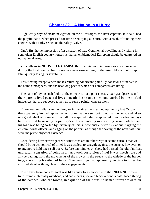# **[Chapter 32 − A Nation in a Hurry](#page-149-0)**

*I*N early days of steam navigation on the Mississippi, the river captains, it is said, had the playful habit, when pressed for time or enjoying a «spurt» with a rival, of running their engines with a darky seated on the safety−valve.

 One's first home impression after a season of lazy Continental travelling and visiting in somnolent English country houses, is that an emblematical Ethiopian should be quartered on our national arms.

 Zola tells us in **NOUVELLE CAMPAGNE** that his vivid impressions are all received during the first twenty–four hours in a new surrounding, – the mind, like a photographic film, quickly losing its sensibility.

 This fleeting receptiveness makes returning Americans painfully conscious of nerves in the home atmosphere, and the headlong pace at which our compatriots are living.

 The habit of laying such faults to the climate is but a poor excuse. Our grandparents and their parents lived peaceful lives beneath these same skies, undisturbed by the morbid influences that are supposed to key us to such a painful concert pitch.

 There was an Indian summer languor in the air as we steamed up the bay last October, that apparently invited repose; yet no sooner had we set foot on our native dock, and taken one good whiff of home air, than all our acquired calm disappeared. People who ten days before would have sat (at a journey's end) contentedly in a waiting−room, while their luggage was being sorted by leisurely officials, now hustle nervously about, nagging the custom−house officers and egging on the porters, as though the saving of the next half hour were the prime object of existence.

 Considering how extravagant we Americans are in other ways it seems curious that we should be so economical of time! It was useless to struggle against the current, however, or to attempt to hold one's self back. Before ten minutes on shore had passed, the old, familiar, unpleasant sensation of being in a hurry took possession of me! It was irresistible and all−pervading; from the movements of the crowds in the streets to the whistle of the harbor tugs, everything breathed of haste. The very dogs had apparently no time to loiter, but scurried about as though late for their engagements.

 The transit from dock to hotel was like a visit to a new circle in the **INFERNO,** where trains rumble eternally overhead, and cable cars glide and block around a pale−faced throng of the damned, who are forced, in expiation of their sins, to hasten forever toward an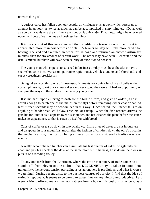unreachable goal.

 A curious curse has fallen upon our people; an «influence» is at work which forces us to attempt in an hour just twice as much as can be accomplished in sixty minutes. «Do as well as you can,» whispers the «influence,» «but do it quickly!» That motto might be engraved upon the fronts of our homes and business buildings.

 It is on account of this new standard that rapidity in a transaction on the Street is appreciated more than correctness of detail. A broker to−day will take more credit for having received and executed an order for Chicago and returned an answer within six minutes, than for any amount of careful work. The order may have been ill executed and the details mixed, but there will have been celerity of execution to boast of

 The young man who expects to succeed in business to−day must be a «hustler,» have a snap−shot style in conversation, patronize rapid transit vehicles, understand shorthand, and eat at «breathless breakfasts.»

 Being taken recently to one of these establishments for «quick lunch,» as I believe the correct phrase is, to eat buckwheat cakes (and very good they were), I had an opportunity of studying the ways of the modern time−saving young man.

 It is his habit upon entering to dash for the bill−of−fare, and give an order (if he is adroit enough to catch one of the maids on the fly) before removing either coat or hat. At least fifteen seconds may be economized in this way. Once seated, the luncher falls to on anything at hand; bread, cold slaw, crackers, or catsup. When the dish ordered arrives, he gets his fork into it as it appears over his shoulder, and has cleaned the plate before the sauce makes its appearance, so that is eaten by itself or with bread.

 Cups of coffee or tea go down in two swallows. Little piles of cakes are cut in quarters and disappear in four mouthfuls, much after the fashion of children down the ogre's throat in the mechanical toy, mastication being either a lost art or considered a foolish waste of energy.

 A really accomplished luncher can assimilate his last quarter of cakes, wiggle into his coat, and pay his check at the desk at the same moment. The next, he is down the block in pursuit of a receding trolley.

 To any one fresh from the Continent, where the entire machinery of trade comes to a stand−still from eleven to one o'clock, that **DEJEUNER** may be taken in somnolent tranquillity, the nervous tension pervading a restaurant here is prodigious, and what is worse − catching! During recent visits to the business centres of our city, I find that the idea of eating is repugnant. It seems to be wrong to waste time on anything so unproductive. Last week a friend offered me a «luncheon tablet» from a box on his desk. «It's as good as a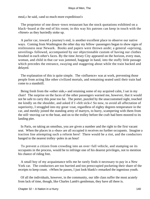meal,» he said, «and so much more expeditious!»

 The proprietor of one down−town restaurant has the stock quotations exhibited on a black−board at the end of his room; in this way his patrons can keep in touch with the «Street» as they hurriedly stoke up.

 A parlor car, toward a journey's end, is another excellent place to observe our native ways. Coming from Washington the other day my fellow−passengers began to show signs of restlessness near Newark. Books and papers were thrown aside; a general «uprising, unveiling» followed, accompanied by our objectionable custom of having our clothes brushed in each other's faces. By the time Jersey City appeared on the horizon, every man, woman, and child in that car was jammed, baggage in hand, into the stuffy little passage which precedes the entrance, swaying and staggering about while the train backed and delayed.

 The explanation of this is quite simple. The «influence» was at work, preventing those people from acting like other civilized mortals, and remaining seated until their train had come to a standstill.

 Being fresh from the «other side,» and retaining some of my acquired calm, I sat in my chair! The surprise on the faces of the other passengers warned me, however, that it would not be safe to carry this pose too far. The porter, puzzled by the unaccustomed sight, touched me kindly on the shoulder, and asked if I «felt sick»! So now, to avoid all affectation of superiority, I struggled into my great−coat, regardless of eighty degrees temperature in the car, and meekly joined the standing army of martyrs, to hurry, scampering with them from the still−moving car to the boat, and on to the trolley before the craft had been moored to its landing pier.

 In Paris, on taking an omnibus, you are given a number and the right to the first vacant seat. When the places in a «bus» are all occupied it receives no further occupants. Imagine a traction line attempting such a reform here! There would be a riot, and the conductors hanged to the nearest trolley−poles in an hour!

 To prevent a citizen from crowding into an over−full vehicle, and stamping on its occupants in the process, would be to infringe one of his dearest privileges, not to mention his chance of riding free.

 A small boy of my acquaintance tells me he rarely finds it necessary to pay in a New York car. The conductors are too hurried and too preoccupied pocketing their share of the receipts to keep count. «When he passes, I just look blank!» remarked the ingenious youth.

 Of all the individuals, however, in the community, our idle class suffer the most acutely from lack of time, though, like Charles Lamb's gentleman, they have all there is.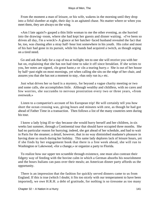From the moment a man of leisure, or his wife, wakens in the morning until they drop into a fitful slumber at night, their day is an agitated chase. No matter where or when you meet them, they are always on the wing.

 «Am I late again?» gasped a thin little woman to me the other evening, as she hurried into the drawing−room, where she had kept her guests and dinner waiting. «I've been so driven all day, I'm a wreck!» A glance at her hatchet−faced husband revealed the fact that he, too, was chasing after a stray half−hour lost somewhere in his youth. His color and most of his hair had gone in its pursuit, while his hands had acquired a twitch, as though urging on a tired steed.

 Go and ask that lady for a cup of tea at twilight; ten to one she will receive you with her hat on, explaining that she has not had time to take it off since breakfast. If she writes to you, her notes are signed, «In great haste,» or «In a tearing hurry.» She is out of her house by half−past eight on most mornings, yet when calling she sits on the edge of her chair, and assures you that she has not a moment to stay, «has only run in,» etc.

 Just what drives her so hard is a mystery, for beyond a vague charity meeting or two and some calls, she accomplishes little. Although wealthy and childless, with no cares and few worries, she succumbs to nervous prostration every two or three years, «from overwork.»

 Listen to a compatriot's account of his European trip! He will certainly tell you how short the ocean crossing was, giving hours and minutes with zest, as though he had got ahead of Father Time in a transaction. Then follows a list of the many countries seen during his tour.

 I know a lady lying ill to−day because she would hurry herself and her children, in six weeks last summer, through a Continental tour that should have occupied three months. She had no particular reason for hurrying; indeed, she got ahead of her schedule, and had to wait in Paris for the steamer; a detail, however, that in no way diminished madame's pleasure in having done so much during her holiday. This same lady deplores lack of leisure hours, yet if she finds by her engagement book that there is a free week ahead, she will run to Washington or Lakewood, «for a change,» or organize a party to Florida.

 To realize how our upper ten scramble through existence, one must also contrast their fidgety way of feeding with the bovine calm in which a German absorbs his nourishment and the hours Italians can pass over their meals; an American dinner party affords us the opportunity.

 There is an impression that the fashion for quickly served dinners came to us from England. If this is true (which I doubt; it fits too nicely with our temperament to have been imported), we owe H.R.H. a debt of gratitude, for nothing is so tiresome as too many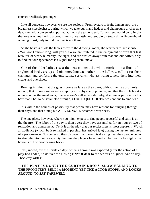courses needlessly prolonged.

 Like all converts, however, we are too zealous. From oysters to fruit, dinners now are a breathless steeplechase, during which we take our viand hedges and champagne ditches at a dead run, with conversation pushed at much the same speed. To be silent would be to imply that one was not having a good time, so we rattle and gobble on toward the finger−bowl winning− post, only to find that rest is not there!

 As the hostess pilots the ladies away to the drawing−room, she whispers to her spouse, «You won't smoke long, will you?» So we are mulcted in the enjoyment of even that last resource of weary humanity, the cigar, and are hustled away from that and our coffee, only to find that our appearance is a signal for a general move.

 One of the older ladies rises; the next moment the whole circle, like a flock of frightened birds, are up and off, crowding each other in the hallway, calling for their carriages, and confusing the unfortunate servants, who are trying to help them into their cloaks and overshoes.

 Bearing in mind that the guests come as late as they dare, without being absolutely uncivil, that dinners are served as rapidly as is physically possible, and that the circle breaks up as soon as the meal ends, one asks one's self in wonder why, if a dinner party is such a bore that it has to be scrambled through, **COUTE QUE COUTE,** we continue to dine out?

 It is within the bounds of possibility that people may have reasons for hurrying through their days, and that dining out **A LA LONGUE** becomes a weariness.

 The one place, however, where you might expect to find people reposeful and calm is at the theatre. The labor of the day is then over; they have assembled for an hour or two of relaxation and amusement. Yet it is at the play that our restlessness is most apparent. Watch an audience (which, be it remarked in passing, has arrived late) during the last ten minutes of a performance. No sooner do they discover that the end is drawing near than people begin to struggle into their wraps. By the time the players have lined up before the footlights the house is full of disappearing backs.

 Past, indeed, are the unruffled days when a heroine was expected (after the action of a play had ended) to deliver the closing **ENVOI** dear to the writers of Queen Anne's day. Thackeray writes:−

## THE **PLAY IS DONE! THE CURTAIN DROPS, SLOW FALLING TO THE** PROMPTER'S **BELL!** A **MOMENT YET THE ACTOR STOPS,** AND **LOOKS AROUND,** TO **SAY FAREWELL!**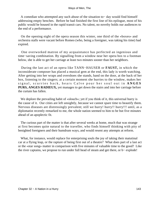A comedian who attempted any such abuse of the situation to− day would find himself addressing empty benches. Before he had finished the first line of his epilogue, most of his public would be housed in the rapid transit cars. No talent, no novelty holds our audiences to the end of a performance.

 On the opening night of the opera season this winter, one third of the «boxes» and orchestra stalls were vacant before Romeo (who, being a foreigner, was taking his time) had expired.

 One overworked matron of my acquaintance has perfected an ingenious and time−saving combination. By signalling from a window near her opera box to a footman below, she is able to get her carriage at least two minutes sooner than her neighbors.

 During the last act of an opera like TANN−HAUSER or **FAUST,** in which the inconsiderate composer has placed a musical gem at the end, this lady is worth watching. After getting into her wraps and overshoes she stands, hand on the door, at the back of her box, listening to the singers; at a certain moment she hurries to the window, makes her signal, scurries back, hears Calve pour her soul out in **ANGES PURS, ANGES RADIEUX,** yet manages to get down the stairs and into her carriage before the curtain has fallen.

We deplore the prevailing habit of «slouch»; yet if you think of it, this universal hurry is the cause of it. Our cities are left unsightly, because we cannot spare time to beautify them. Nervous diseases are distressingly prevalent; still we hurry! hurry!! hurry!!! until, as a diplomatist recently remarked to me, the whole nation seemed to him to be but five minutes ahead of an apoplectic fit.

 The curious part of the matter is that after several weeks at home, much that was strange at first becomes quite natural to the traveller, who finds himself thinking with pity of benighted foreigners and their humdrum ways, and would resent any attempts at reform.

 What, for instance, would replace for enterprising souls the joy of taking their matutinal car at a flying leap, or the rapture of being first out of a theatre? What does part of a last act or the «star song» matter in comparison with five minutes of valuable time to the good? Like the river captains, we propose to run under full head of steam and get there, or b− explode!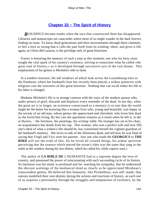# **[Chapter 33 − The Spirit of History](#page-149-0)**

<span id="page-144-0"></span>*BUILDINGS* become tombs when the race that constructed them has disappeared. Libraries and manuscripts are catacombs where most of us might wander in the dark forever, finding no issue. To know dead generations and their environments through these channels, to feel a love so strong that it calls the past forth from its winding−sheet, and gives it life again, as Christ did Lazarus, is the privilege only of great historians.

 France is honoring the memory of such a man at this moment; one who for forty years sought the vital spark of his country's existence, striving to resuscitate what he called «the great soul of history,» as it developed through successive acts of the vast drama. This employment of his genius is Michelet's title to fame.

 In a sombre structure, the tall windows of which look across the Luxembourg trees to the Pantheon, where her husband's bust has recently been placed, a widow preserves with religious care the souvenirs of this great historian. Nothing that can recall either his life or his labor is changed.

 Madame Michelet's life is in strange contrast with the ways of the modern spouse who, under pretext of grief, discards and displaces every reminder of the dead. In our day, when the great art is to forget, an existence consecrated to a memory is so rare that the world might be the better for knowing that a woman lives who, young and beautiful, was happy in the society of an old man, whose genius she appreciated and cherished, who loves him dead as she loved him living. By her care the apartment remains as it stood when he left it, to die at Hyeres, − the furniture, the paintings, the writing−table. No stranger has sat in his chair, no acquaintance has drunk from his cup. This woman, who was a perfect wife and now fills one's ideal of what a widow's life should be, has constituted herself the vigilant guardian of her husband's memory. She loves to talk of the illustrious dead, and tell how he was fond of saying that Virgil and Vico were his parents. Any one who reads the **GEORGICS** or **THE BIRD** will see the truth of this, for he loved all created things, his ardent spiritism perceiving that the essence which moved the ocean's tides was the same that sang in the robin at the window during his last illness, which he called his «little captive soul.»

 The author of **LA BIBLE DE** L'HUMANITE had to a supreme degree the love of country, and possessed the power of reincarnating with each succeeding cycle of its history. So luminous was his mind, so profound and far−reaching his sympathy, that he understood the obscure workings of the mediaeval mind as clearly as he appreciated Mirabeau's transcendent genius. He believed that humanity, like Prometheus, was self−made; that nations modelled their own destiny during the actions and reactions of history, as each one of us acquires a personality through the struggles and temptations of existence, by the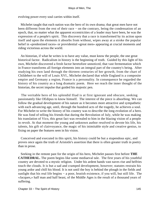evolving power every soul carries within itself.

 Michelet taught that each nation was the hero of its own drama; that great men have not been different from the rest of their race – on the contrary, being the condensation of an epoch, that, no matter what the apparent eccentricities of a leader may have been, he was the expression of a people's spirit. This discovery that a race is transformed by its action upon itself and upon the elements it absorbs from without, wipes away at a stroke the popular belief in «predestined races» or providential «great men» appearing at crucial moments and riding victorious across the world.

 An historian, if what he writes is to have any value, must know the people, the one great historical factor. Radicalism in history is the beginning of truth. Guided by this light of his own, Michelet discovered a fresh factor heretofore unnoticed, that vast fermentation which in France transforms all foreign elements into an integral part of the country's being. After studying his own land through the thirteen centuries of her growth, from the chart of Childebert to the will of Louis XVI., Michelet declared that while England is a composite empire and Germany a region, France is a personality. In consequence he regarded the history of his country as a long dramatic poem. Here we reach the inner thought of the historian, the secret impulse that guided his majestic pen.

 The veritable hero of his splendid Iliad is at first ignorant and obscure, seeking passionately like OEdipus to know himself. The interest of the piece is absorbing. We can follow the gradual development of his nature as it becomes more attractive and sympathetic with each advancing age, until, through the hundred acts of the tragedy, he achieves a soul. For Michelet to write the history of his country was to describe the long evolution of a hero. He was fond of telling his friends that during the Revolution of July, while he was making his translation of Vico, this great fact was revealed to him in the blazing vision of a people in revolt. At that moment the young and unknown author resolved to devote his life, his talents, his gift of clairvoyance, the magic of his inimitable style and creative genius, to fixing on paper the features seen in his vision.

 Conceived and executed in this spirit, his history could be but a stupendous epic, and proves once again the truth of Aristotle's assertion that there is often greater truth in poetry than in prose.

 Seeking in the remote past for the origin of his hero, Michelet pauses first before **THE CATHEDRAL.** The poem begins like some mediaeval tale. The first years of his youthful country are devoted to a mystic religion. Under his ardent hands vast naves rise and belfries touch the clouds. It is but a sad and cramped development, however; statutes restrain his young ardor and chill his blood. It is not until the boy is behind the plough in the fields and sunlight that his real life begins – a poor, brutish existence, if you will, but still life. The «Jacques,» half man and half beast, of the Middle Ages is the result of a thousand years of suffering.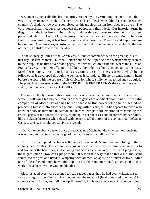A woman's voice calls this brute to arms. An enemy is overrunning the land. Joan the virgin − «my Joan,» Michelet calls her − whose heart bleeds when blood is shed, frees her country. A shadow, however, soon obscures this gracious vision from Jacques's eyes. The vast monarchical incubus rises between the people and their ideal. Our historian turns in disgust from the later French kings. He has neither time nor heart to write their history, so passes quickly from Louis XI. to the great climax of his drama − the Revolution. There we find his hero, emerging at last from tyranny and oppression. Freedom and happiness are before him. Alas! his eyes, accustomed to the dim light of dungeons, are dazzled by the sun of liberty; he strikes friend and foe alike.

 In the solitary galleries of the «Archives» Michelet communes with the great spirits of that day, Desaix, Marceau, Kleber, − elder sons of the Republic, who whisper many secrets to their pupil as he turns over faded pages tied with tri−colored ribbons, where the cities of France have written their affection for liberty, love−letters from Jacques to his mistress. Michelet is happy. His long labor is drawing to an end. The great epic which he has followed as it developed through the centuries is complete. His hero stands hand in hand before the altar with the spouse of his choice, for whose smile he has toiled and struggled. The poet−historian sees again in the **FETE DE LA FEDERATION** the radiant face of his vision, the true face of France, **LA DULCE.**

 Through all the lyricism of this master's work one feels that he has «lived» history as he wrote it, following his subject from its obscure genesis to a radiant apotheosis. The faithful companion of Michelet's age has borne witness to this power which he possessed of projecting himself into another age and living with his subject. She repeats to those who know her how he trembled in passion and burned with patriotic emotion in transcribing the crucial pages of his country's history, rejoicing in her successes and depressed by her faults, like the classic historian who refused with horror to tell the story of his compatriots' defeat at Cannae, saying, «I could not survive the recital.»

 «Do you remember,» a friend once asked Madame Michelet, «how, when your husband was writing his chapters on the Reign of Terror, he ended by falling ill?»

 «Ah, yes!» she replied. «That was the week he executed Danton. We were living in the country near Nantes. The ground was covered with snow. I can see him now, hurrying to and fro under the bare trees, gesticulating and crying as he walked, `How can I judge them, those great men? How can I judge them?' It was in this way that he threw his `thousand souls' into the past and lived in sympathy with all men, an apostle of universal love. After one of these fecund hours he would drop into his chair and murmur, `I am crushed by this work. I have been writing with my blood!'»

 Alas, his aged eyes were destined to read sadder pages than he had ever written, to see years as tragic as the «Terror.» He lived to hear the recital of (having refused to witness) his country's humiliation, and fell one April morning, in his retirement near Pisa, unconscious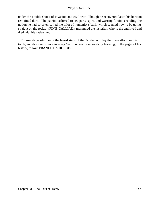under the double shock of invasion and civil war. Though he recovered later, his horizon remained dark. The patriot suffered to see party spirit and warring factions rending the nation he had so often called the pilot of humanity's bark, which seemed now to be going straight on the rocks. «FINIS GALLIAE,» murmured the historian, who to the end lived and died with his native land.

 Thousands yearly mount the broad steps of the Pantheon to lay their wreaths upon his tomb, and thousands more in every Gallic schoolroom are daily learning, in the pages of his history, to love **FRANCE LA DULCE.**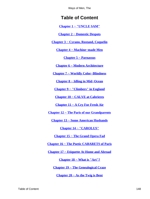# **Table of Content**

**[Chapter 1 − "UNCLE SAM"](#page-3-0)**

**[Chapter 2 − Domestic Despots](#page-6-0)**

**[Chapter 3 − Cyrano, Rostand, Coquelin](#page-10-0)**

**[Chapter 4 − Machine−made Men](#page-15-0)**

**[Chapter 5 − Parnassus](#page-20-0)**

**[Chapter 6 − Modern Architecture](#page-24-0)**

**[Chapter 7 − Worldly Color−Blindness](#page-29-0)**

**[Chapter 8 − Idling in Mid−Ocean](#page-33-0)**

**[Chapter 9 − "Climbers" in England](#page-37-0)**

**[Chapter 10 − CALVE at Cabrieres](#page-41-0)**

**[Chapter 11 − A Cry For Fresh Air](#page-45-0)**

**[Chapter 12 − The Paris of our Grandparents](#page-49-0)**

**[Chapter 13 − Some American Husbands](#page-53-0)**

**[Chapter 14 − "CAROLUS"](#page-57-0)**

**[Chapter 15 − The Grand Opera Fad](#page-61-0)**

**[Chapter 16 − The Poetic CABARETS of Paris](#page-67-0)**

**[Chapter 17 − Etiquette At Home and Abroad](#page-74-0)**

**[Chapter 18 − What is "Art"?](#page-78-0)**

**[Chapter 19 − The Genealogical Craze](#page-82-0)**

**[Chapter 20 − As the Twig is Bent](#page-86-0)**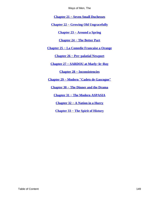**[Chapter 21 − Seven Small Duchesses](#page-90-0)**

<span id="page-149-0"></span>**[Chapter 22 − Growing Old Ungracefully](#page-95-0)**

**[Chapter 23 − Around a Spring](#page-98-0)**

### **[Chapter 24 − The Better Part](#page-102-0)**

**[Chapter 25 − La Comedie Francaise a Orange](#page-105-0)**

**[Chapter 26 − Pre−palatial Newport](#page-110-0)**

**[Chapter 27 − SARDOU at Marly−le−Roy](#page-114-0)**

**[Chapter 28 − Inconsistencies](#page-120-0)**

**[Chapter 29 − Modern "Cadets de Gascogne"](#page-125-0)**

**[Chapter 30 − The Dinner and the Drama](#page-130-0)**

**[Chapter 31 − The Modern ASPASIA](#page-135-0)**

**[Chapter 32 − A Nation in a Hurry](#page-138-0)**

**[Chapter 33 − The Spirit of History](#page-144-0)**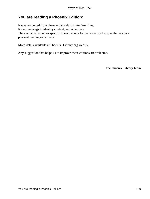# **You are reading a Phoenix Edition:**

It was converted from clean and standard xhtml/xml files. It uses metatags to identify content, and other data. The available resources specific to each ebook format were used to give the reader a pleasant reading experience.

More detais available at Phoenix−Library.org website.

Any suggestion that helps us to improve these editions are welcome.

**The Phoenix−Library Team**